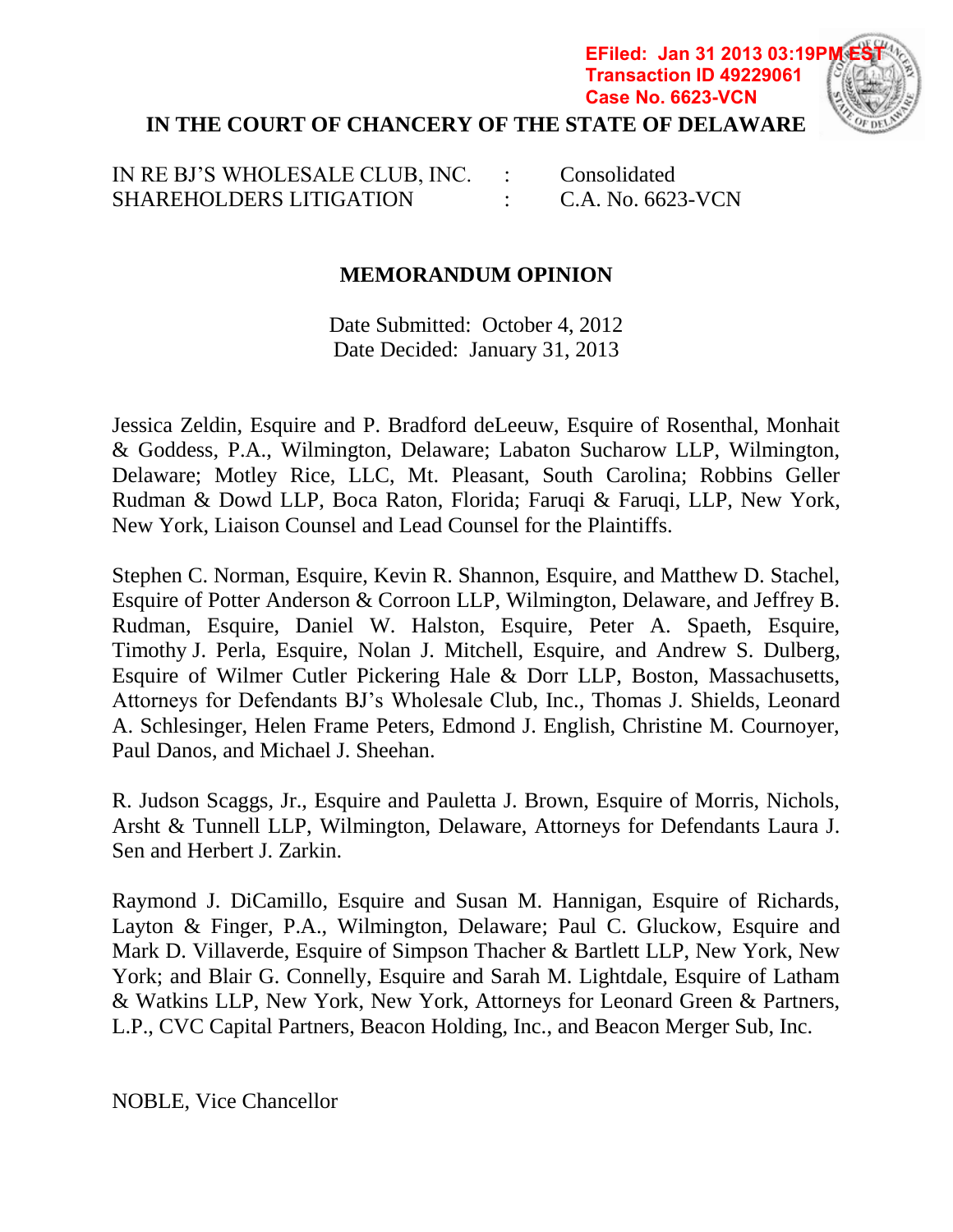## **IN THE COURT OF CHANCERY OF THE STATE OF DELAWARE EFiled: Jan 31 2013 03:19P Transaction ID 49229061 Case No. 6623-VCN**



# **MEMORANDUM OPINION**

Date Submitted: October 4, 2012 Date Decided: January 31, 2013

Jessica Zeldin, Esquire and P. Bradford deLeeuw, Esquire of Rosenthal, Monhait & Goddess, P.A., Wilmington, Delaware; Labaton Sucharow LLP, Wilmington, Delaware; Motley Rice, LLC, Mt. Pleasant, South Carolina; Robbins Geller Rudman & Dowd LLP, Boca Raton, Florida; Faruqi & Faruqi, LLP, New York, New York, Liaison Counsel and Lead Counsel for the Plaintiffs.

Stephen C. Norman, Esquire, Kevin R. Shannon, Esquire, and Matthew D. Stachel, Esquire of Potter Anderson & Corroon LLP, Wilmington, Delaware, and Jeffrey B. Rudman, Esquire, Daniel W. Halston, Esquire, Peter A. Spaeth, Esquire, Timothy J. Perla, Esquire, Nolan J. Mitchell, Esquire, and Andrew S. Dulberg, Esquire of Wilmer Cutler Pickering Hale & Dorr LLP, Boston, Massachusetts, Attorneys for Defendants BJ's Wholesale Club, Inc., Thomas J. Shields, Leonard A. Schlesinger, Helen Frame Peters, Edmond J. English, Christine M. Cournoyer, Paul Danos, and Michael J. Sheehan.

R. Judson Scaggs, Jr., Esquire and Pauletta J. Brown, Esquire of Morris, Nichols, Arsht & Tunnell LLP, Wilmington, Delaware, Attorneys for Defendants Laura J. Sen and Herbert J. Zarkin.

Raymond J. DiCamillo, Esquire and Susan M. Hannigan, Esquire of Richards, Layton & Finger, P.A., Wilmington, Delaware; Paul C. Gluckow, Esquire and Mark D. Villaverde, Esquire of Simpson Thacher & Bartlett LLP, New York, New York; and Blair G. Connelly, Esquire and Sarah M. Lightdale, Esquire of Latham & Watkins LLP, New York, New York, Attorneys for Leonard Green & Partners, L.P., CVC Capital Partners, Beacon Holding, Inc., and Beacon Merger Sub, Inc.

NOBLE, Vice Chancellor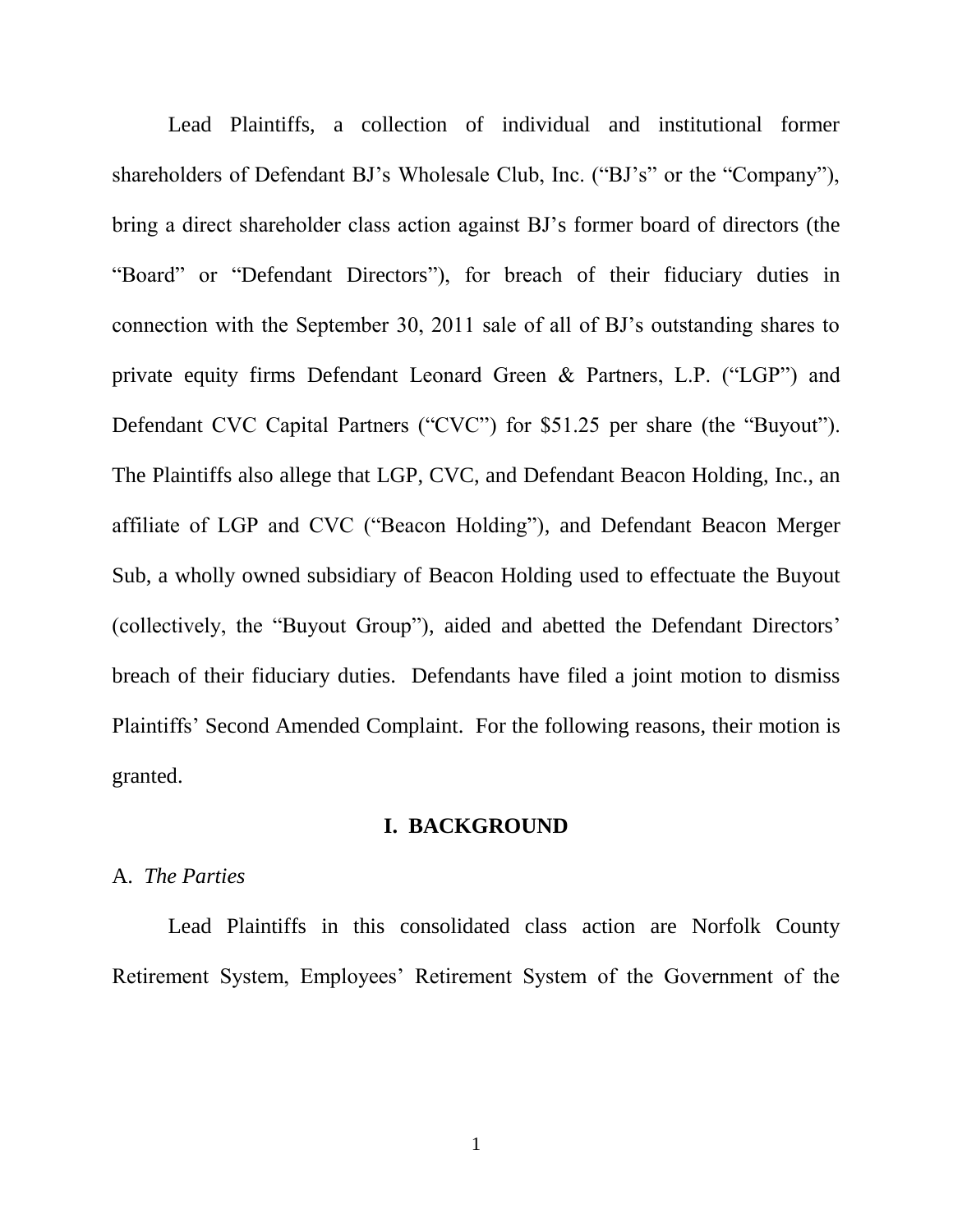Lead Plaintiffs, a collection of individual and institutional former shareholders of Defendant BJ's Wholesale Club, Inc. ("BJ's" or the "Company"), bring a direct shareholder class action against BJ's former board of directors (the "Board" or "Defendant Directors"), for breach of their fiduciary duties in connection with the September 30, 2011 sale of all of BJ's outstanding shares to private equity firms Defendant Leonard Green & Partners, L.P. ("LGP") and Defendant CVC Capital Partners ("CVC") for \$51.25 per share (the "Buyout"). The Plaintiffs also allege that LGP, CVC, and Defendant Beacon Holding, Inc., an affiliate of LGP and CVC ("Beacon Holding"), and Defendant Beacon Merger Sub, a wholly owned subsidiary of Beacon Holding used to effectuate the Buyout (collectively, the "Buyout Group"), aided and abetted the Defendant Directors' breach of their fiduciary duties. Defendants have filed a joint motion to dismiss Plaintiffs' Second Amended Complaint. For the following reasons, their motion is granted.

#### I. BACKGROUND

#### A. The Parties

Lead Plaintiffs in this consolidated class action are Norfolk County Retirement System, Employees' Retirement System of the Government of the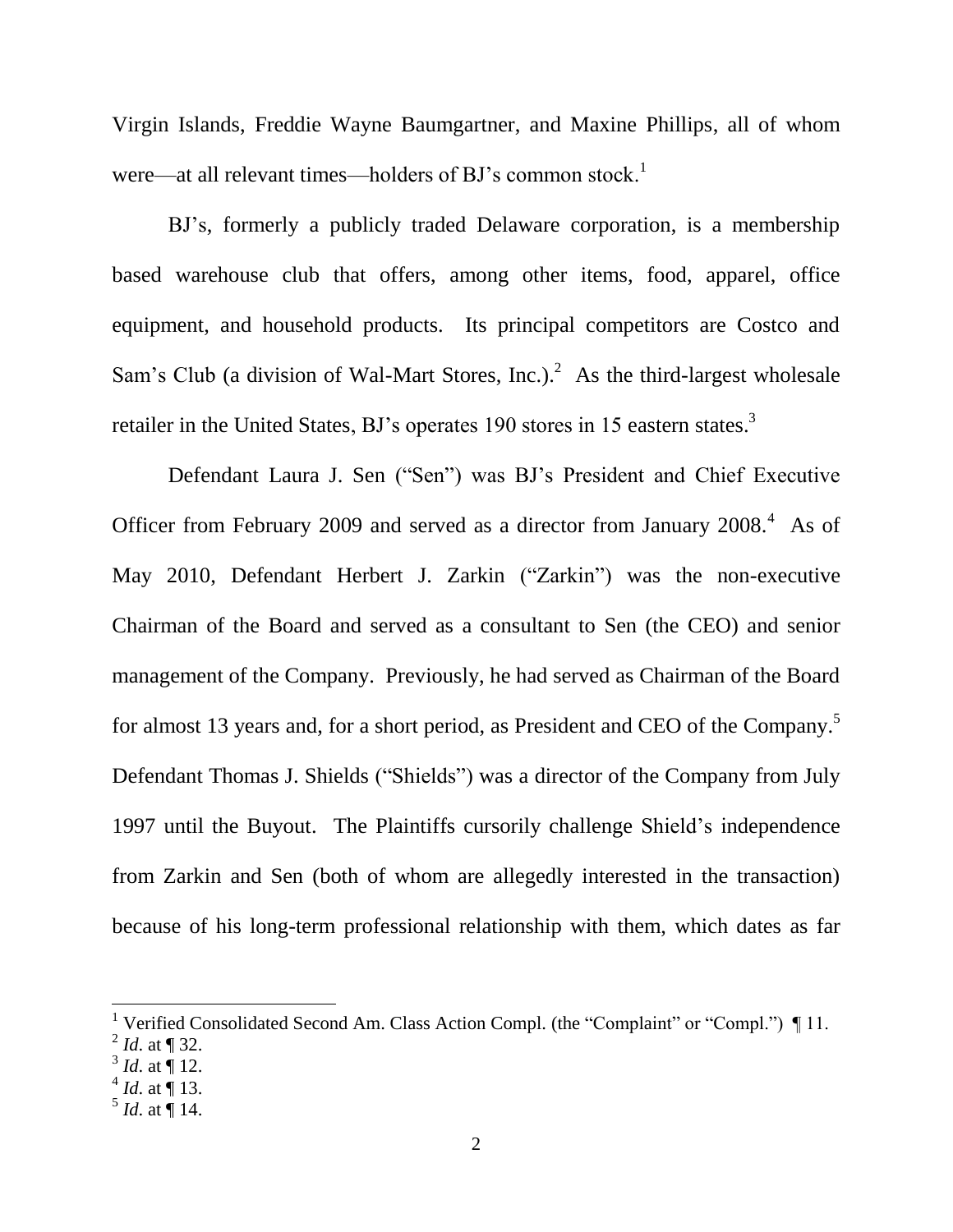Virgin Islands, Freddie Wayne Baumgartner, and Maxine Phillips, all of whom were—at all relevant times—holders of BJ's common stock.<sup>1</sup>

BJ's, formerly a publicly traded Delaware corporation, is a membership based warehouse club that offers, among other items, food, apparel, office equipment, and household products. Its principal competitors are Costco and Sam's Club (a division of Wal-Mart Stores, Inc.).<sup>2</sup> As the third-largest wholesale retailer in the United States, BJ's operates 190 stores in 15 eastern states.<sup>3</sup>

Defendant Laura J. Sen ("Sen") was BJ's President and Chief Executive Officer from February 2009 and served as a director from January 2008.<sup>4</sup> As of May 2010, Defendant Herbert J. Zarkin ("Zarkin") was the non-executive Chairman of the Board and served as a consultant to Sen (the CEO) and senior management of the Company. Previously, he had served as Chairman of the Board for almost 13 years and, for a short period, as President and CEO of the Company.<sup>5</sup> Defendant Thomas J. Shields ("Shields") was a director of the Company from July 1997 until the Buyout. The Plaintiffs cursorily challenge Shield's independence from Zarkin and Sen (both of whom are allegedly interested in the transaction) because of his long-term professional relationship with them, which dates as far

<sup>&</sup>lt;sup>1</sup> Verified Consolidated Second Am. Class Action Compl. (the "Complaint" or "Compl.") [11.

 $^{2}$  *Id.* at ¶ 32.

 $3^3$  *Id.* at  $\P$  12.

 $4$  *Id.* at ¶ 13.

 $<sup>5</sup>$  *Id.* at ¶ 14.</sup>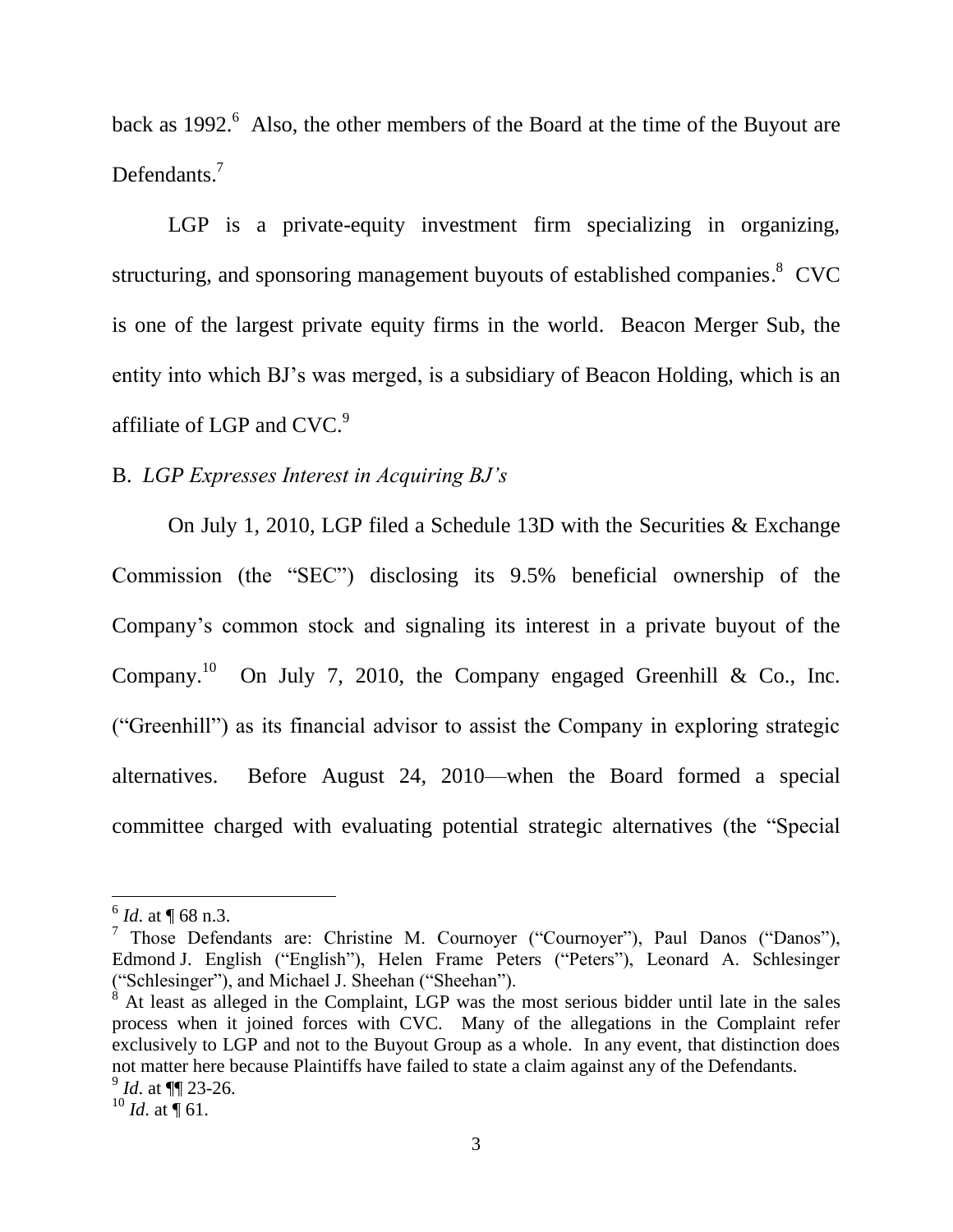back as 1992.<sup>6</sup> Also, the other members of the Board at the time of the Buyout are Defendants. $<sup>7</sup>$ </sup>

LGP is a private-equity investment firm specializing in organizing, structuring, and sponsoring management buyouts of established companies.<sup>8</sup> CVC is one of the largest private equity firms in the world. Beacon Merger Sub, the entity into which BJ's was merged, is a subsidiary of Beacon Holding, which is an affiliate of LGP and CVC.<sup>9</sup>

# B. LGP Expresses Interest in Acquiring BJ's

On July 1, 2010, LGP filed a Schedule 13D with the Securities & Exchange Commission (the "SEC") disclosing its 9.5% beneficial ownership of the Company's common stock and signaling its interest in a private buyout of the Company.<sup>10</sup> On July 7, 2010, the Company engaged Greenhill & Co., Inc. ("Greenhill") as its financial advisor to assist the Company in exploring strategic Before August 24, 2010—when the Board formed a special alternatives. committee charged with evaluating potential strategic alternatives (the "Special

 $^{6}$  *Id.* at  $\P$  68 n.3.

<sup>&</sup>lt;sup>7</sup> Those Defendants are: Christine M. Cournoyer ("Cournoyer"), Paul Danos ("Danos"), Edmond J. English ("English"), Helen Frame Peters ("Peters"), Leonard A. Schlesinger ("Schlesinger"), and Michael J. Sheehan ("Sheehan").

At least as alleged in the Complaint, LGP was the most serious bidder until late in the sales process when it joined forces with CVC. Many of the allegations in the Complaint refer exclusively to LGP and not to the Buyout Group as a whole. In any event, that distinction does not matter here because Plaintiffs have failed to state a claim against any of the Defendants.  $^{9}$  *Id.* at  $\P$  23-26.

<sup>&</sup>lt;sup>10</sup> *Id.* at  $\overline{\P}$  61.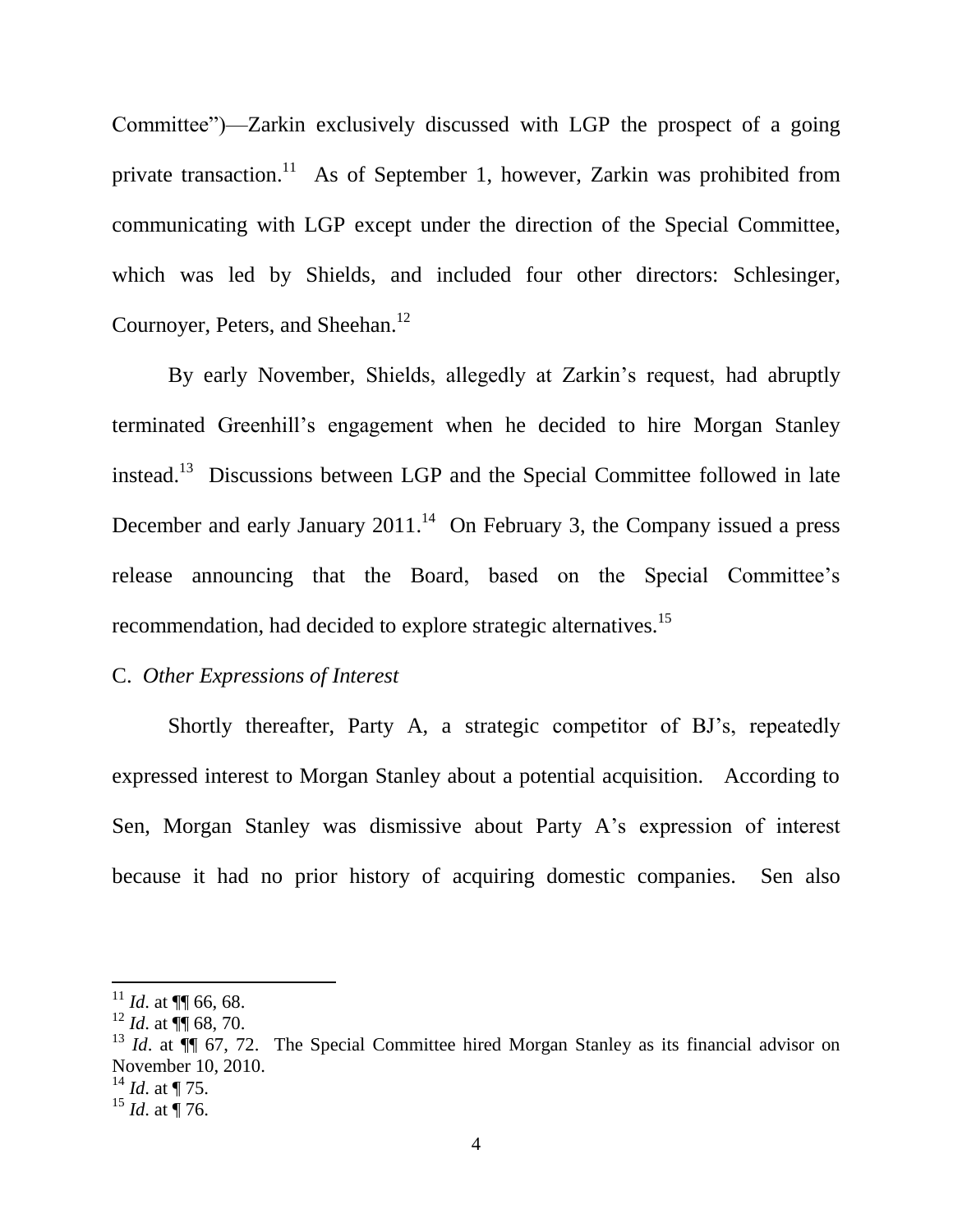Committee")—Zarkin exclusively discussed with LGP the prospect of a going private transaction.<sup>11</sup> As of September 1, however, Zarkin was prohibited from communicating with LGP except under the direction of the Special Committee, which was led by Shields, and included four other directors: Schlesinger, Cournoyer, Peters, and Sheehan.<sup>12</sup>

By early November, Shields, allegedly at Zarkin's request, had abruptly terminated Greenhill's engagement when he decided to hire Morgan Stanley instead.<sup>13</sup> Discussions between LGP and the Special Committee followed in late December and early January  $2011^{14}$  On February 3, the Company issued a press release announcing that the Board, based on the Special Committee's recommendation, had decided to explore strategic alternatives.<sup>15</sup>

# C. Other Expressions of Interest

Shortly thereafter, Party A, a strategic competitor of BJ's, repeatedly expressed interest to Morgan Stanley about a potential acquisition. According to Sen, Morgan Stanley was dismissive about Party A's expression of interest because it had no prior history of acquiring domestic companies. Sen also

 $^{14}$  *Id.* at ¶ 75.

<sup>&</sup>lt;sup>11</sup> *Id.* at  $\P$  66, 68.

<sup>&</sup>lt;sup>12</sup> *Id.* at  $\P$  68, 70.

<sup>&</sup>lt;sup>13</sup> *Id.* at  $\P$  67, 72. The Special Committee hired Morgan Stanley as its financial advisor on November 10, 2010.

 $^{15}$  *Id.* at  $\overline{9}$  76.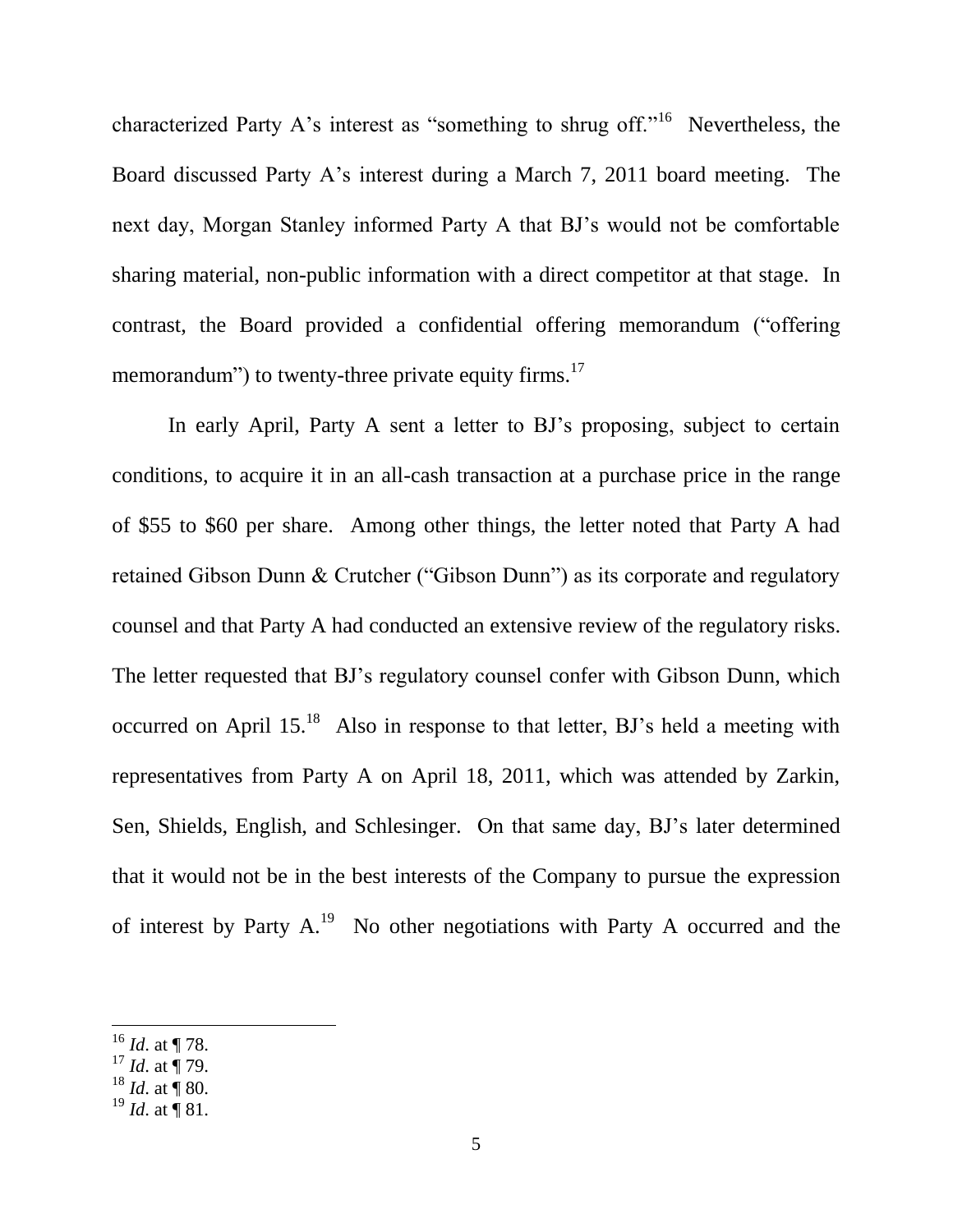characterized Party A's interest as "something to shrug off."<sup>16</sup> Nevertheless, the Board discussed Party A's interest during a March 7, 2011 board meeting. The next day, Morgan Stanley informed Party A that BJ's would not be comfortable sharing material, non-public information with a direct competitor at that stage. In contrast, the Board provided a confidential offering memorandum ("offering memorandum") to twenty-three private equity firms.<sup>17</sup>

In early April, Party A sent a letter to BJ's proposing, subject to certain conditions, to acquire it in an all-cash transaction at a purchase price in the range of \$55 to \$60 per share. Among other things, the letter noted that Party A had retained Gibson Dunn & Crutcher ("Gibson Dunn") as its corporate and regulatory counsel and that Party A had conducted an extensive review of the regulatory risks. The letter requested that BJ's regulatory counsel confer with Gibson Dunn, which occurred on April 15.<sup>18</sup> Also in response to that letter, BJ's held a meeting with representatives from Party A on April 18, 2011, which was attended by Zarkin, Sen, Shields, English, and Schlesinger. On that same day, BJ's later determined that it would not be in the best interests of the Company to pursue the expression of interest by Party  $A^{19}$ . No other negotiations with Party A occurred and the

 $16$  *Id.* at ¶ 78.

 $17$  *Id.* at  $\frac{1}{9}$  79.

 $^{18}$  *Id.* at  $\overline{9}$  80.

 $^{19}$  *Id.* at ¶ 81.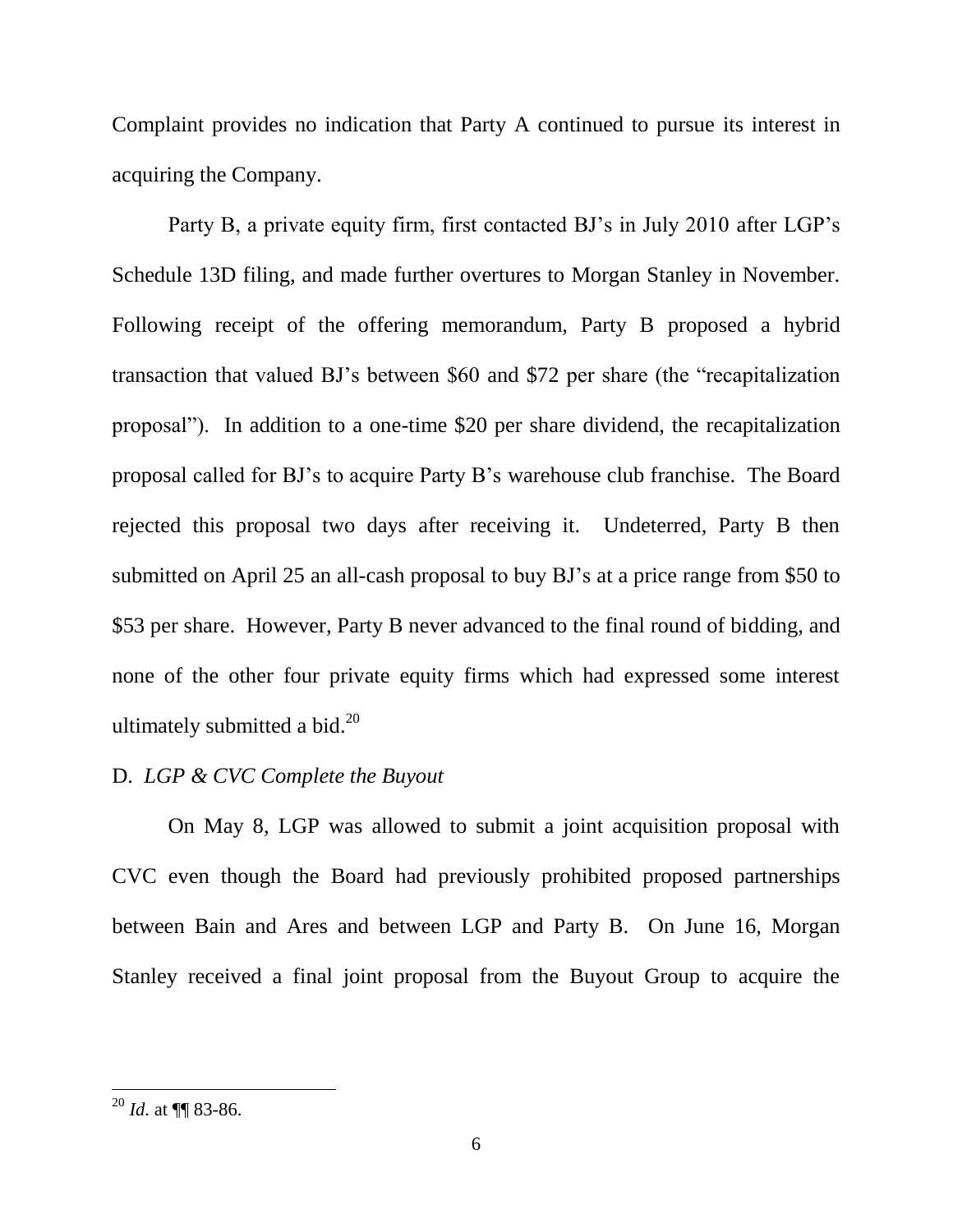Complaint provides no indication that Party A continued to pursue its interest in acquiring the Company.

Party B, a private equity firm, first contacted BJ's in July 2010 after LGP's Schedule 13D filing, and made further overtures to Morgan Stanley in November. Following receipt of the offering memorandum, Party B proposed a hybrid transaction that valued BJ's between \$60 and \$72 per share (the "recapitalization" proposal"). In addition to a one-time \$20 per share dividend, the recapitalization proposal called for BJ's to acquire Party B's warehouse club franchise. The Board rejected this proposal two days after receiving it. Undeterred, Party B then submitted on April 25 an all-cash proposal to buy BJ's at a price range from \$50 to \$53 per share. However, Party B never advanced to the final round of bidding, and none of the other four private equity firms which had expressed some interest ultimately submitted a bid. $^{20}$ 

# D. LGP & CVC Complete the Buyout

On May 8, LGP was allowed to submit a joint acquisition proposal with CVC even though the Board had previously prohibited proposed partnerships between Bain and Ares and between LGP and Party B. On June 16, Morgan Stanley received a final joint proposal from the Buyout Group to acquire the

 $^{20}$  *Id.* at **II** 83-86.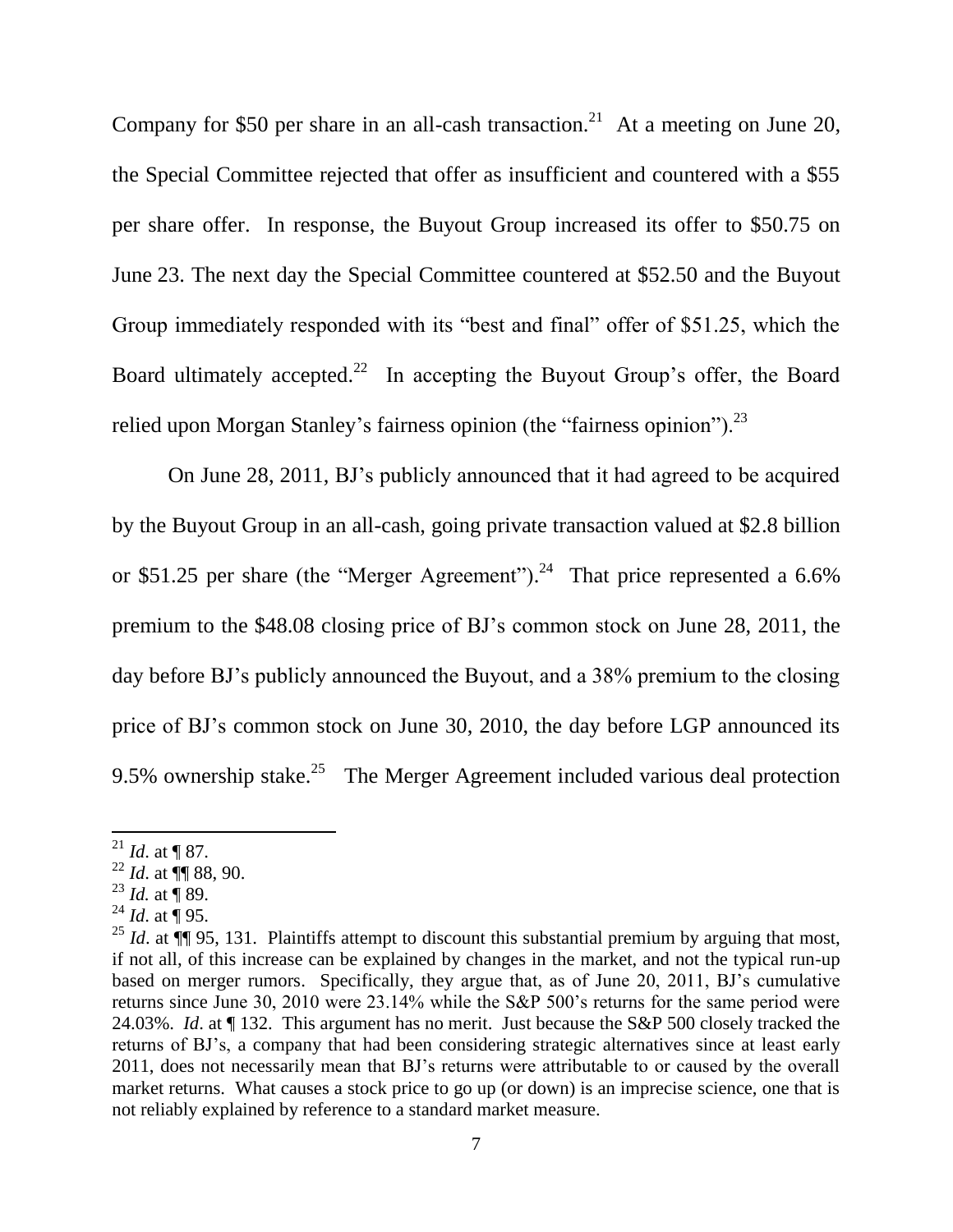Company for \$50 per share in an all-cash transaction.<sup>21</sup> At a meeting on June 20, the Special Committee rejected that offer as insufficient and countered with a \$55 per share offer. In response, the Buyout Group increased its offer to \$50.75 on June 23. The next day the Special Committee countered at \$52.50 and the Buyout Group immediately responded with its "best and final" offer of \$51.25, which the Board ultimately accepted.<sup>22</sup> In accepting the Buyout Group's offer, the Board relied upon Morgan Stanley's fairness opinion (the "fairness opinion").<sup>23</sup>

On June 28, 2011, BJ's publicly announced that it had agreed to be acquired by the Buyout Group in an all-cash, going private transaction valued at \$2.8 billion or \$51.25 per share (the "Merger Agreement").<sup>24</sup> That price represented a 6.6% premium to the \$48.08 closing price of BJ's common stock on June 28, 2011, the day before BJ's publicly announced the Buyout, and a 38% premium to the closing price of BJ's common stock on June 30, 2010, the day before LGP announced its 9.5% ownership stake.<sup>25</sup> The Merger Agreement included various deal protection

<sup>23</sup> *Id.* at  $\overline{9}$  89.

<sup>&</sup>lt;sup>21</sup> *Id.* at ¶ 87.

 $^{22}$  *Id.* at  $\P$  88, 90.

<sup>&</sup>lt;sup>24</sup> *Id.* at  $\dot{$ } 95.

<sup>&</sup>lt;sup>25</sup> *Id.* at  $\P$  95, 131. Plaintiffs attempt to discount this substantial premium by arguing that most, if not all, of this increase can be explained by changes in the market, and not the typical run-up based on merger rumors. Specifically, they argue that, as of June 20, 2011, BJ's cumulative returns since June 30, 2010 were 23.14% while the S&P 500's returns for the same period were 24.03%. Id. at ¶ 132. This argument has no merit. Just because the S&P 500 closely tracked the returns of BJ's, a company that had been considering strategic alternatives since at least early 2011, does not necessarily mean that BJ's returns were attributable to or caused by the overall market returns. What causes a stock price to go up (or down) is an imprecise science, one that is not reliably explained by reference to a standard market measure.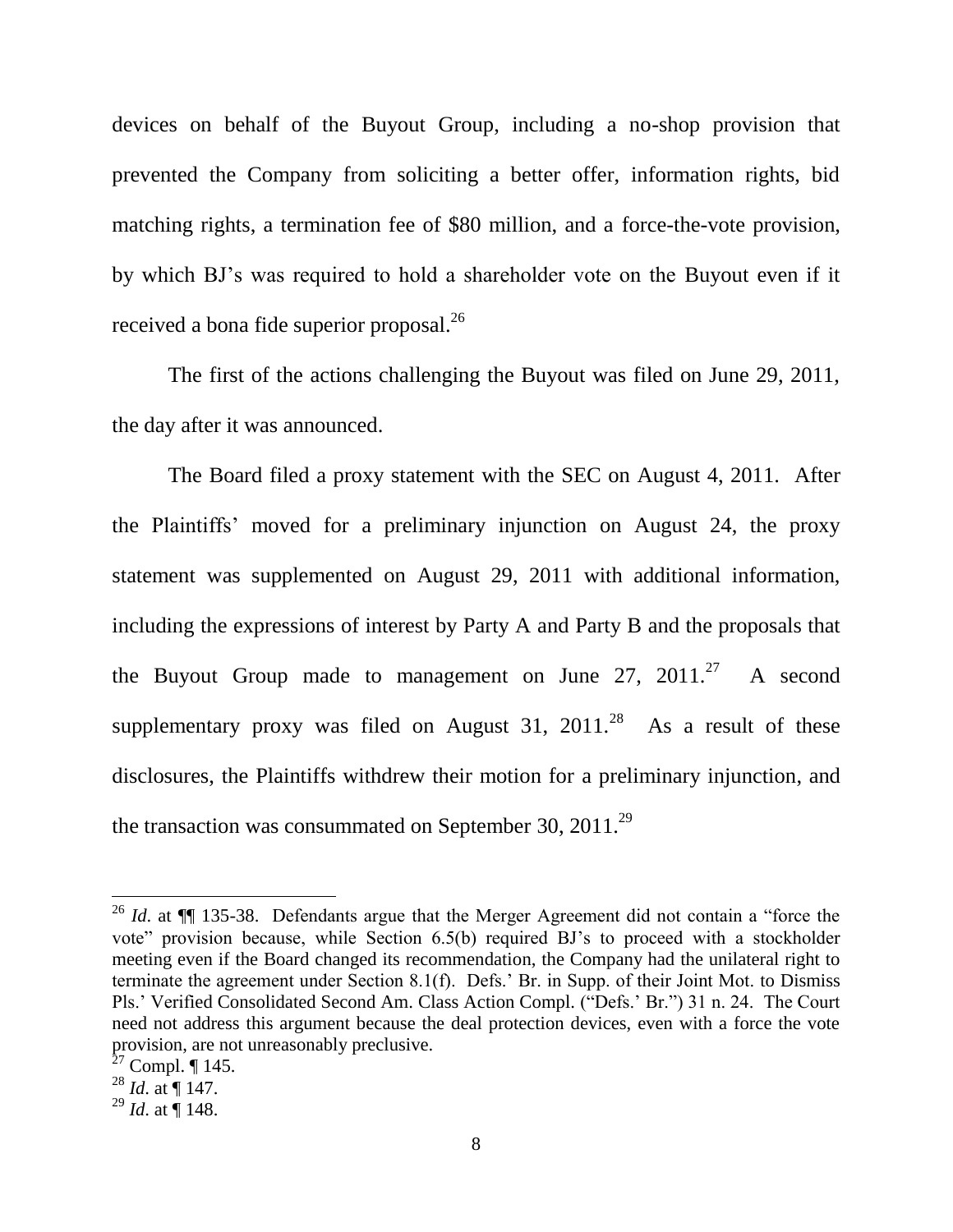devices on behalf of the Buyout Group, including a no-shop provision that prevented the Company from soliciting a better offer, information rights, bid matching rights, a termination fee of \$80 million, and a force-the-vote provision, by which BJ's was required to hold a shareholder vote on the Buyout even if it received a bona fide superior proposal.<sup>26</sup>

The first of the actions challenging the Buyout was filed on June 29, 2011, the day after it was announced.

The Board filed a proxy statement with the SEC on August 4, 2011. After the Plaintiffs' moved for a preliminary injunction on August 24, the proxy statement was supplemented on August 29, 2011 with additional information, including the expressions of interest by Party A and Party B and the proposals that the Buyout Group made to management on June 27,  $2011.^{27}$ A second supplementary proxy was filed on August 31, 2011.<sup>28</sup> As a result of these disclosures, the Plaintiffs withdrew their motion for a preliminary injunction, and the transaction was consummated on September 30, 2011.<sup>29</sup>

<sup>&</sup>lt;sup>26</sup> *Id.* at  $\P\P$  135-38. Defendants argue that the Merger Agreement did not contain a "force the vote" provision because, while Section 6.5(b) required BJ's to proceed with a stockholder meeting even if the Board changed its recommendation, the Company had the unilateral right to terminate the agreement under Section 8.1(f). Defs.' Br. in Supp. of their Joint Mot. to Dismiss Pls.' Verified Consolidated Second Am. Class Action Compl. ("Defs.' Br.") 31 n. 24. The Court need not address this argument because the deal protection devices, even with a force the vote provision, are not unreasonably preclusive.<br> $27 \text{ Compl. } \P 145.$ 

<sup>&</sup>lt;sup>28</sup> *Id.* at  $\P$  147.

<sup>&</sup>lt;sup>29</sup> *Id.* at  $\stackrel{\text{ii}}{=}$  148.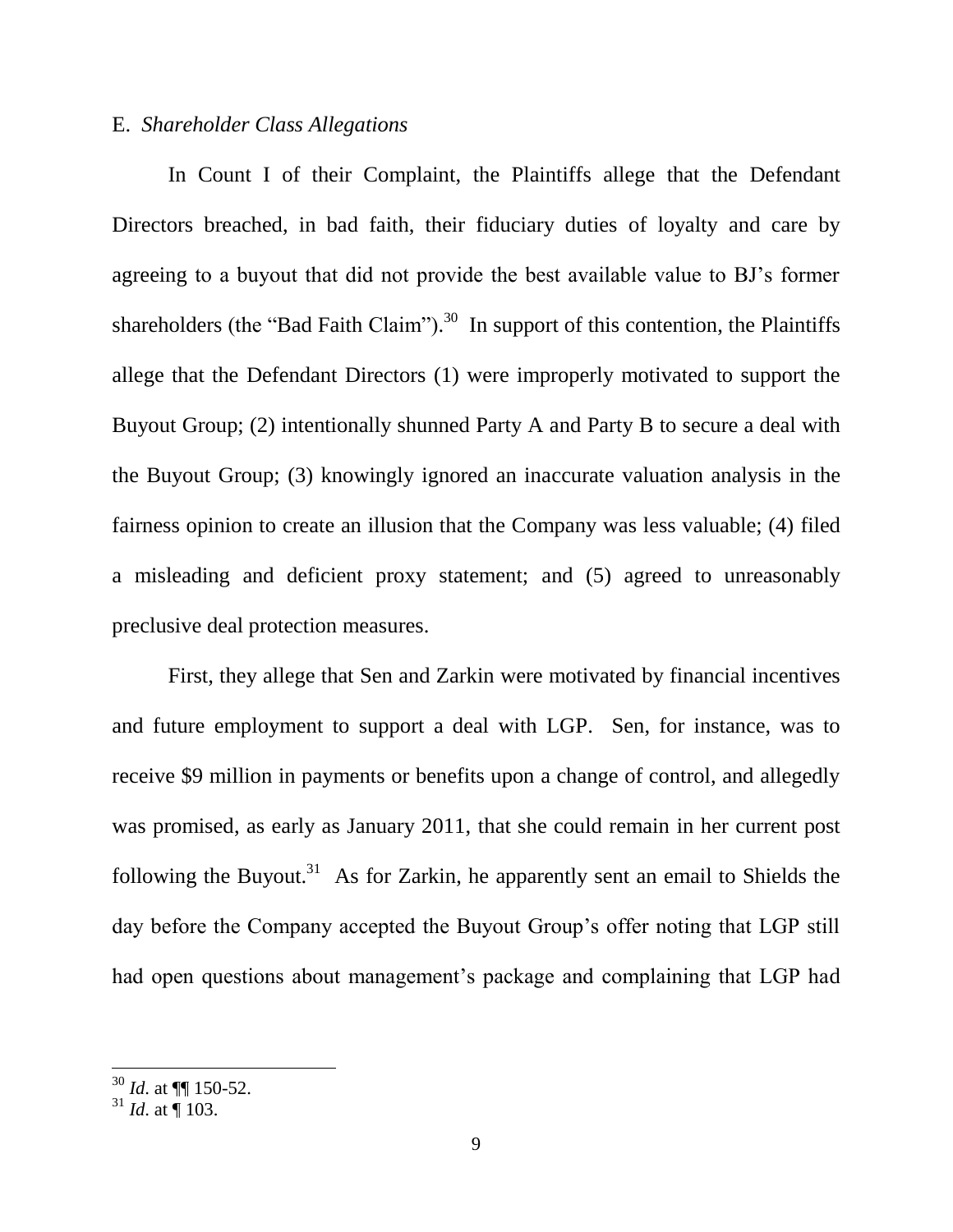# E. Shareholder Class Allegations

In Count I of their Complaint, the Plaintiffs allege that the Defendant Directors breached, in bad faith, their fiduciary duties of loyalty and care by agreeing to a buyout that did not provide the best available value to BJ's former shareholders (the "Bad Faith Claim").<sup>30</sup> In support of this contention, the Plaintiffs allege that the Defendant Directors (1) were improperly motivated to support the Buyout Group; (2) intentionally shunned Party A and Party B to secure a deal with the Buyout Group; (3) knowingly ignored an inaccurate valuation analysis in the fairness opinion to create an illusion that the Company was less valuable; (4) filed a misleading and deficient proxy statement; and (5) agreed to unreasonably preclusive deal protection measures.

First, they allege that Sen and Zarkin were motivated by financial incentives and future employment to support a deal with LGP. Sen, for instance, was to receive \$9 million in payments or benefits upon a change of control, and allegedly was promised, as early as January 2011, that she could remain in her current post following the Buyout.<sup>31</sup> As for Zarkin, he apparently sent an email to Shields the day before the Company accepted the Buyout Group's offer noting that LGP still had open questions about management's package and complaining that LGP had

 $\frac{30}{10}$  *Id.* at  $\P\P$  150-52.

 $31$  *Id.* at  $\frac{1}{9}$  103.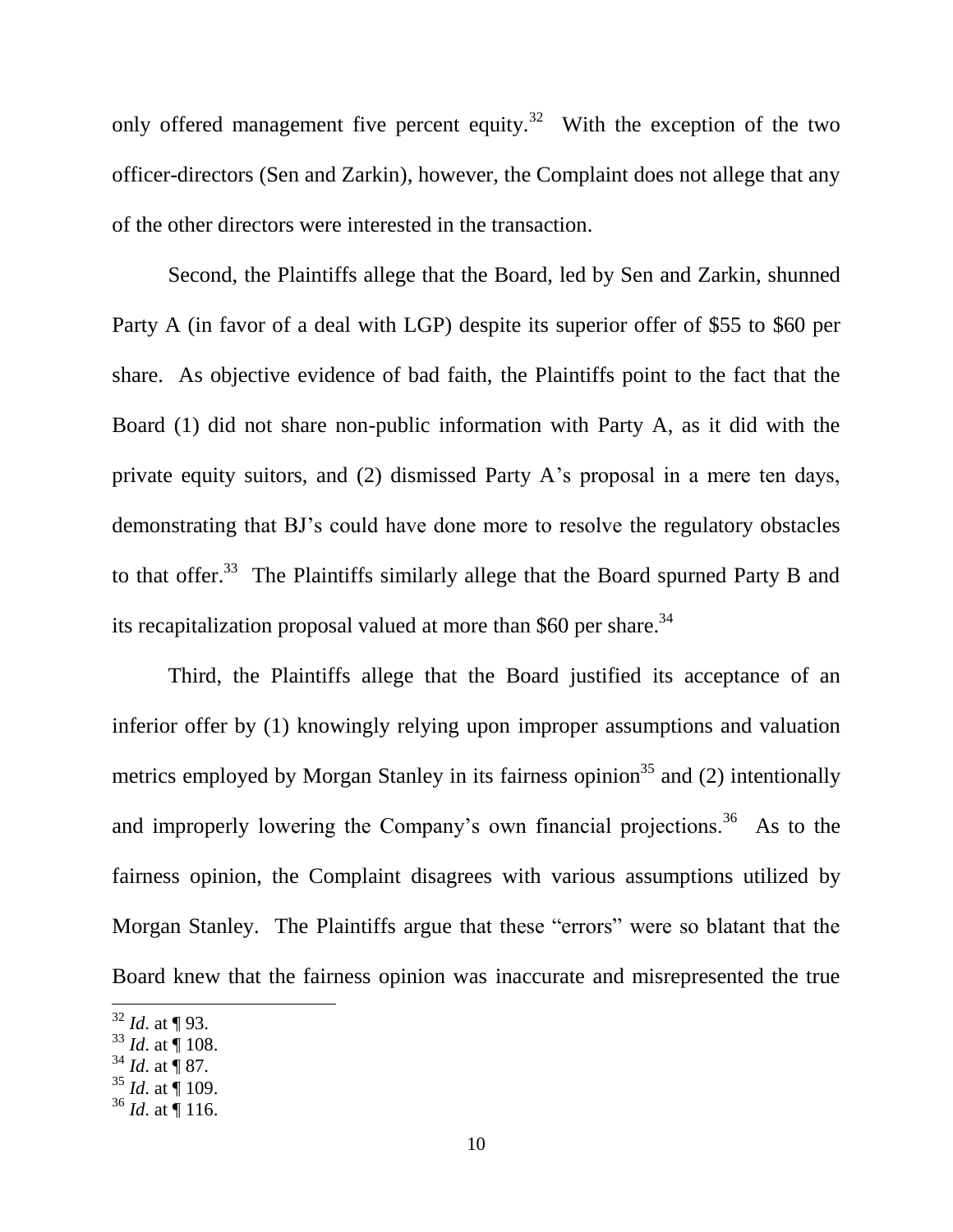only offered management five percent equity.<sup>32</sup> With the exception of the two officer-directors (Sen and Zarkin), however, the Complaint does not allege that any of the other directors were interested in the transaction.

Second, the Plaintiffs allege that the Board, led by Sen and Zarkin, shunned Party A (in favor of a deal with LGP) despite its superior offer of \$55 to \$60 per share. As objective evidence of bad faith, the Plaintiffs point to the fact that the Board (1) did not share non-public information with Party A, as it did with the private equity suitors, and (2) dismissed Party A's proposal in a mere ten days, demonstrating that BJ's could have done more to resolve the regulatory obstacles to that offer.<sup>33</sup> The Plaintiffs similarly allege that the Board spurned Party B and its recapitalization proposal valued at more than \$60 per share.<sup>34</sup>

Third, the Plaintiffs allege that the Board justified its acceptance of an inferior offer by (1) knowingly relying upon improper assumptions and valuation metrics employed by Morgan Stanley in its fairness opinion<sup>35</sup> and (2) intentionally and improperly lowering the Company's own financial projections.<sup>36</sup> As to the fairness opinion, the Complaint disagrees with various assumptions utilized by Morgan Stanley. The Plaintiffs argue that these "errors" were so blatant that the Board knew that the fairness opinion was inaccurate and misrepresented the true

 $32$  *Id.* at ¶ 93.

 $33$  *Id.* at  $\stackrel{.}{\P}108$ .

 $34$  *Id.* at  $\overline{9}$  87.

 $35$  *Id.* at  $\overline{9}$  109.

 $36$  *Id.* at 116.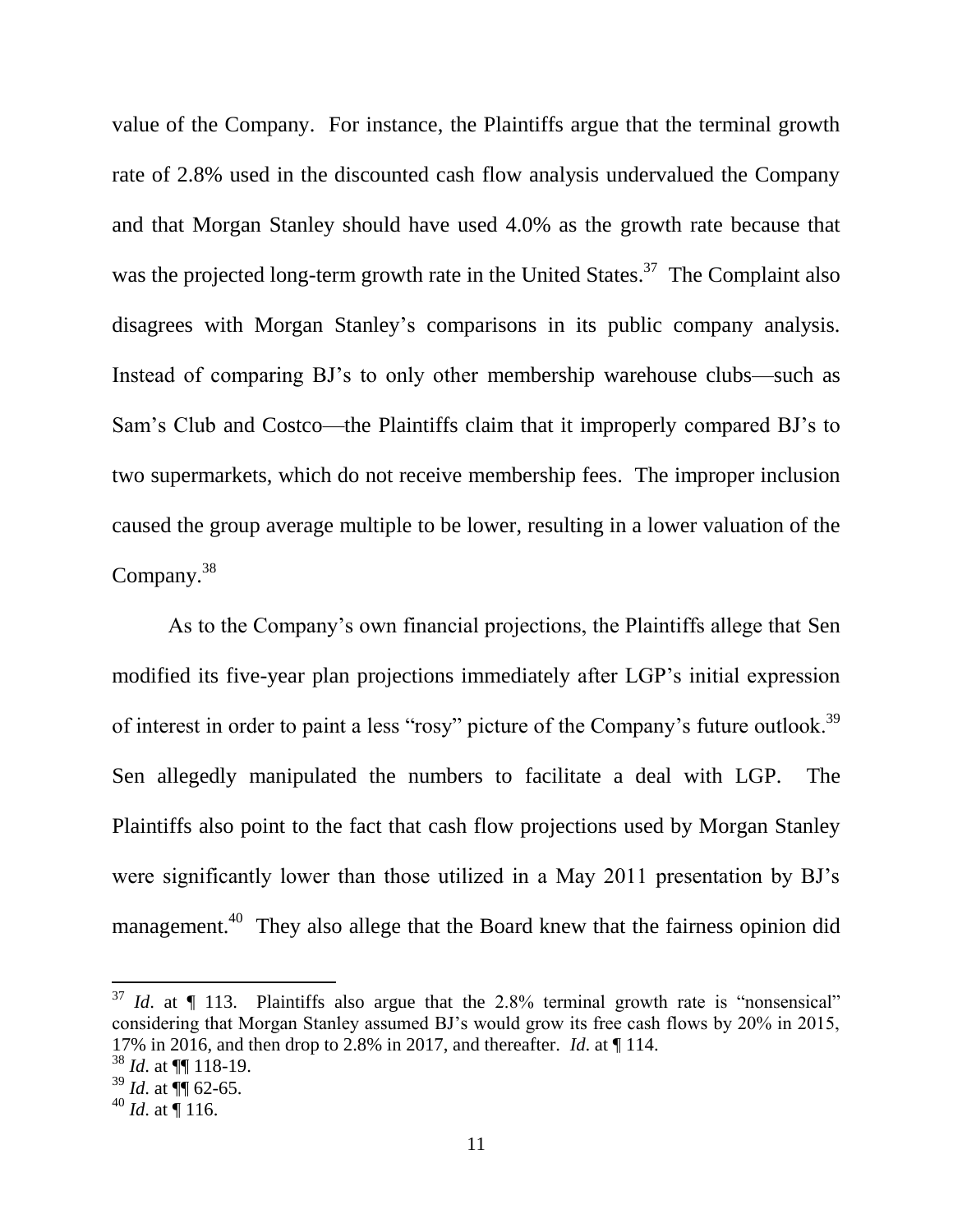value of the Company. For instance, the Plaintiffs argue that the terminal growth rate of 2.8% used in the discounted cash flow analysis undervalued the Company and that Morgan Stanley should have used 4.0% as the growth rate because that was the projected long-term growth rate in the United States.<sup>37</sup> The Complaint also disagrees with Morgan Stanley's comparisons in its public company analysis. Instead of comparing BJ's to only other membership warehouse clubs—such as Sam's Club and Costco—the Plaintiffs claim that it improperly compared BJ's to two supermarkets, which do not receive membership fees. The improper inclusion caused the group average multiple to be lower, resulting in a lower valuation of the Company. $38$ 

As to the Company's own financial projections, the Plaintiffs allege that Sen modified its five-year plan projections immediately after LGP's initial expression of interest in order to paint a less "rosy" picture of the Company's future outlook.<sup>39</sup> Sen allegedly manipulated the numbers to facilitate a deal with LGP. The Plaintiffs also point to the fact that cash flow projections used by Morgan Stanley were significantly lower than those utilized in a May 2011 presentation by BJ's management.<sup>40</sup> They also allege that the Board knew that the fairness opinion did

 $37$  *Id.* at  $\P$  113. Plaintiffs also argue that the 2.8% terminal growth rate is "nonsensical" considering that Morgan Stanley assumed BJ's would grow its free cash flows by 20% in 2015, 17% in 2016, and then drop to 2.8% in 2017, and thereafter. *Id.* at  $\P$  114.

 $38$  *Id.* at  $\P\P$  118-19.

 $39$  *Id.* at  $\overline{99}$  62-65.

 $^{40}$  *Id.* at  $\overline{9}$  116.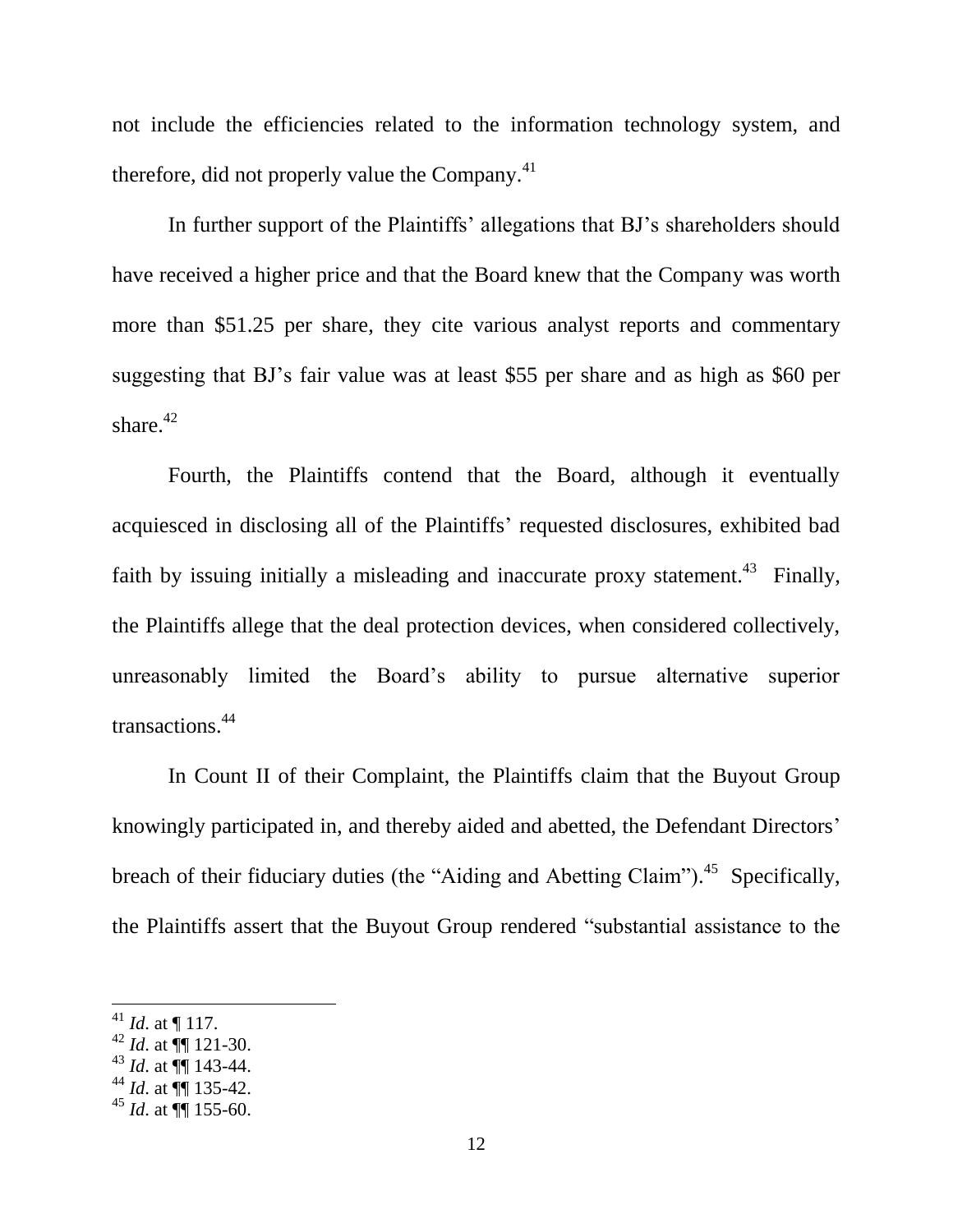not include the efficiencies related to the information technology system, and therefore, did not properly value the Company.<sup>41</sup>

In further support of the Plaintiffs' allegations that BJ's shareholders should have received a higher price and that the Board knew that the Company was worth more than \$51.25 per share, they cite various analyst reports and commentary suggesting that BJ's fair value was at least \$55 per share and as high as \$60 per share. $42$ 

Fourth, the Plaintiffs contend that the Board, although it eventually acquiesced in disclosing all of the Plaintiffs' requested disclosures, exhibited bad faith by issuing initially a misleading and inaccurate proxy statement.<sup>43</sup> Finally, the Plaintiffs allege that the deal protection devices, when considered collectively, unreasonably limited the Board's ability to pursue alternative superior transactions.<sup>44</sup>

In Count II of their Complaint, the Plaintiffs claim that the Buyout Group knowingly participated in, and thereby aided and abetted, the Defendant Directors' breach of their fiduciary duties (the "Aiding and Abetting Claim").<sup>45</sup> Specifically, the Plaintiffs assert that the Buyout Group rendered "substantial assistance to the

<sup>&</sup>lt;sup>41</sup> *Id.* at  $\P$  117.

 $42$  *Id.* at  $\P$  121-30.

 $^{43}$  *Id.* at  $\P\P$  143-44.

 $^{44}$  *Id.* at  $\P$  135-42.

 $^{45}$  *Id.* at  $\overline{99}$  155-60.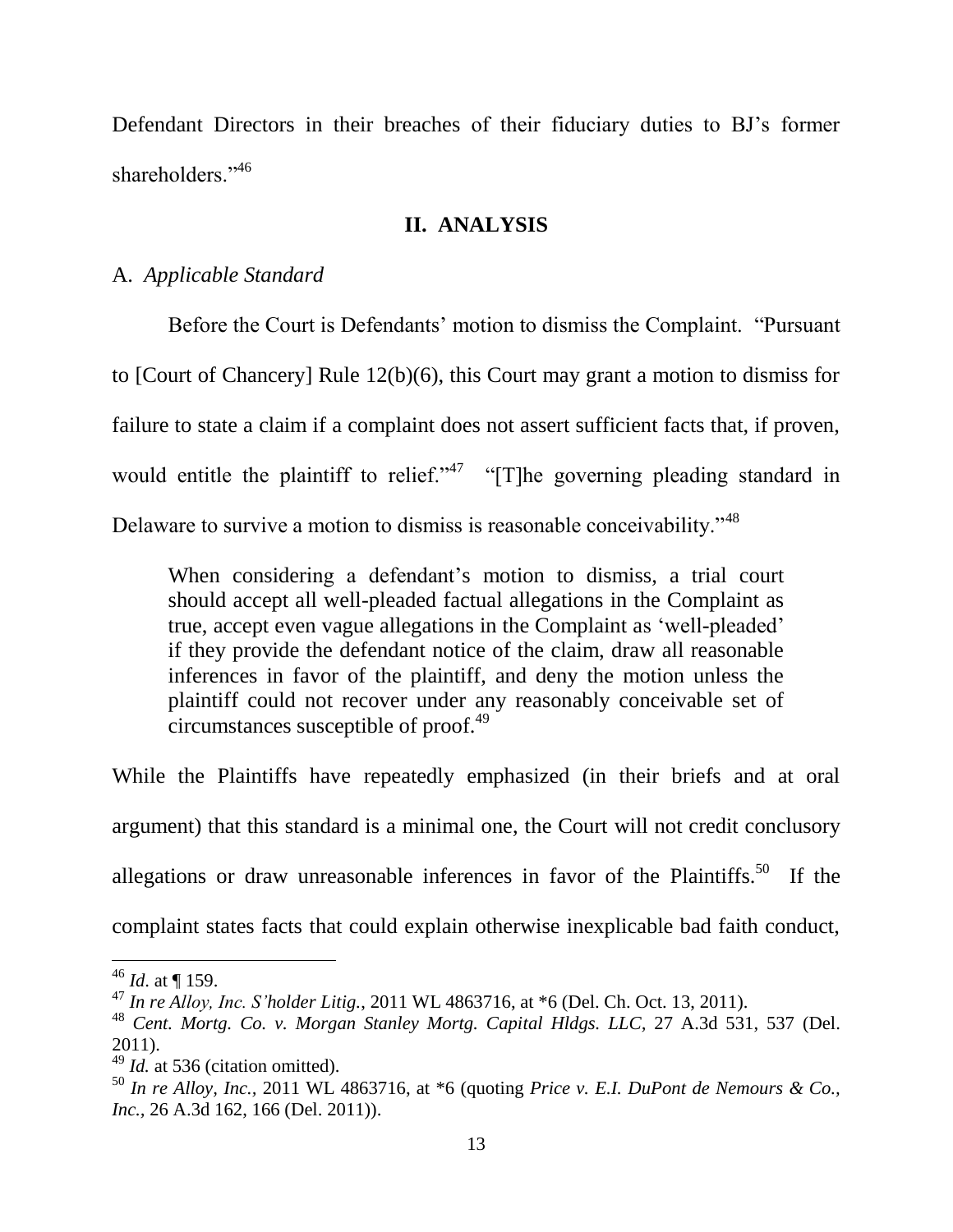Defendant Directors in their breaches of their fiduciary duties to BJ's former shareholders."<sup>46</sup>

### **II. ANALYSIS**

# A. Applicable Standard

Before the Court is Defendants' motion to dismiss the Complaint. "Pursuant" to [Court of Chancery] Rule  $12(b)(6)$ , this Court may grant a motion to dismiss for failure to state a claim if a complaint does not assert sufficient facts that, if proven, would entitle the plaintiff to relief." " $[T]$  he governing pleading standard in Delaware to survive a motion to dismiss is reasonable conceivability."<sup>48</sup>

When considering a defendant's motion to dismiss, a trial court should accept all well-pleaded factual allegations in the Complaint as true, accept even vague allegations in the Complaint as 'well-pleaded' if they provide the defendant notice of the claim, draw all reasonable inferences in favor of the plaintiff, and deny the motion unless the plaintiff could not recover under any reasonably conceivable set of circumstances susceptible of proof.<sup>49</sup>

While the Plaintiffs have repeatedly emphasized (in their briefs and at oral argument) that this standard is a minimal one, the Court will not credit conclusory allegations or draw unreasonable inferences in favor of the Plaintiffs.<sup>50</sup> If the complaint states facts that could explain otherwise inexplicable bad faith conduct,

 $46$  *Id.* at 159.

<sup>&</sup>lt;sup>47</sup> In re Alloy, Inc. S'holder Litig., 2011 WL 4863716, at  $*6$  (Del. Ch. Oct. 13, 2011).

<sup>&</sup>lt;sup>48</sup> Cent. Mortg. Co. v. Morgan Stanley Mortg. Capital Hldgs. LLC, 27 A.3d 531, 537 (Del.  $2011$ ).

 $^{49}$  *Id.* at 536 (citation omitted).

<sup>&</sup>lt;sup>50</sup> In re Alloy, Inc., 2011 WL 4863716, at \*6 (quoting *Price v. E.I. DuPont de Nemours & Co.*, Inc., 26 A.3d 162, 166 (Del. 2011)).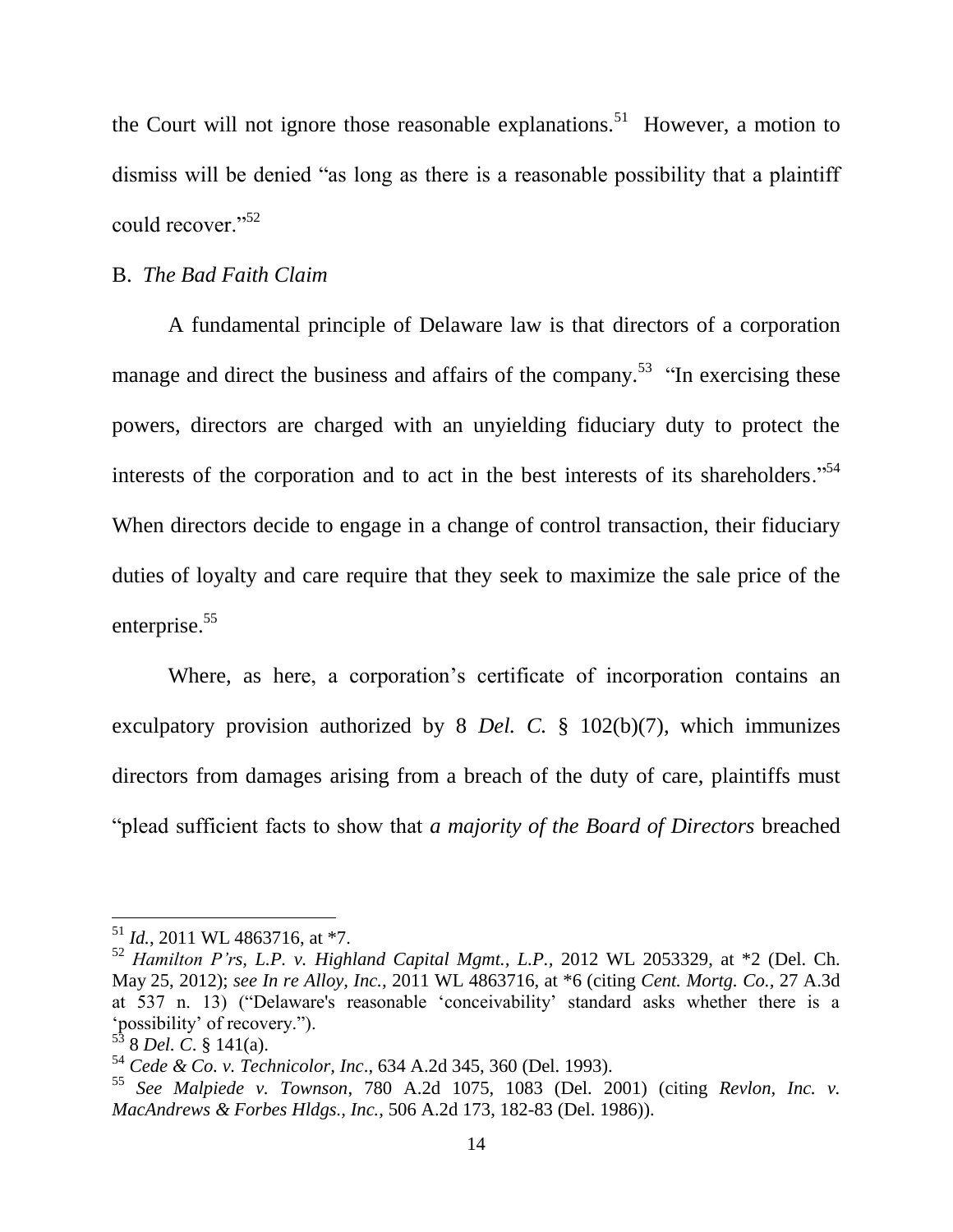the Court will not ignore those reasonable explanations.<sup>51</sup> However, a motion to dismiss will be denied "as long as there is a reasonable possibility that a plaintiff could recover."<sup>52</sup>

### **B.** The Bad Faith Claim

A fundamental principle of Delaware law is that directors of a corporation manage and direct the business and affairs of the company.<sup>53</sup> "In exercising these powers, directors are charged with an unyielding fiduciary duty to protect the interests of the corporation and to act in the best interests of its shareholders."<sup>54</sup> When directors decide to engage in a change of control transaction, their fiduciary duties of loyalty and care require that they seek to maximize the sale price of the enterprise.<sup>55</sup>

Where, as here, a corporation's certificate of incorporation contains an exculpatory provision authorized by 8 Del. C.  $\frac{8}{9}$  102(b)(7), which immunizes directors from damages arising from a breach of the duty of care, plaintiffs must "plead sufficient facts to show that a majority of the Board of Directors breached

 $^{51}$  *Id.*, 2011 WL 4863716, at \*7.

<sup>&</sup>lt;sup>52</sup> Hamilton P'rs, L.P. v. Highland Capital Mgmt., L.P., 2012 WL 2053329, at  $*2$  (Del. Ch. May 25, 2012); see In re Alloy, Inc., 2011 WL 4863716, at \*6 (citing Cent. Mortg. Co., 27 A.3d at 537 n. 13) ("Delaware's reasonable 'conceivability' standard asks whether there is a 'possibility' of recovery.").<br> $53$  8 Del. C. § 141(a).

 $54$  Cede & Co. v. Technicolor, Inc., 634 A.2d 345, 360 (Del. 1993).

<sup>&</sup>lt;sup>55</sup> See Malpiede v. Townson, 780 A.2d 1075, 1083 (Del. 2001) (citing Revlon, Inc. v. MacAndrews & Forbes Hldgs., Inc., 506 A.2d 173, 182-83 (Del. 1986)).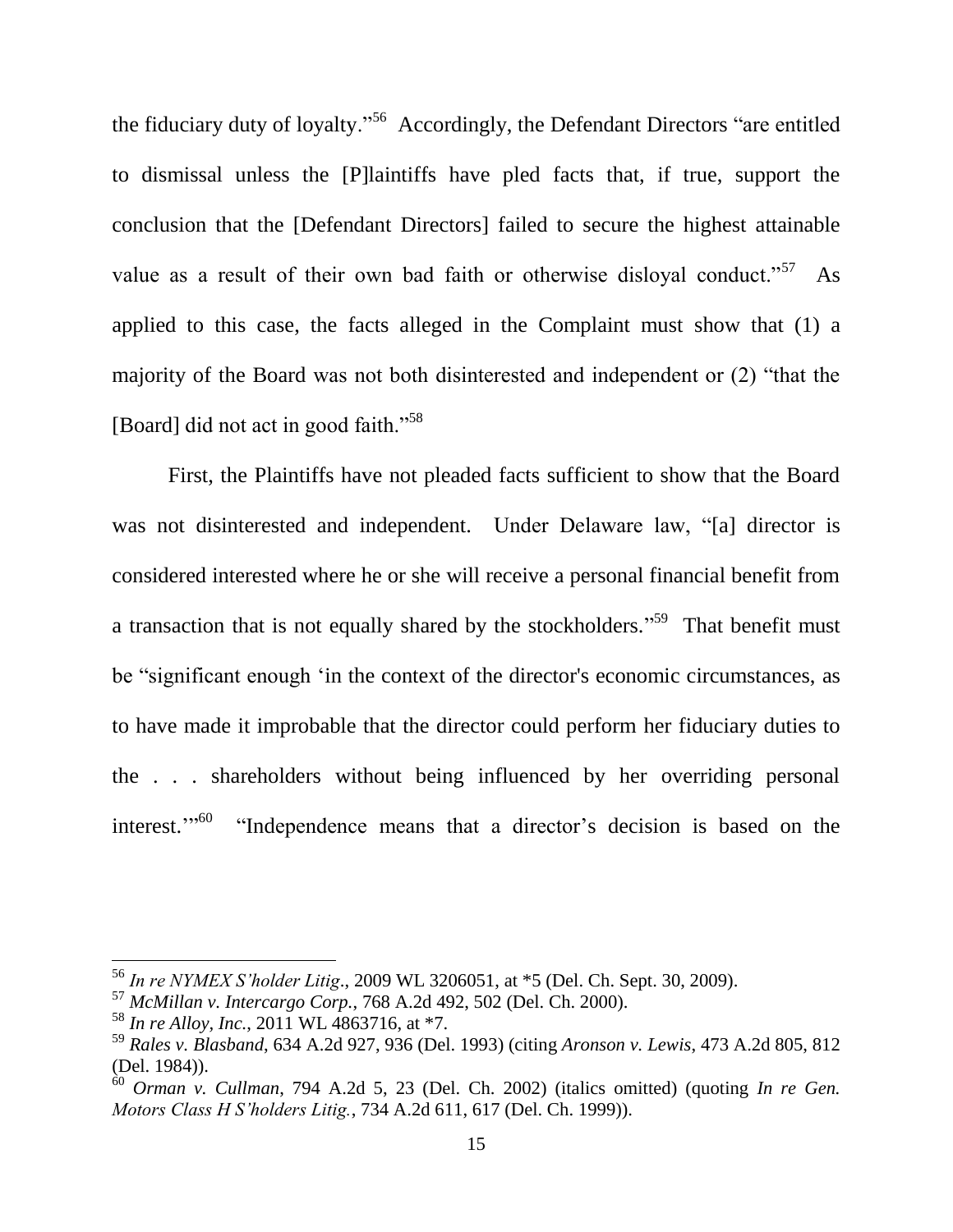the fiduciary duty of loyalty."<sup>56</sup> Accordingly, the Defendant Directors "are entitled to dismissal unless the [P] laintiffs have pled facts that, if true, support the conclusion that the [Defendant Directors] failed to secure the highest attainable value as a result of their own bad faith or otherwise disloyal conduct."<sup>57</sup>  $As$ applied to this case, the facts alleged in the Complaint must show that (1) a majority of the Board was not both disinterested and independent or (2) "that the [Board] did not act in good faith."<sup>58</sup>

First, the Plaintiffs have not pleaded facts sufficient to show that the Board was not disinterested and independent. Under Delaware law, "al director is considered interested where he or she will receive a personal financial benefit from a transaction that is not equally shared by the stockholders."<sup>59</sup> That benefit must be "significant enough 'in the context of the director's economic circumstances, as to have made it improbable that the director could perform her fiduciary duties to the . . . shareholders without being influenced by her overriding personal interest."<sup>50</sup> "Independence means that a director's decision is based on the

<sup>&</sup>lt;sup>56</sup> In re NYMEX S'holder Litig., 2009 WL 3206051, at \*5 (Del. Ch. Sept. 30, 2009).

 $57$  McMillan v. Intercargo Corp., 768 A.2d 492, 502 (Del. Ch. 2000).

 $58$  In re Alloy, Inc., 2011 WL 4863716, at \*7.

 $^{59}$  Rales v. Blasband, 634 A.2d 927, 936 (Del. 1993) (citing Aronson v. Lewis, 473 A.2d 805, 812 (Del. 1984)).

 $\frac{60}{100}$  Orman v. Cullman, 794 A.2d 5, 23 (Del. Ch. 2002) (italics omitted) (quoting In re Gen. Motors Class H S'holders Litig., 734 A.2d 611, 617 (Del. Ch. 1999)).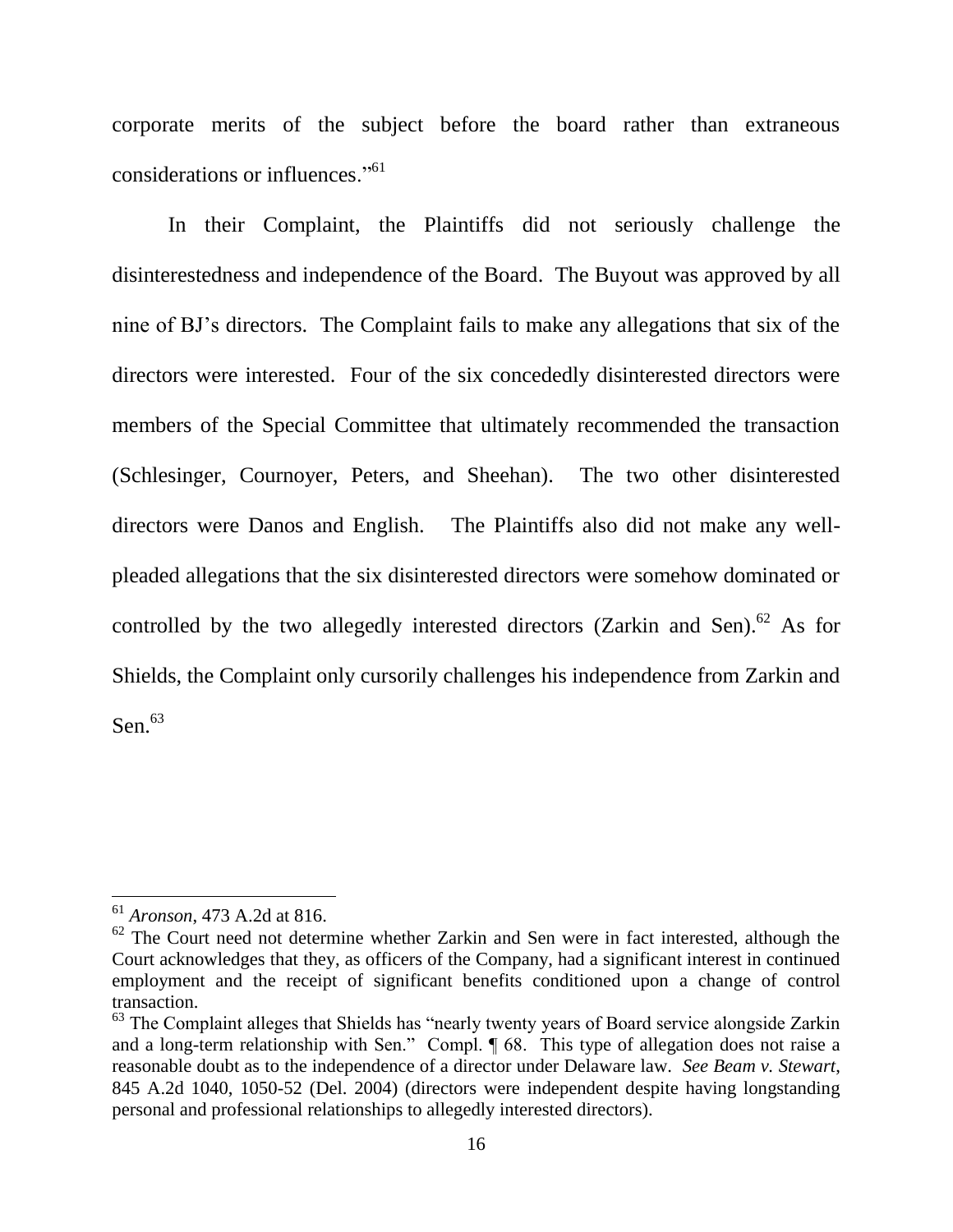corporate merits of the subject before the board rather than extraneous considerations or influences."<sup>61</sup>

In their Complaint, the Plaintiffs did not seriously challenge the disinterestedness and independence of the Board. The Buyout was approved by all nine of BJ's directors. The Complaint fails to make any allegations that six of the directors were interested. Four of the six concededly disinterested directors were members of the Special Committee that ultimately recommended the transaction (Schlesinger, Cournoyer, Peters, and Sheehan). The two other disinterested directors were Danos and English. The Plaintiffs also did not make any wellpleaded allegations that the six disinterested directors were somehow dominated or controlled by the two allegedly interested directors (Zarkin and Sen).<sup>62</sup> As for Shields, the Complaint only cursorily challenges his independence from Zarkin and Sen. $63$ 

 $61$  *Aronson*, 473 A.2d at 816.

 $62$  The Court need not determine whether Zarkin and Sen were in fact interested, although the Court acknowledges that they, as officers of the Company, had a significant interest in continued employment and the receipt of significant benefits conditioned upon a change of control transaction.

<sup>&</sup>lt;sup>63</sup> The Complaint alleges that Shields has "nearly twenty years of Board service alongside Zarkin and a long-term relationship with Sen." Compl. ¶ 68. This type of allegation does not raise a reasonable doubt as to the independence of a director under Delaware law. See Beam v. Stewart, 845 A.2d 1040, 1050-52 (Del. 2004) (directors were independent despite having longstanding personal and professional relationships to allegedly interested directors).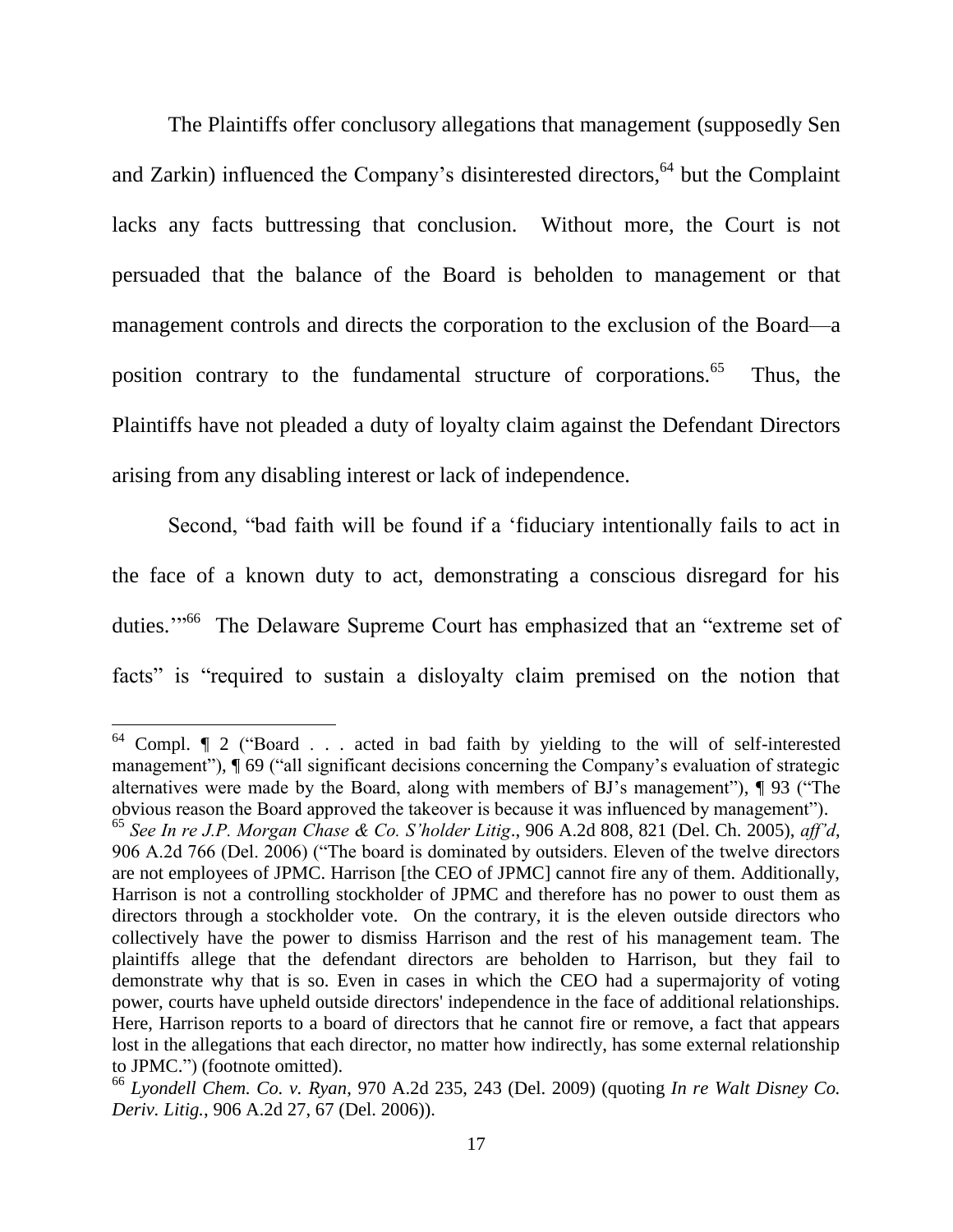The Plaintiffs offer conclusory allegations that management (supposedly Sen and Zarkin) influenced the Company's disinterested directors,<sup>64</sup> but the Complaint lacks any facts buttressing that conclusion. Without more, the Court is not persuaded that the balance of the Board is beholden to management or that management controls and directs the corporation to the exclusion of the Board—a position contrary to the fundamental structure of corporations.<sup>65</sup> Thus, the Plaintiffs have not pleaded a duty of loyalty claim against the Defendant Directors arising from any disabling interest or lack of independence.

Second, "bad faith will be found if a 'fiduciary intentionally fails to act in the face of a known duty to act, demonstrating a conscious disregard for his duties."<sup>56</sup> The Delaware Supreme Court has emphasized that an "extreme set of facts" is "required to sustain a dislovalty claim premised on the notion that

<sup>&</sup>lt;sup>64</sup> Compl. ¶ 2 ("Board . . . acted in bad faith by yielding to the will of self-interested management"), ¶ 69 ("all significant decisions concerning the Company's evaluation of strategic alternatives were made by the Board, along with members of BJ's management"), ¶ 93 ("The obvious reason the Board approved the takeover is because it was influenced by management"). <sup>65</sup> See In re J.P. Morgan Chase & Co. S'holder Litig., 906 A.2d 808, 821 (Del. Ch. 2005), aff'd, 906 A.2d 766 (Del. 2006) ("The board is dominated by outsiders. Eleven of the twelve directors are not employees of JPMC. Harrison [the CEO of JPMC] cannot fire any of them. Additionally, Harrison is not a controlling stockholder of JPMC and therefore has no power to oust them as directors through a stockholder vote. On the contrary, it is the eleven outside directors who collectively have the power to dismiss Harrison and the rest of his management team. The plaintiffs allege that the defendant directors are beholden to Harrison, but they fail to demonstrate why that is so. Even in cases in which the CEO had a supermajority of voting power, courts have upheld outside directors' independence in the face of additional relationships. Here, Harrison reports to a board of directors that he cannot fire or remove, a fact that appears lost in the allegations that each director, no matter how indirectly, has some external relationship to JPMC.") (footnote omitted).

 $^{66}$  Lyondell Chem. Co. v. Ryan, 970 A.2d 235, 243 (Del. 2009) (quoting In re Walt Disney Co. Deriv. Litig., 906 A.2d 27, 67 (Del. 2006)).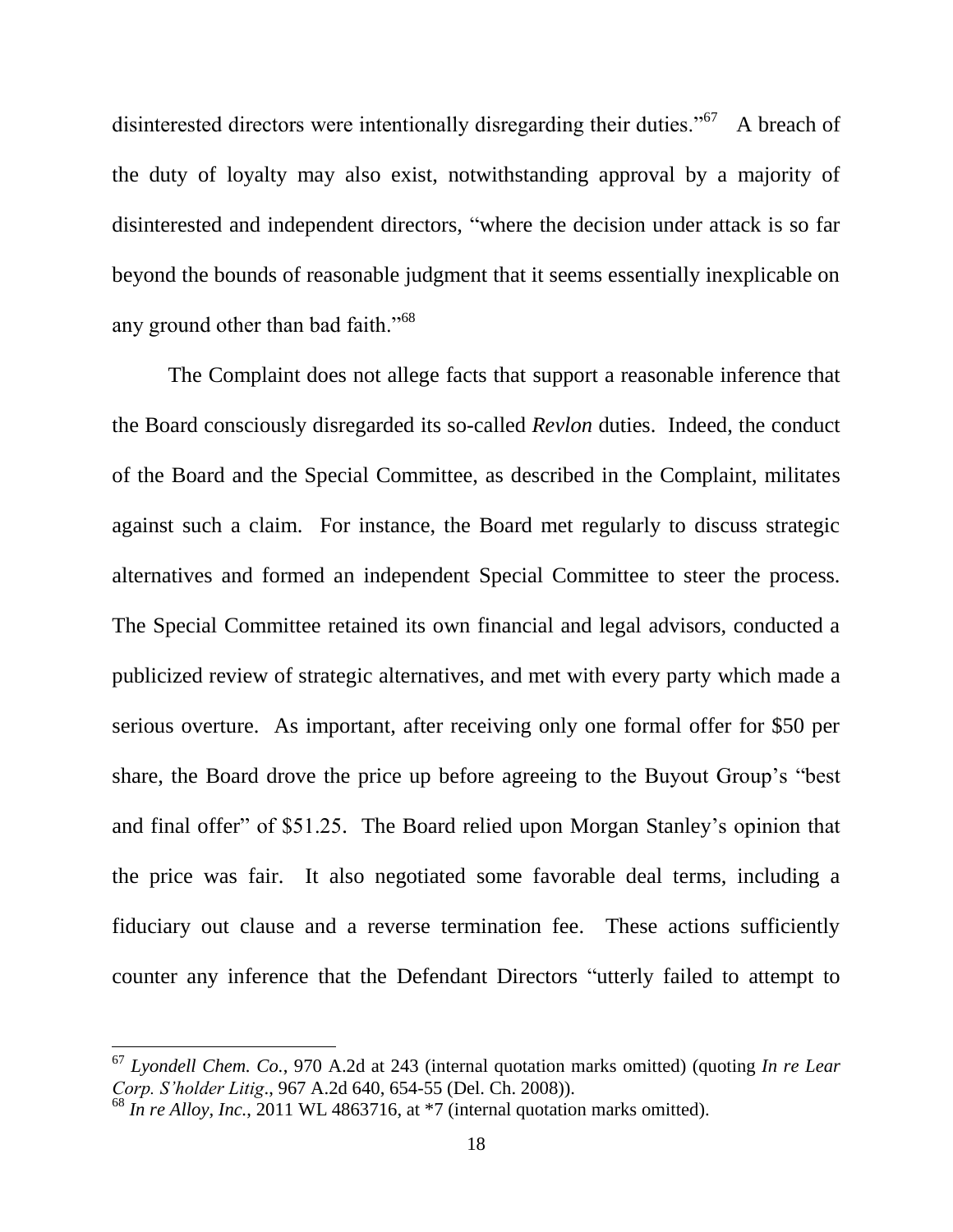disinterested directors were intentionally disregarding their duties."<sup>67</sup> A breach of the duty of loyalty may also exist, notwithstanding approval by a majority of disinterested and independent directors, "where the decision under attack is so far beyond the bounds of reasonable judgment that it seems essentially inexplicable on any ground other than bad faith."<sup>68</sup>

The Complaint does not allege facts that support a reasonable inference that the Board consciously disregarded its so-called Revlon duties. Indeed, the conduct of the Board and the Special Committee, as described in the Complaint, militates against such a claim. For instance, the Board met regularly to discuss strategic alternatives and formed an independent Special Committee to steer the process. The Special Committee retained its own financial and legal advisors, conducted a publicized review of strategic alternatives, and met with every party which made a serious overture. As important, after receiving only one formal offer for \$50 per share, the Board drove the price up before agreeing to the Buyout Group's "best" and final offer" of \$51.25. The Board relied upon Morgan Stanley's opinion that the price was fair. It also negotiated some favorable deal terms, including a fiduciary out clause and a reverse termination fee. These actions sufficiently counter any inference that the Defendant Directors "utterly failed to attempt to

 $67$  Lyondell Chem. Co., 970 A.2d at 243 (internal quotation marks omitted) (quoting In re Lear Corp. S'holder Litig., 967 A.2d 640, 654-55 (Del. Ch. 2008)).

 $^{68}$  In re Alloy, Inc., 2011 WL 4863716, at \*7 (internal quotation marks omitted).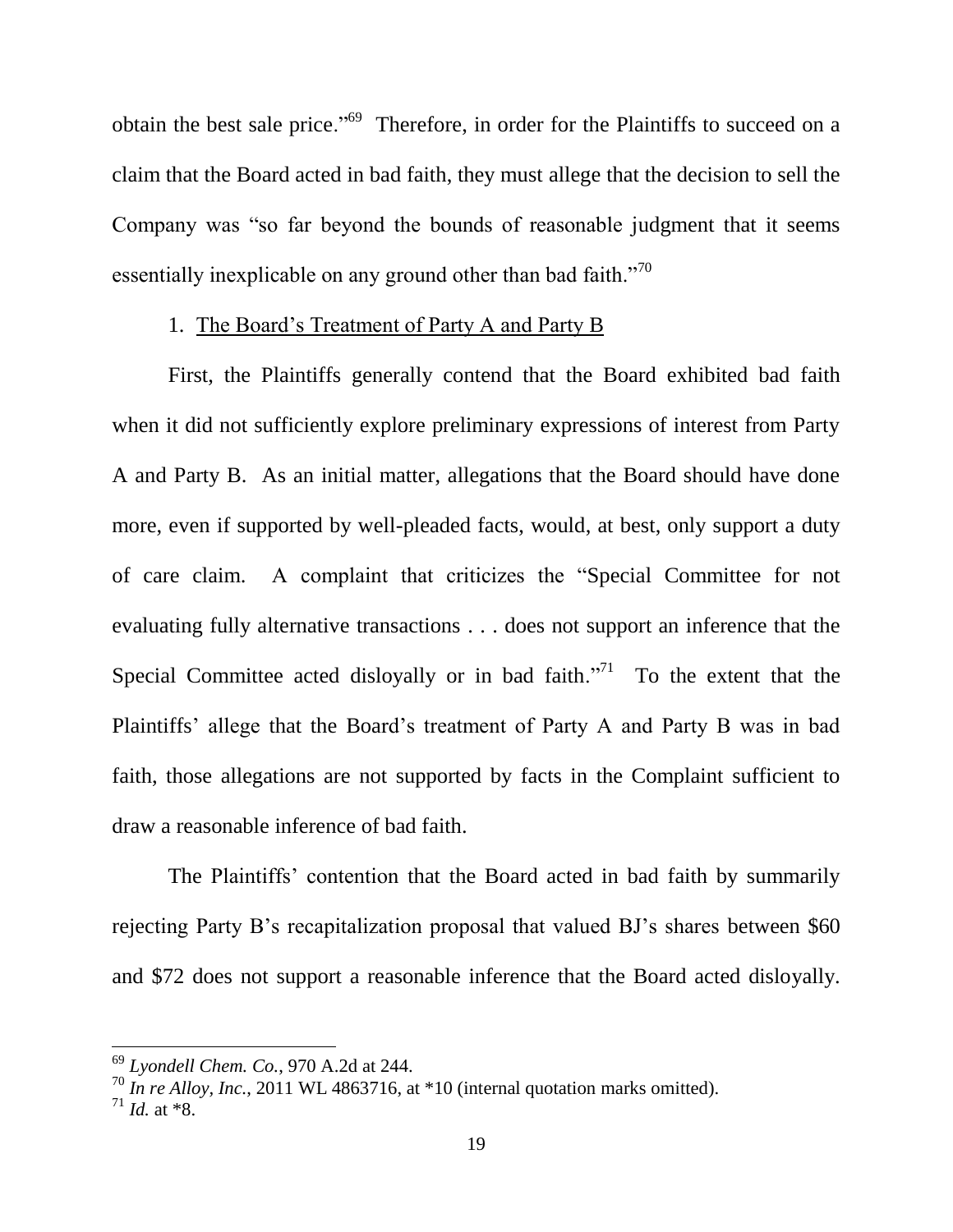obtain the best sale price."<sup>69</sup> Therefore, in order for the Plaintiffs to succeed on a claim that the Board acted in bad faith, they must allege that the decision to sell the Company was "so far beyond the bounds of reasonable judgment that it seems essentially inexplicable on any ground other than bad faith."<sup>70</sup>

#### 1. The Board's Treatment of Party A and Party B

First, the Plaintiffs generally contend that the Board exhibited bad faith when it did not sufficiently explore preliminary expressions of interest from Party A and Party B. As an initial matter, allegations that the Board should have done more, even if supported by well-pleaded facts, would, at best, only support a duty of care claim. A complaint that criticizes the "Special Committee for not evaluating fully alternative transactions . . . does not support an inference that the Special Committee acted disloyally or in bad faith."<sup>71</sup> To the extent that the Plaintiffs' allege that the Board's treatment of Party A and Party B was in bad faith, those allegations are not supported by facts in the Complaint sufficient to draw a reasonable inference of bad faith.

The Plaintiffs' contention that the Board acted in bad faith by summarily rejecting Party B's recapitalization proposal that valued BJ's shares between \$60 and \$72 does not support a reasonable inference that the Board acted disloyally.

 $^{69}$  Lyondell Chem. Co., 970 A.2d at 244.

 $\frac{70}{10}$  In re Alloy, Inc., 2011 WL 4863716, at \*10 (internal quotation marks omitted).

 $^{71}$  *Id.* at \*8.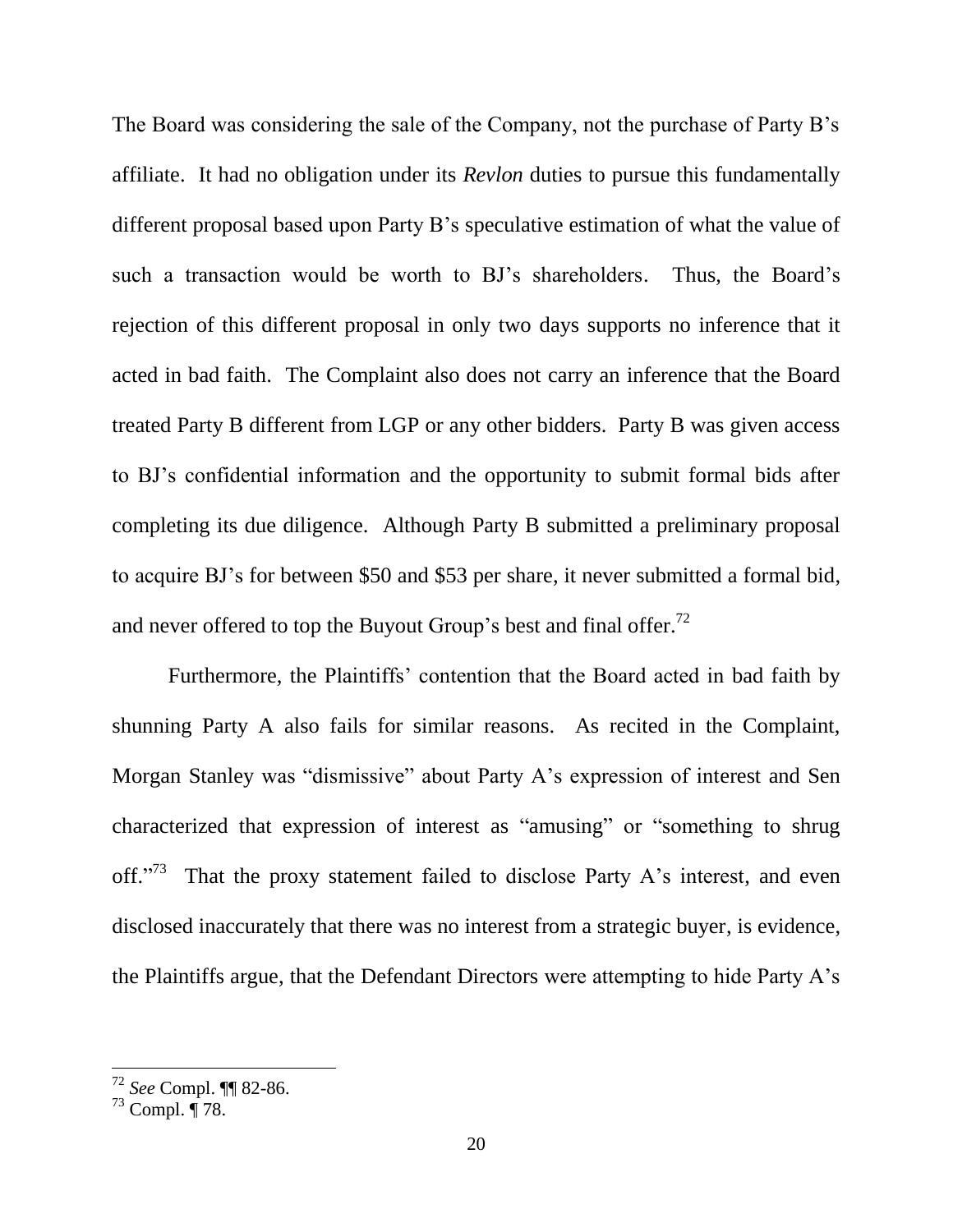The Board was considering the sale of the Company, not the purchase of Party B's affiliate. It had no obligation under its *Revlon* duties to pursue this fundamentally different proposal based upon Party B's speculative estimation of what the value of such a transaction would be worth to BJ's shareholders. Thus, the Board's rejection of this different proposal in only two days supports no inference that it acted in bad faith. The Complaint also does not carry an inference that the Board treated Party B different from LGP or any other bidders. Party B was given access to BJ's confidential information and the opportunity to submit formal bids after completing its due diligence. Although Party B submitted a preliminary proposal to acquire BJ's for between \$50 and \$53 per share, it never submitted a formal bid, and never offered to top the Buyout Group's best and final offer.<sup>72</sup>

Furthermore, the Plaintiffs' contention that the Board acted in bad faith by shunning Party A also fails for similar reasons. As recited in the Complaint, Morgan Stanley was "dismissive" about Party A's expression of interest and Sen characterized that expression of interest as "amusing" or "something to shrug off."<sup>73</sup> That the proxy statement failed to disclose Party A's interest, and even disclosed inaccurately that there was no interest from a strategic buyer, is evidence, the Plaintiffs argue, that the Defendant Directors were attempting to hide Party A's

<sup>&</sup>lt;sup>72</sup> See Compl. ¶¶ 82-86.

 $73$  Compl.  $\overline{178}$ .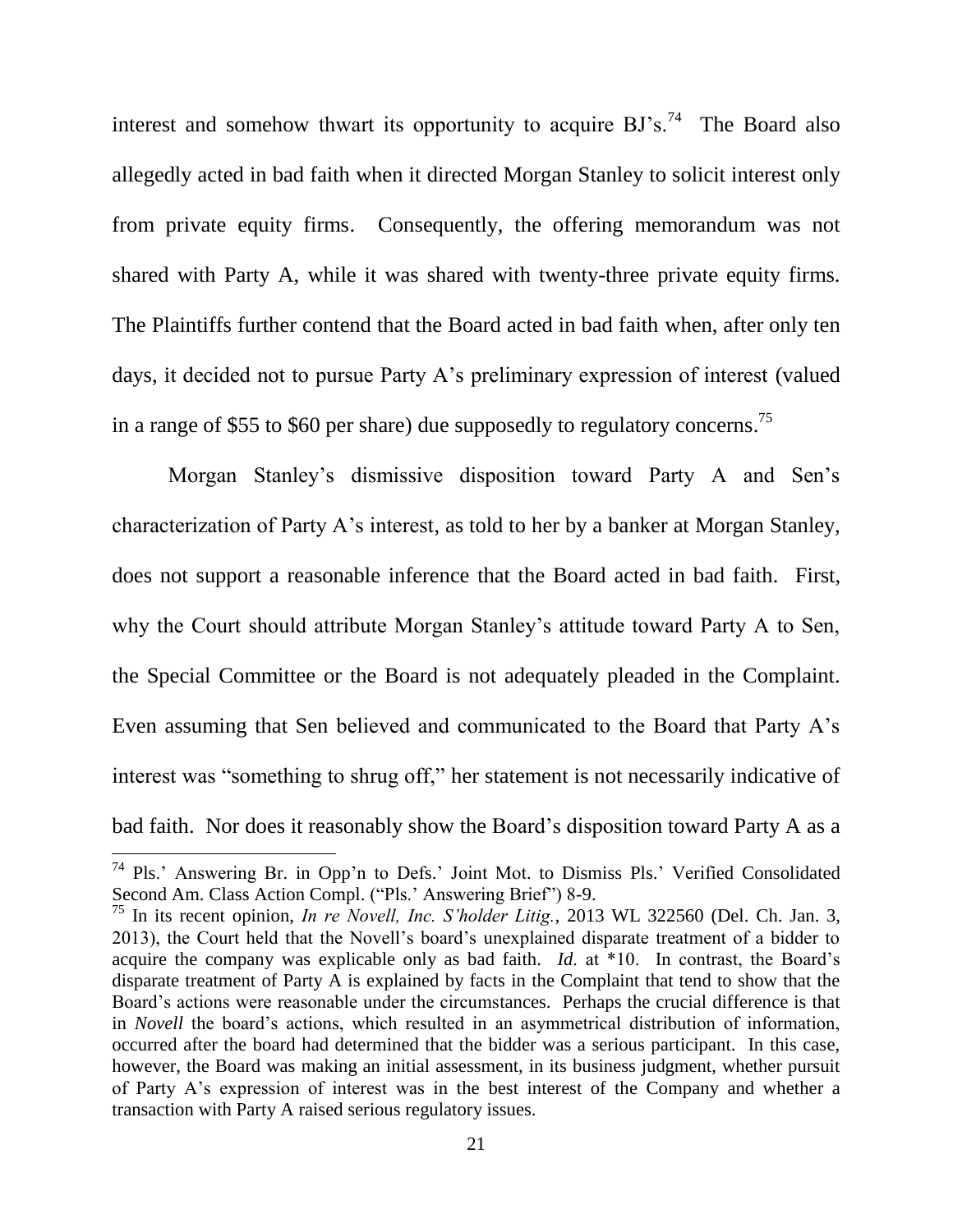interest and somehow thwart its opportunity to acquire  $BJ's$ .<sup>74</sup> The Board also allegedly acted in bad faith when it directed Morgan Stanley to solicit interest only from private equity firms. Consequently, the offering memorandum was not shared with Party A, while it was shared with twenty-three private equity firms. The Plaintiffs further contend that the Board acted in bad faith when, after only ten days, it decided not to pursue Party A's preliminary expression of interest (valued in a range of \$55 to \$60 per share) due supposedly to regulatory concerns.<sup>75</sup>

Morgan Stanley's dismissive disposition toward Party A and Sen's characterization of Party A's interest, as told to her by a banker at Morgan Stanley, does not support a reasonable inference that the Board acted in bad faith. First, why the Court should attribute Morgan Stanley's attitude toward Party A to Sen, the Special Committee or the Board is not adequately pleaded in the Complaint. Even assuming that Sen believed and communicated to the Board that Party A's interest was "something to shrug off," her statement is not necessarily indicative of bad faith. Nor does it reasonably show the Board's disposition toward Party A as a

<sup>&</sup>lt;sup>74</sup> Pls.' Answering Br. in Opp'n to Defs.' Joint Mot. to Dismiss Pls.' Verified Consolidated Second Am. Class Action Compl. ("Pls.' Answering Brief") 8-9.

<sup>&</sup>lt;sup>75</sup> In its recent opinion, *In re Novell, Inc. S'holder Litig.*, 2013 WL 322560 (Del. Ch. Jan. 3, 2013), the Court held that the Novell's board's unexplained disparate treatment of a bidder to acquire the company was explicable only as bad faith. *Id.* at  $*10$ . In contrast, the Board's disparate treatment of Party A is explained by facts in the Complaint that tend to show that the Board's actions were reasonable under the circumstances. Perhaps the crucial difference is that in *Novell* the board's actions, which resulted in an asymmetrical distribution of information, occurred after the board had determined that the bidder was a serious participant. In this case, however, the Board was making an initial assessment, in its business judgment, whether pursuit of Party A's expression of interest was in the best interest of the Company and whether a transaction with Party A raised serious regulatory issues.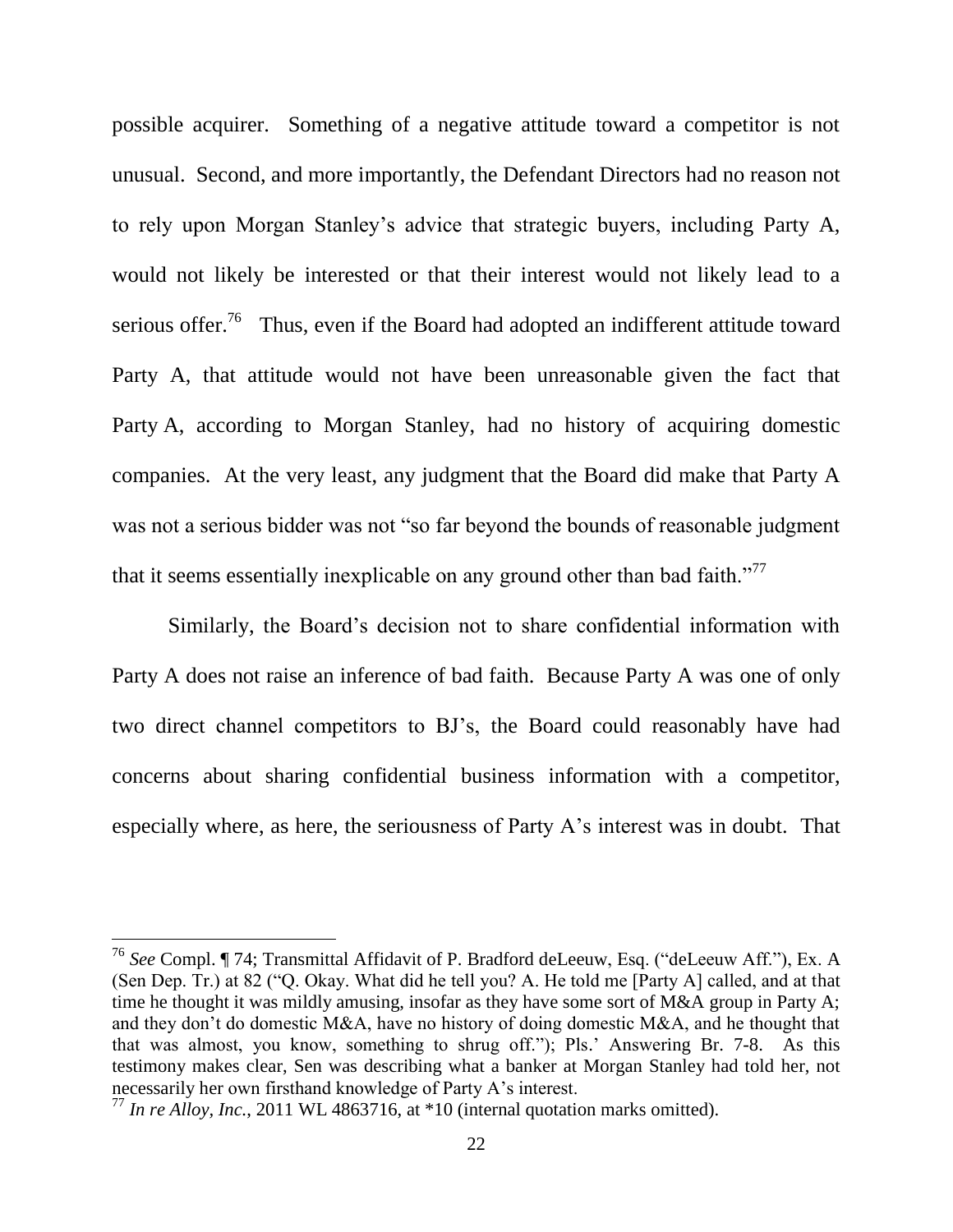possible acquirer. Something of a negative attitude toward a competitor is not unusual. Second, and more importantly, the Defendant Directors had no reason not to rely upon Morgan Stanley's advice that strategic buyers, including Party A, would not likely be interested or that their interest would not likely lead to a serious offer.<sup>76</sup> Thus, even if the Board had adopted an indifferent attitude toward Party A, that attitude would not have been unreasonable given the fact that Party A, according to Morgan Stanley, had no history of acquiring domestic companies. At the very least, any judgment that the Board did make that Party A was not a serious bidder was not "so far beyond the bounds of reasonable judgment that it seems essentially inexplicable on any ground other than bad faith."<sup>77</sup>

Similarly, the Board's decision not to share confidential information with Party A does not raise an inference of bad faith. Because Party A was one of only two direct channel competitors to BJ's, the Board could reasonably have had concerns about sharing confidential business information with a competitor, especially where, as here, the seriousness of Party A's interest was in doubt. That

<sup>&</sup>lt;sup>76</sup> See Compl. ¶ 74; Transmittal Affidavit of P. Bradford deLeeuw, Esq. ("deLeeuw Aff."), Ex. A (Sen Dep. Tr.) at 82 ("Q. Okay. What did he tell you? A. He told me [Party A] called, and at that time he thought it was mildly amusing, insofar as they have some sort of M&A group in Party A; and they don't do domestic M&A, have no history of doing domestic M&A, and he thought that that was almost, you know, something to shrug off."); Pls.' Answering Br. 7-8. As this testimony makes clear. Sen was describing what a banker at Morgan Stanley had told her, not necessarily her own firsthand knowledge of Party A's interest.

<sup>&</sup>lt;sup>77</sup> In re Alloy, Inc., 2011 WL 4863716, at \*10 (internal quotation marks omitted).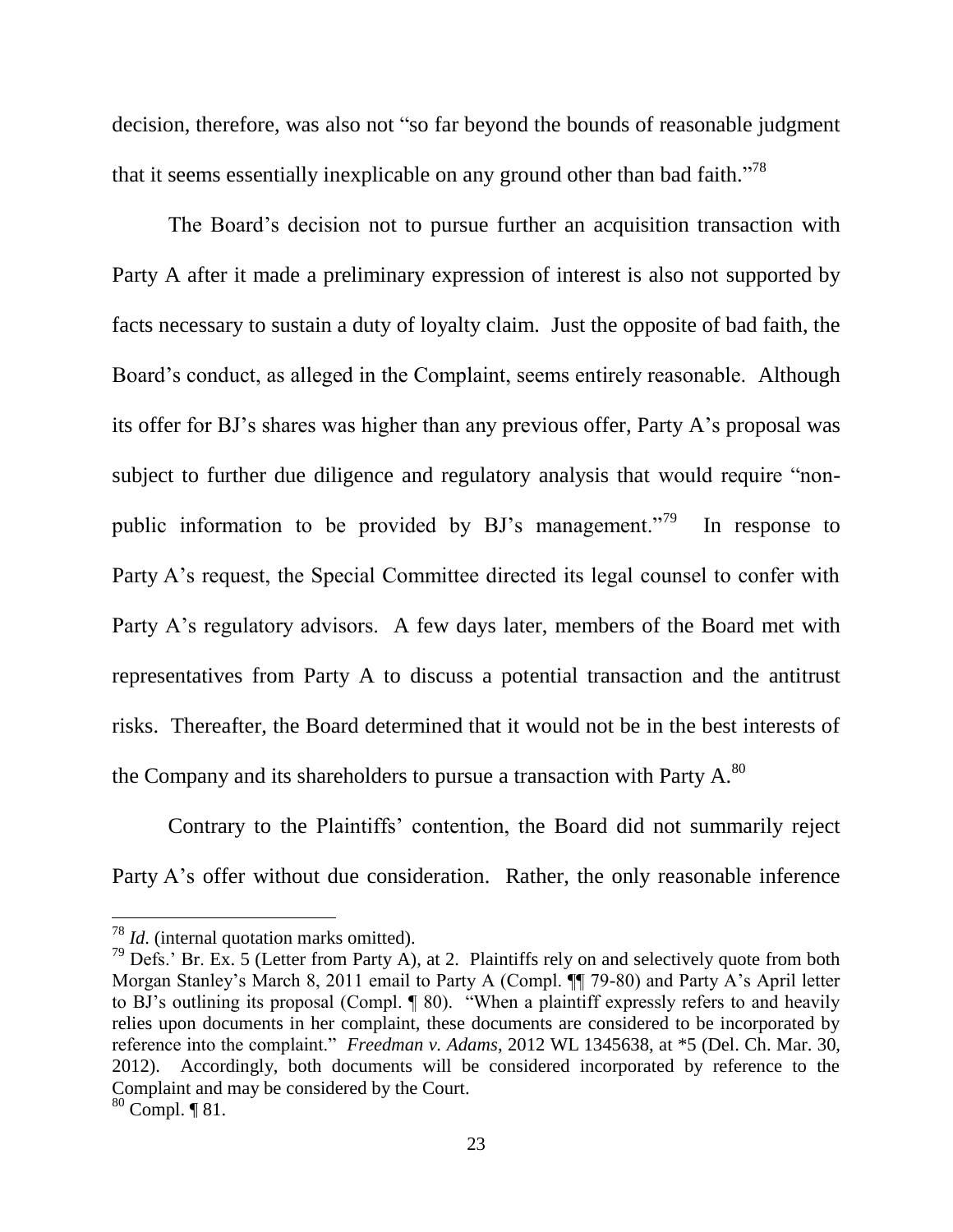decision, therefore, was also not "so far beyond the bounds of reasonable judgment that it seems essentially inexplicable on any ground other than bad faith."<sup>78</sup>

The Board's decision not to pursue further an acquisition transaction with Party A after it made a preliminary expression of interest is also not supported by facts necessary to sustain a duty of loyalty claim. Just the opposite of bad faith, the Board's conduct, as alleged in the Complaint, seems entirely reasonable. Although its offer for BJ's shares was higher than any previous offer, Party A's proposal was subject to further due diligence and regulatory analysis that would require "nonpublic information to be provided by BJ's management."<sup>79</sup> In response to Party A's request, the Special Committee directed its legal counsel to confer with Party A's regulatory advisors. A few days later, members of the Board met with representatives from Party A to discuss a potential transaction and the antitrust risks. Thereafter, the Board determined that it would not be in the best interests of the Company and its shareholders to pursue a transaction with Party A.<sup>80</sup>

Contrary to the Plaintiffs' contention, the Board did not summarily reject Party A's offer without due consideration. Rather, the only reasonable inference

 $^{78}$  *Id.* (internal quotation marks omitted).

<sup>&</sup>lt;sup>79</sup> Defs.' Br. Ex. 5 (Letter from Party A), at 2. Plaintiffs rely on and selectively quote from both Morgan Stanley's March 8, 2011 email to Party A (Compl. ¶] 79-80) and Party A's April letter to BJ's outlining its proposal (Compl. ¶ 80). "When a plaintiff expressly refers to and heavily relies upon documents in her complaint, these documents are considered to be incorporated by reference into the complaint." *Freedman v. Adams*, 2012 WL 1345638, at \*5 (Del. Ch. Mar. 30, 2012). Accordingly, both documents will be considered incorporated by reference to the Complaint and may be considered by the Court.

 $80$  Compl.  $\P$  81.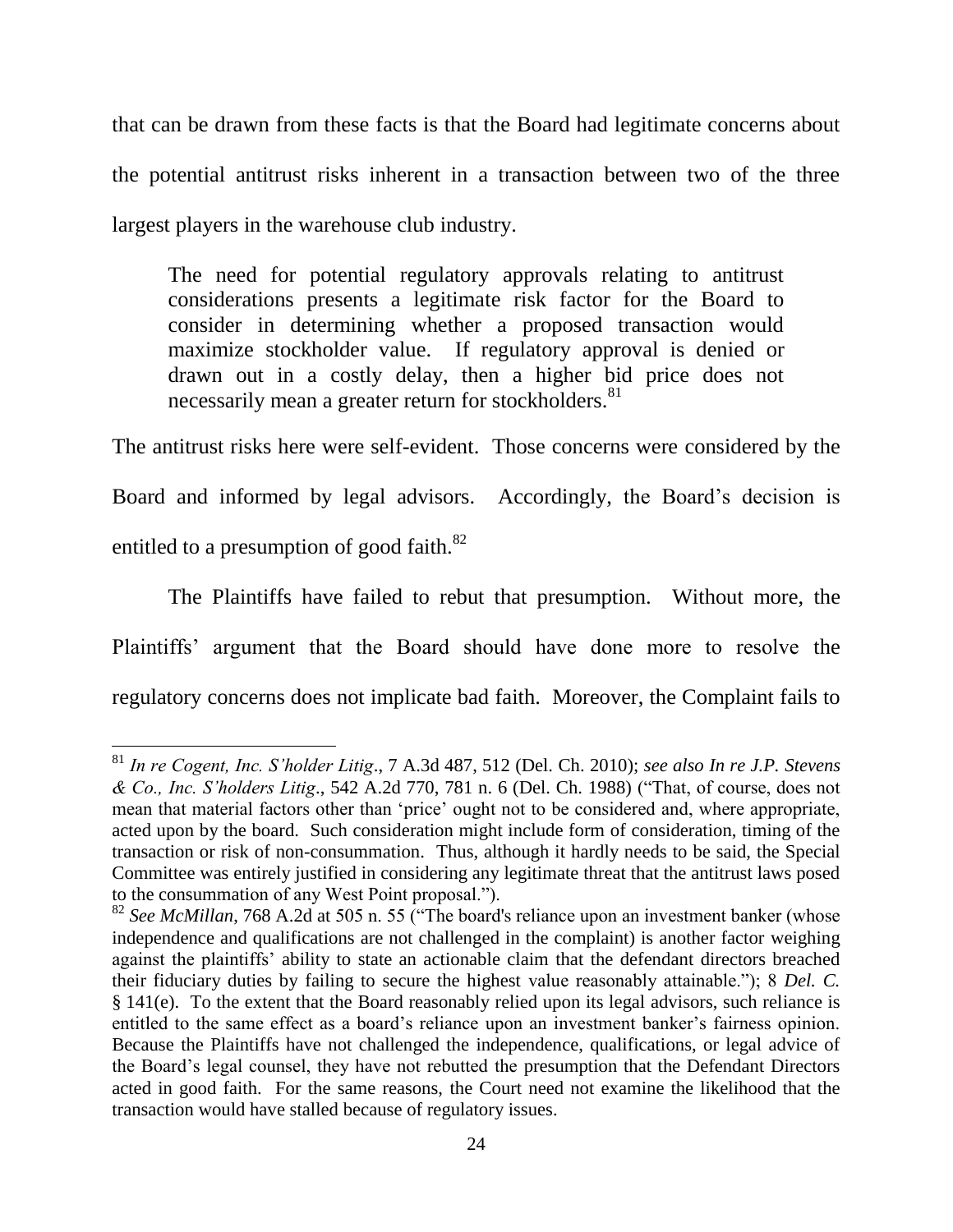that can be drawn from these facts is that the Board had legitimate concerns about the potential antitrust risks inherent in a transaction between two of the three largest players in the warehouse club industry.

The need for potential regulatory approvals relating to antitrust considerations presents a legitimate risk factor for the Board to consider in determining whether a proposed transaction would maximize stockholder value. If regulatory approval is denied or drawn out in a costly delay, then a higher bid price does not necessarily mean a greater return for stockholders.<sup>81</sup>

The antitrust risks here were self-evident. Those concerns were considered by the Board and informed by legal advisors. Accordingly, the Board's decision is entitled to a presumption of good faith.<sup>82</sup>

The Plaintiffs have failed to rebut that presumption. Without more, the Plaintiffs' argument that the Board should have done more to resolve the regulatory concerns does not implicate bad faith. Moreover, the Complaint fails to

<sup>&</sup>lt;sup>81</sup> In re Cogent, Inc. S'holder Litig., 7 A.3d 487, 512 (Del. Ch. 2010); see also In re J.P. Stevens & Co., Inc. S'holders Litig., 542 A.2d 770, 781 n. 6 (Del. Ch. 1988) ("That, of course, does not mean that material factors other than 'price' ought not to be considered and, where appropriate, acted upon by the board. Such consideration might include form of consideration, timing of the transaction or risk of non-consummation. Thus, although it hardly needs to be said, the Special Committee was entirely justified in considering any legitimate threat that the antitrust laws posed to the consummation of any West Point proposal.").

<sup>&</sup>lt;sup>82</sup> See McMillan, 768 A.2d at 505 n. 55 ("The board's reliance upon an investment banker (whose independence and qualifications are not challenged in the complaint) is another factor weighing against the plaintiffs' ability to state an actionable claim that the defendant directors breached their fiduciary duties by failing to secure the highest value reasonably attainable."); 8 Del. C.  $§$  141(e). To the extent that the Board reasonably relied upon its legal advisors, such reliance is entitled to the same effect as a board's reliance upon an investment banker's fairness opinion. Because the Plaintiffs have not challenged the independence, qualifications, or legal advice of the Board's legal counsel, they have not rebutted the presumption that the Defendant Directors acted in good faith. For the same reasons, the Court need not examine the likelihood that the transaction would have stalled because of regulatory issues.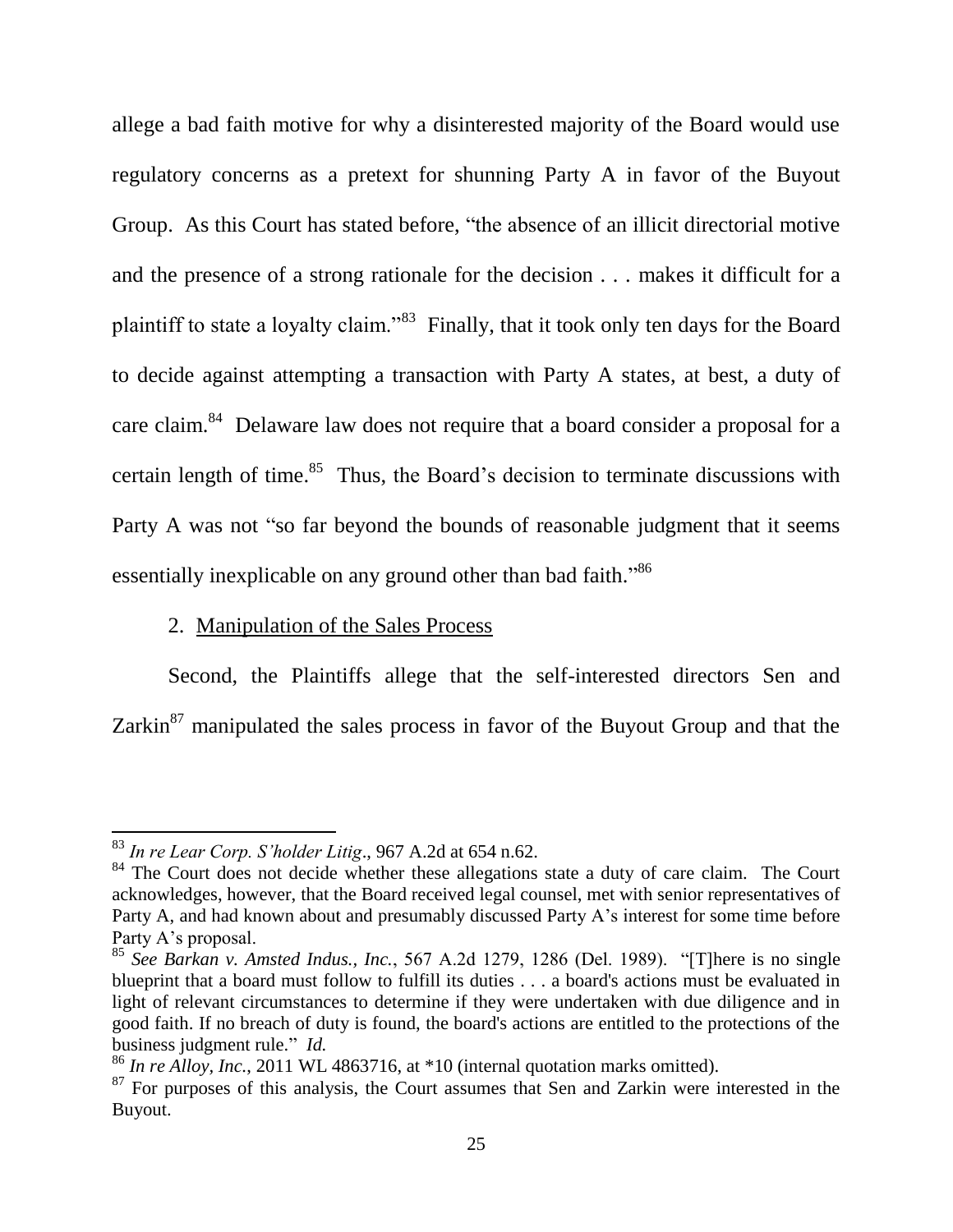allege a bad faith motive for why a disinterested majority of the Board would use regulatory concerns as a pretext for shunning Party A in favor of the Buyout Group. As this Court has stated before, "the absence of an illicit directorial motive and the presence of a strong rationale for the decision . . . makes it difficult for a plaintiff to state a loyalty claim."<sup>83</sup> Finally, that it took only ten days for the Board to decide against attempting a transaction with Party A states, at best, a duty of care claim.<sup>84</sup> Delaware law does not require that a board consider a proposal for a certain length of time.<sup>85</sup> Thus, the Board's decision to terminate discussions with Party A was not "so far beyond the bounds of reasonable judgment that it seems essentially inexplicable on any ground other than bad faith."<sup>86</sup>

### 2. Manipulation of the Sales Process

Second, the Plaintiffs allege that the self-interested directors Sen and Zarkin<sup>87</sup> manipulated the sales process in favor of the Buyout Group and that the

 $83$  In re Lear Corp. S'holder Litig., 967 A.2d at 654 n.62.

<sup>&</sup>lt;sup>84</sup> The Court does not decide whether these allegations state a duty of care claim. The Court acknowledges, however, that the Board received legal counsel, met with senior representatives of Party A, and had known about and presumably discussed Party A's interest for some time before Party A's proposal.

<sup>&</sup>lt;sup>85</sup> See Barkan v. Amsted Indus., Inc., 567 A.2d 1279, 1286 (Del. 1989). "[T]here is no single blueprint that a board must follow to fulfill its duties . . . a board's actions must be evaluated in light of relevant circumstances to determine if they were undertaken with due diligence and in good faith. If no breach of duty is found, the board's actions are entitled to the protections of the business judgment rule." Id.

 $^{86}$  In re Alloy, Inc., 2011 WL 4863716, at  $*10$  (internal quotation marks omitted).

 $87$  For purposes of this analysis, the Court assumes that Sen and Zarkin were interested in the Buyout.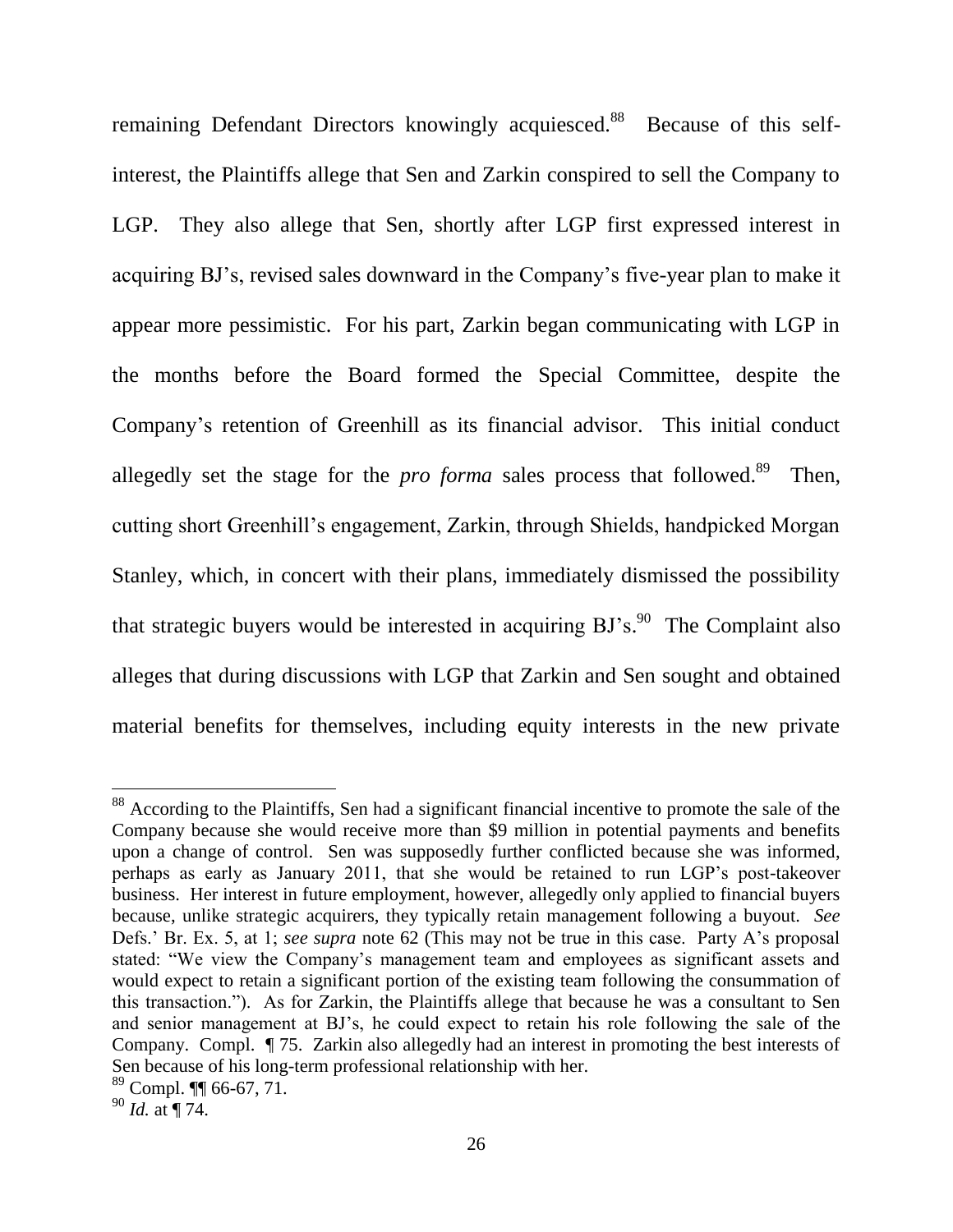remaining Defendant Directors knowingly acquiesced.<sup>88</sup> Because of this selfinterest, the Plaintiffs allege that Sen and Zarkin conspired to sell the Company to LGP. They also allege that Sen, shortly after LGP first expressed interest in acquiring BJ's, revised sales downward in the Company's five-year plan to make it appear more pessimistic. For his part, Zarkin began communicating with LGP in the months before the Board formed the Special Committee, despite the Company's retention of Greenhill as its financial advisor. This initial conduct allegedly set the stage for the *pro forma* sales process that followed.<sup>89</sup> Then, cutting short Greenhill's engagement, Zarkin, through Shields, handpicked Morgan Stanley, which, in concert with their plans, immediately dismissed the possibility that strategic buyers would be interested in acquiring  $BJ's$ . The Complaint also alleges that during discussions with LGP that Zarkin and Sen sought and obtained material benefits for themselves, including equity interests in the new private

<sup>&</sup>lt;sup>88</sup> According to the Plaintiffs, Sen had a significant financial incentive to promote the sale of the Company because she would receive more than \$9 million in potential payments and benefits upon a change of control. Sen was supposedly further conflicted because she was informed, perhaps as early as January 2011, that she would be retained to run LGP's post-takeover business. Her interest in future employment, however, allegedly only applied to financial buyers because, unlike strategic acquirers, they typically retain management following a buyout. See Defs.' Br. Ex. 5, at 1; see supra note 62 (This may not be true in this case. Party A's proposal stated: "We view the Company's management team and employees as significant assets and would expect to retain a significant portion of the existing team following the consummation of this transaction."). As for Zarkin, the Plaintiffs allege that because he was a consultant to Sen and senior management at BJ's, he could expect to retain his role following the sale of the Company. Compl. ¶ 75. Zarkin also allegedly had an interest in promoting the best interests of Sen because of his long-term professional relationship with her.

 $89$  Compl. III 66-67, 71.

 $^{90}$  *Id.* at ¶ 74.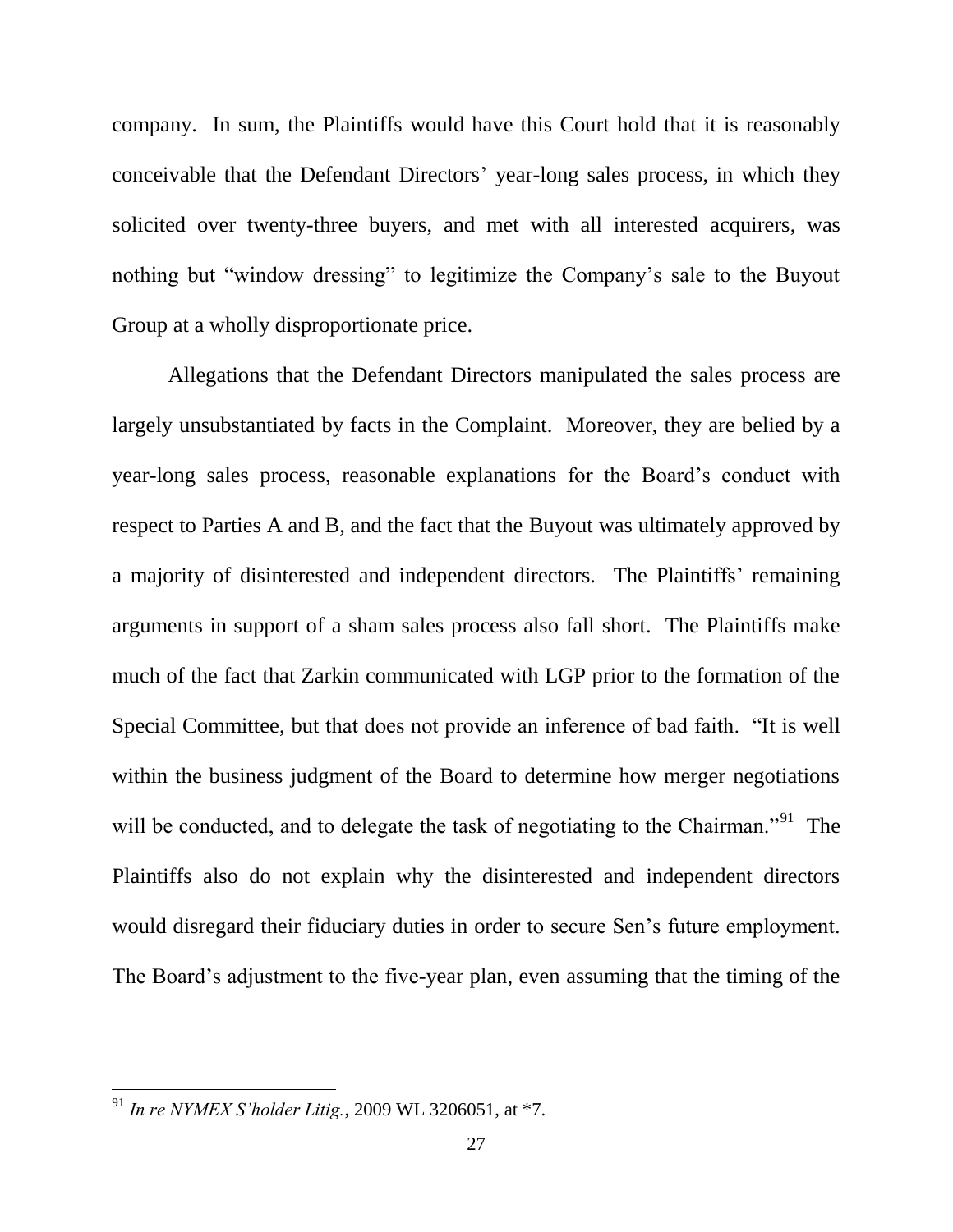company. In sum, the Plaintiffs would have this Court hold that it is reasonably conceivable that the Defendant Directors' year-long sales process, in which they solicited over twenty-three buyers, and met with all interested acquirers, was nothing but "window dressing" to legitimize the Company's sale to the Buyout Group at a wholly disproportionate price.

Allegations that the Defendant Directors manipulated the sales process are largely unsubstantiated by facts in the Complaint. Moreover, they are belied by a year-long sales process, reasonable explanations for the Board's conduct with respect to Parties A and B, and the fact that the Buyout was ultimately approved by a majority of disinterested and independent directors. The Plaintiffs' remaining arguments in support of a sham sales process also fall short. The Plaintiffs make much of the fact that Zarkin communicated with LGP prior to the formation of the Special Committee, but that does not provide an inference of bad faith. "It is well within the business judgment of the Board to determine how merger negotiations will be conducted, and to delegate the task of negotiating to the Chairman."<sup>91</sup> The Plaintiffs also do not explain why the disinterested and independent directors would disregard their fiduciary duties in order to secure Sen's future employment. The Board's adjustment to the five-year plan, even assuming that the timing of the

<sup>&</sup>lt;sup>91</sup> In re NYMEX S'holder Litig., 2009 WL 3206051, at \*7.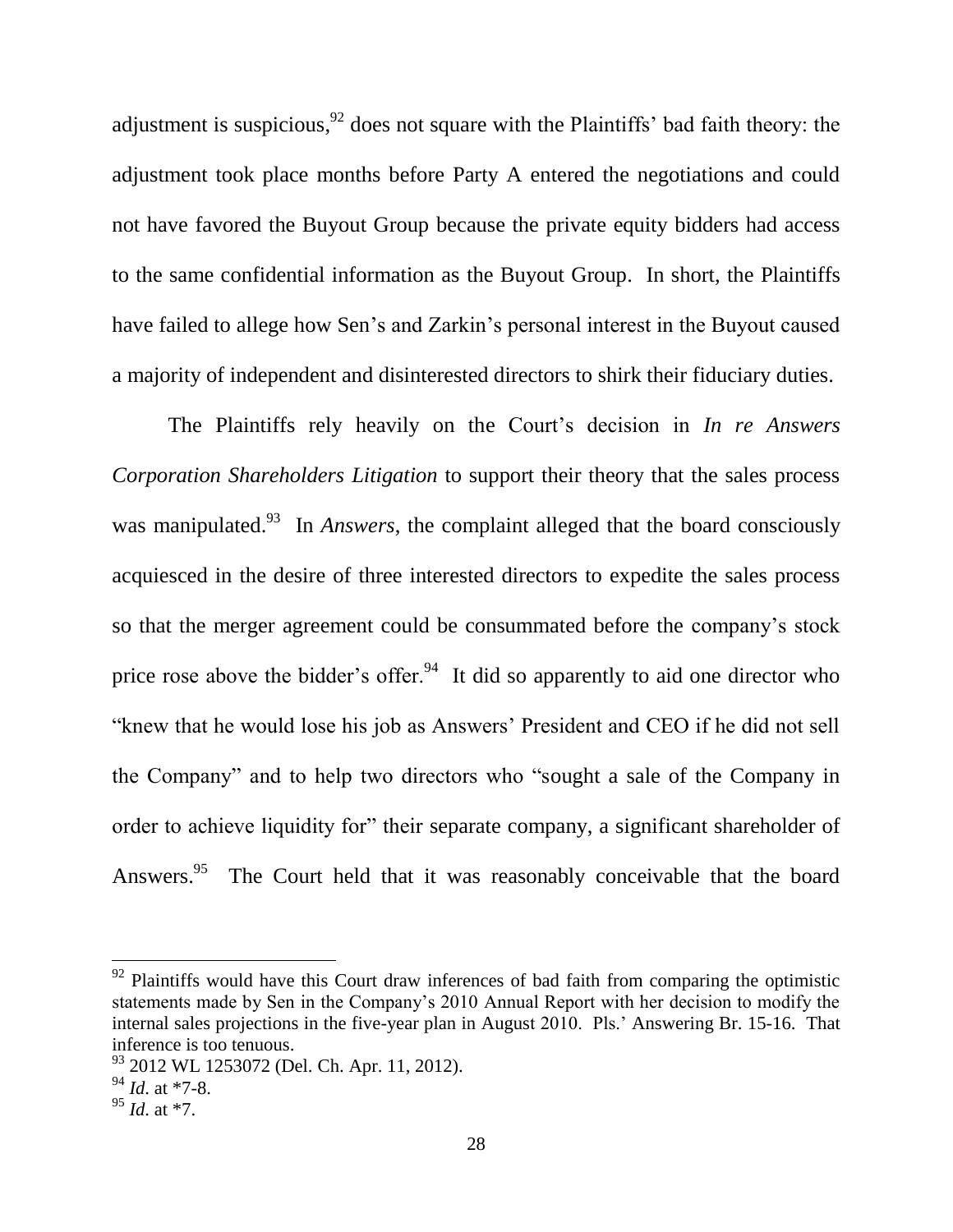adjustment is suspicious,  $92$  does not square with the Plaintiffs' bad faith theory: the adjustment took place months before Party A entered the negotiations and could not have favored the Buyout Group because the private equity bidders had access to the same confidential information as the Buyout Group. In short, the Plaintiffs have failed to allege how Sen's and Zarkin's personal interest in the Buyout caused a majority of independent and disinterested directors to shirk their fiduciary duties.

The Plaintiffs rely heavily on the Court's decision in In re Answers Corporation Shareholders Litigation to support their theory that the sales process was manipulated. <sup>93</sup> In *Answers*, the complaint alleged that the board consciously acquiesced in the desire of three interested directors to expedite the sales process so that the merger agreement could be consummated before the company's stock price rose above the bidder's offer.<sup>94</sup> It did so apparently to aid one director who "knew that he would lose his job as Answers' President and CEO if he did not sell the Company" and to help two directors who "sought a sale of the Company in order to achieve liquidity for" their separate company, a significant shareholder of Answers.<sup>95</sup> The Court held that it was reasonably conceivable that the board

<sup>&</sup>lt;sup>92</sup> Plaintiffs would have this Court draw inferences of bad faith from comparing the optimistic statements made by Sen in the Company's 2010 Annual Report with her decision to modify the internal sales projections in the five-year plan in August 2010. Pls.' Answering Br. 15-16. That inference is too tenuous.

<sup>&</sup>lt;sup>93</sup> 2012 WL 1253072 (Del. Ch. Apr. 11, 2012).

 $^{94}$   $\overline{1d}$ . at \*7-8.

 $^{95}$  *Id.* at  $*7$ .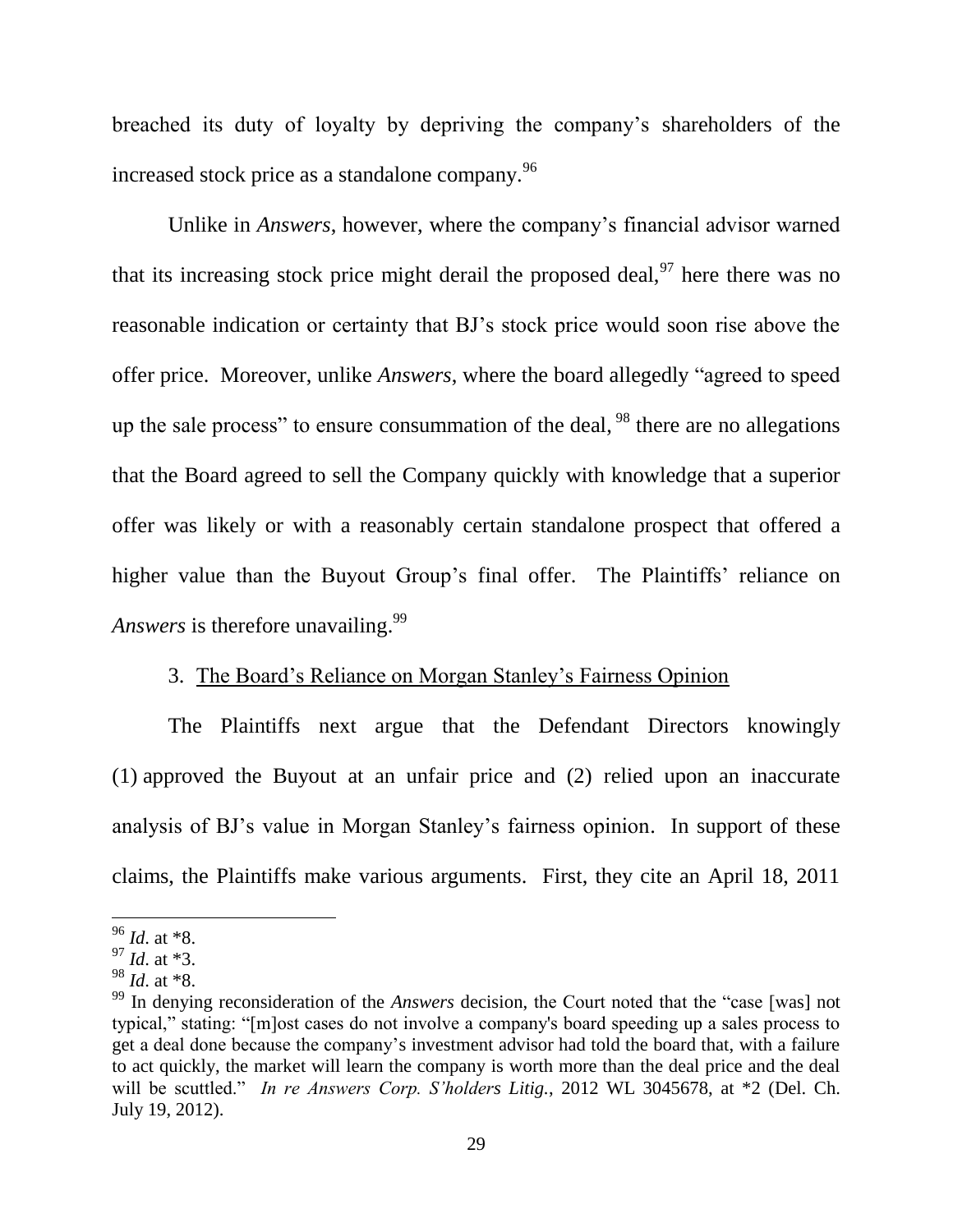breached its duty of loyalty by depriving the company's shareholders of the increased stock price as a standalone company.<sup>96</sup>

Unlike in Answers, however, where the company's financial advisor warned that its increasing stock price might derail the proposed deal.<sup>97</sup> here there was no reasonable indication or certainty that BJ's stock price would soon rise above the offer price. Moreover, unlike *Answers*, where the board allegedly "agreed to speed up the sale process" to ensure consummation of the deal,  $^{98}$  there are no allegations that the Board agreed to sell the Company quickly with knowledge that a superior offer was likely or with a reasonably certain standalone prospect that offered a higher value than the Buyout Group's final offer. The Plaintiffs' reliance on *Answers* is therefore unavailing.<sup>99</sup>

# 3. The Board's Reliance on Morgan Stanley's Fairness Opinion

The Plaintiffs next argue that the Defendant Directors knowingly  $(1)$  approved the Buyout at an unfair price and  $(2)$  relied upon an inaccurate analysis of BJ's value in Morgan Stanley's fairness opinion. In support of these claims, the Plaintiffs make various arguments. First, they cite an April 18, 2011

 $^{96}$  *Id.* at \*8.

 $^{97}$  *Id.* at \*3.

 $^{98}$  *Id.* at \*8.

 $99$  In denving reconsideration of the *Answers* decision, the Court noted that the "case [was] not typical," stating: "[m] ost cases do not involve a company's board speeding up a sales process to get a deal done because the company's investment advisor had told the board that, with a failure to act quickly, the market will learn the company is worth more than the deal price and the deal will be scuttled." In re Answers Corp. S'holders Litig., 2012 WL 3045678, at \*2 (Del. Ch. July 19, 2012).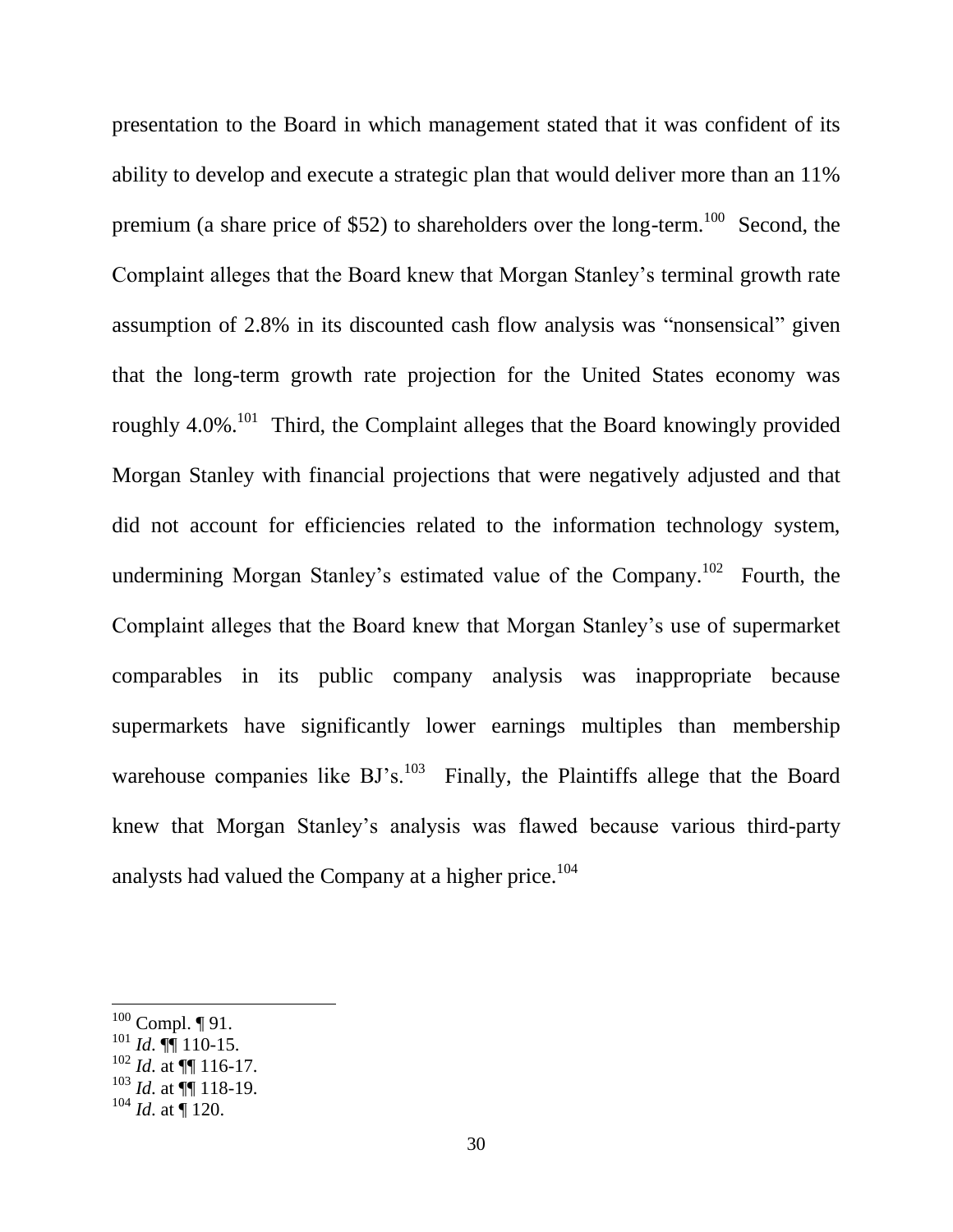presentation to the Board in which management stated that it was confident of its ability to develop and execute a strategic plan that would deliver more than an 11% premium (a share price of \$52) to shareholders over the long-term.<sup>100</sup> Second, the Complaint alleges that the Board knew that Morgan Stanley's terminal growth rate assumption of 2.8% in its discounted cash flow analysis was "nonsensical" given that the long-term growth rate projection for the United States economy was roughly  $4.0\%$ .<sup>101</sup> Third, the Complaint alleges that the Board knowingly provided Morgan Stanley with financial projections that were negatively adjusted and that did not account for efficiencies related to the information technology system, undermining Morgan Stanley's estimated value of the Company.<sup>102</sup> Fourth, the Complaint alleges that the Board knew that Morgan Stanley's use of supermarket comparables in its public company analysis was inappropriate because supermarkets have significantly lower earnings multiples than membership warehouse companies like BJ's.<sup>103</sup> Finally, the Plaintiffs allege that the Board knew that Morgan Stanley's analysis was flawed because various third-party analysts had valued the Company at a higher price.<sup>104</sup>

 $100$  Compl.  $\P$  91.

 $^{101}$  *Id.*  $\P\P$  110-15.

 $102$  *Id.* at  $\P\P$  116-17.

 $^{103}$  *Id.* at  $\overline{$ } 118-19.

 $104$  *Id.* at ¶ 120.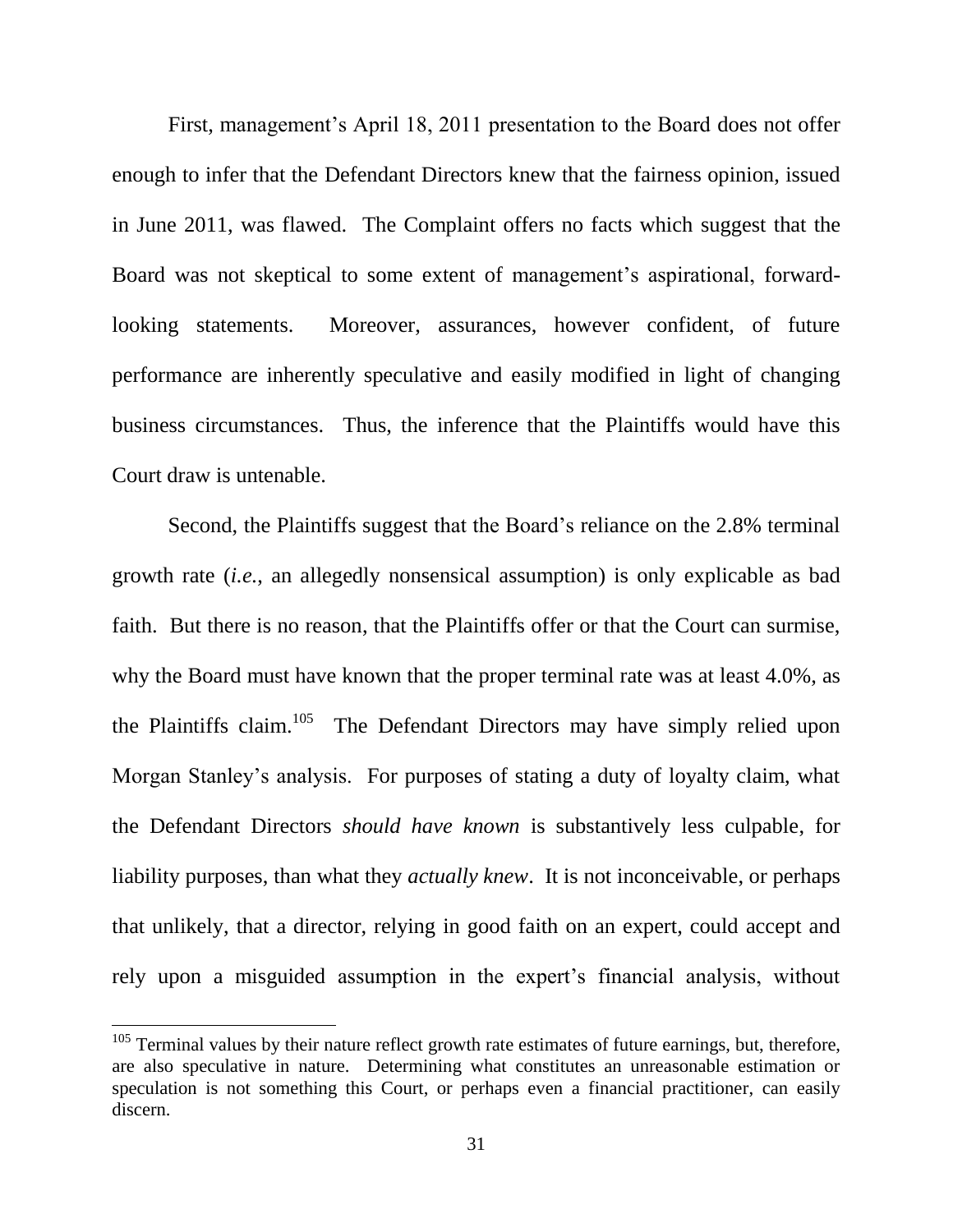First, management's April 18, 2011 presentation to the Board does not offer enough to infer that the Defendant Directors knew that the fairness opinion, issued in June 2011, was flawed. The Complaint offers no facts which suggest that the Board was not skeptical to some extent of management's aspirational, forward-Moreover, assurances, however confident, of future looking statements. performance are inherently speculative and easily modified in light of changing business circumstances. Thus, the inference that the Plaintiffs would have this Court draw is untenable.

Second, the Plaintiffs suggest that the Board's reliance on the 2.8% terminal growth rate *(i.e., an allegedly nonsensical assumption)* is only explicable as bad faith. But there is no reason, that the Plaintiffs offer or that the Court can surmise, why the Board must have known that the proper terminal rate was at least 4.0%, as the Plaintiffs claim.<sup>105</sup> The Defendant Directors may have simply relied upon Morgan Stanley's analysis. For purposes of stating a duty of loyalty claim, what the Defendant Directors *should have known* is substantively less culpable, for liability purposes, than what they *actually knew*. It is not inconceivable, or perhaps that unlikely, that a director, relying in good faith on an expert, could accept and rely upon a misguided assumption in the expert's financial analysis, without

 $105$  Terminal values by their nature reflect growth rate estimates of future earnings, but, therefore, are also speculative in nature. Determining what constitutes an unreasonable estimation or speculation is not something this Court, or perhaps even a financial practitioner, can easily discern.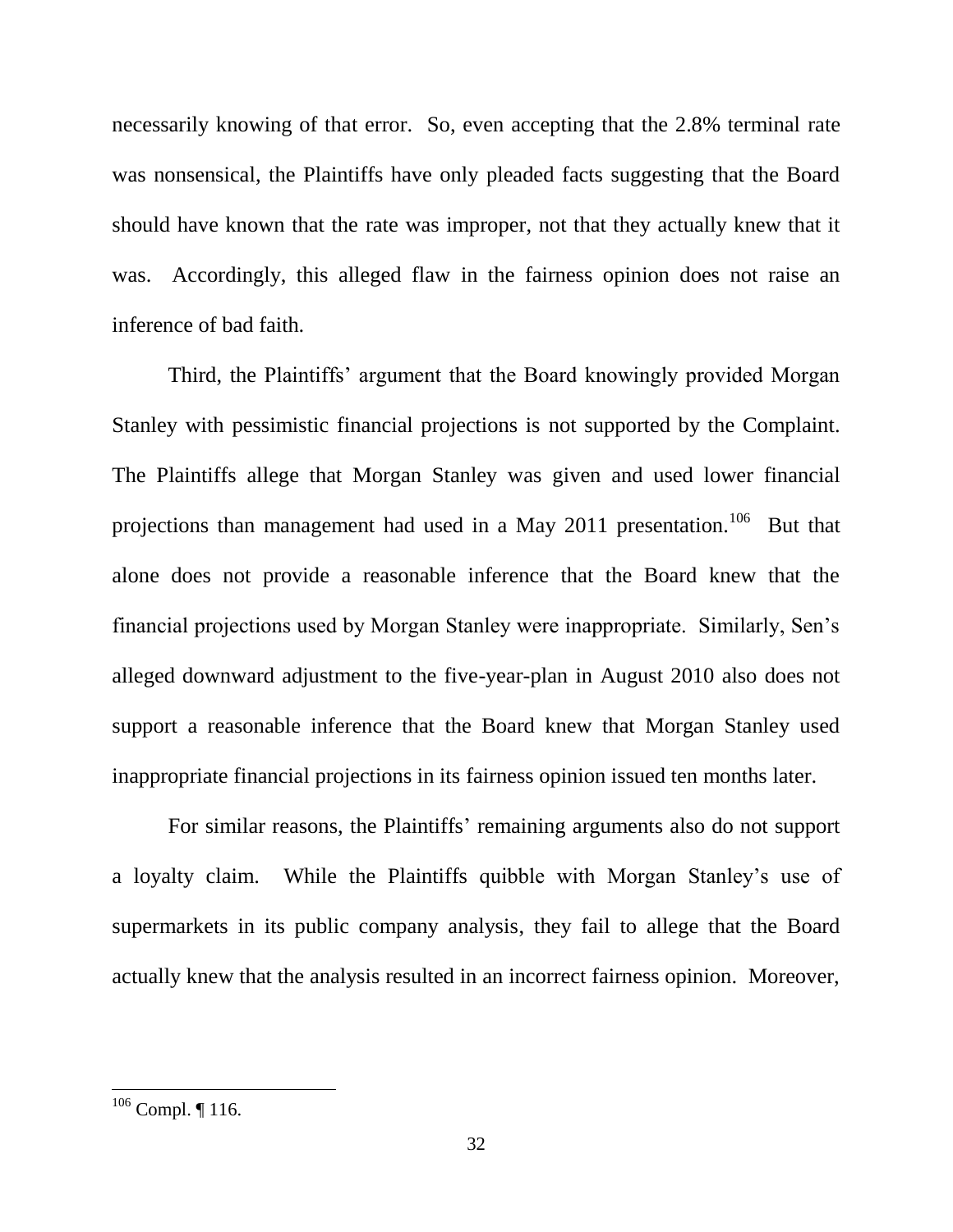necessarily knowing of that error. So, even accepting that the 2.8% terminal rate was nonsensical, the Plaintiffs have only pleaded facts suggesting that the Board should have known that the rate was improper, not that they actually knew that it was. Accordingly, this alleged flaw in the fairness opinion does not raise an inference of bad faith.

Third, the Plaintiffs' argument that the Board knowingly provided Morgan Stanley with pessimistic financial projections is not supported by the Complaint. The Plaintiffs allege that Morgan Stanley was given and used lower financial projections than management had used in a May 2011 presentation.<sup>106</sup> But that alone does not provide a reasonable inference that the Board knew that the financial projections used by Morgan Stanley were inappropriate. Similarly, Sen's alleged downward adjustment to the five-year-plan in August 2010 also does not support a reasonable inference that the Board knew that Morgan Stanley used inappropriate financial projections in its fairness opinion issued ten months later.

For similar reasons, the Plaintiffs' remaining arguments also do not support a loyalty claim. While the Plaintiffs quibble with Morgan Stanley's use of supermarkets in its public company analysis, they fail to allege that the Board actually knew that the analysis resulted in an incorrect fairness opinion. Moreover,

 $106$  Compl. ¶ 116.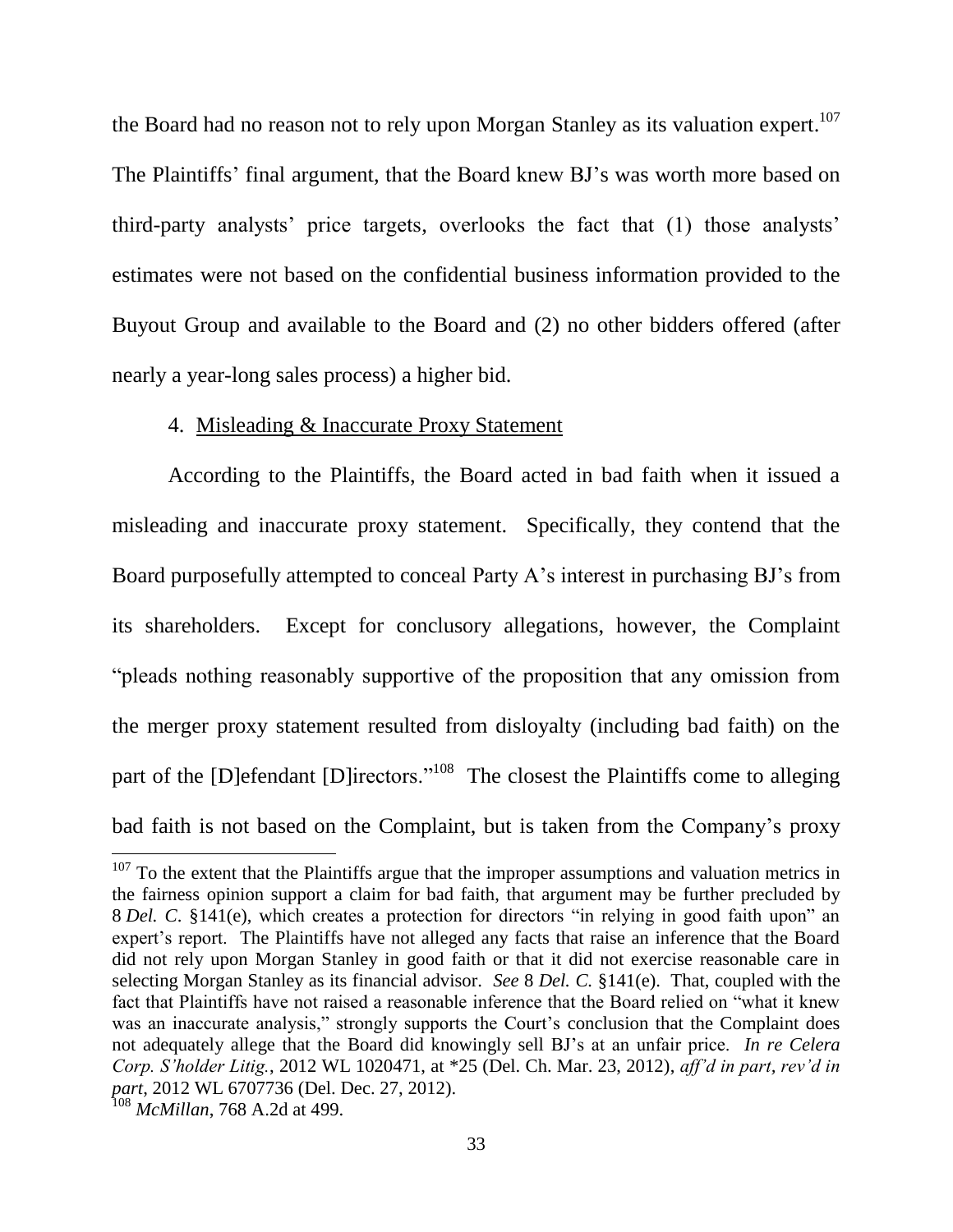the Board had no reason not to rely upon Morgan Stanley as its valuation expert.<sup>107</sup> The Plaintiffs' final argument, that the Board knew BJ's was worth more based on third-party analysts' price targets, overlooks the fact that (1) those analysts' estimates were not based on the confidential business information provided to the Buyout Group and available to the Board and (2) no other bidders offered (after nearly a year-long sales process) a higher bid.

#### 4. Misleading & Inaccurate Proxy Statement

According to the Plaintiffs, the Board acted in bad faith when it issued a misleading and inaccurate proxy statement. Specifically, they contend that the Board purposefully attempted to conceal Party A's interest in purchasing BJ's from its shareholders. Except for conclusory allegations, however, the Complaint "pleads nothing reasonably supportive of the proposition that any omission from the merger proxy statement resulted from disloyalty (including bad faith) on the part of the [D] efendant [D] irectors."<sup>108</sup> The closest the Plaintiffs come to alleging bad faith is not based on the Complaint, but is taken from the Company's proxy

 $107$  To the extent that the Plaintiffs argue that the improper assumptions and valuation metrics in the fairness opinion support a claim for bad faith, that argument may be further precluded by 8 Del. C. §141(e), which creates a protection for directors "in relying in good faith upon" an expert's report. The Plaintiffs have not alleged any facts that raise an inference that the Board did not rely upon Morgan Stanley in good faith or that it did not exercise reasonable care in selecting Morgan Stanley as its financial advisor. See 8 Del. C. §141(e). That, coupled with the fact that Plaintiffs have not raised a reasonable inference that the Board relied on "what it knew was an inaccurate analysis," strongly supports the Court's conclusion that the Complaint does not adequately allege that the Board did knowingly sell BJ's at an unfair price. In re Celera Corp. S'holder Litig., 2012 WL 1020471, at \*25 (Del. Ch. Mar. 23, 2012), aff'd in part, rev'd in part, 2012 WL 6707736 (Del. Dec. 27, 2012).

 $108$  *McMillan*, 768 A.2d at 499.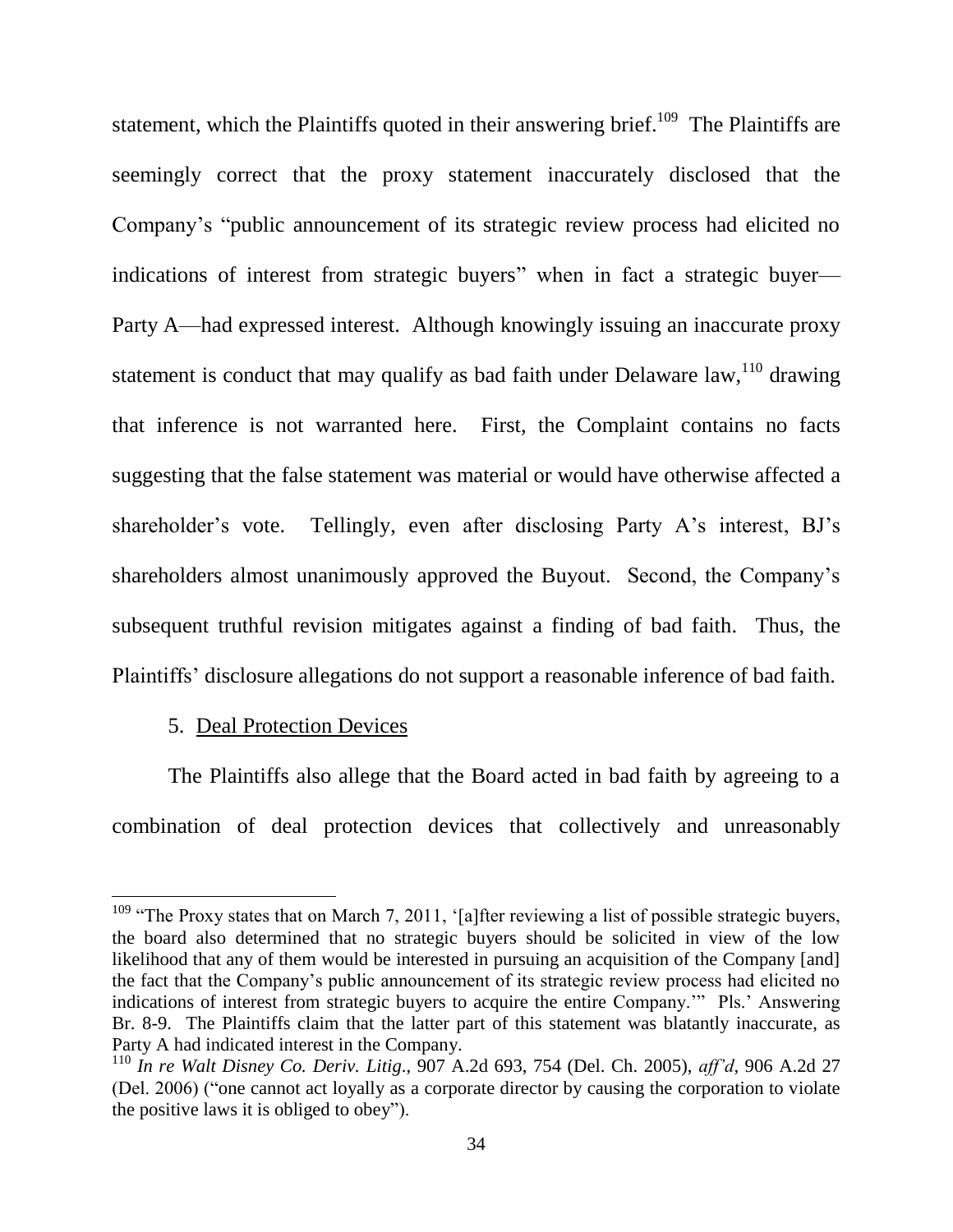statement, which the Plaintiffs quoted in their answering brief.<sup>109</sup> The Plaintiffs are seemingly correct that the proxy statement inaccurately disclosed that the Company's "public announcement of its strategic review process had elicited no indications of interest from strategic buyers" when in fact a strategic buyer— Party A—had expressed interest. Although knowingly issuing an inaccurate proxy statement is conduct that may qualify as bad faith under Delaware law, <sup>110</sup> drawing that inference is not warranted here. First, the Complaint contains no facts suggesting that the false statement was material or would have otherwise affected a Tellingly, even after disclosing Party A's interest, BJ's shareholder's vote. shareholders almost unanimously approved the Buyout. Second, the Company's subsequent truthful revision mitigates against a finding of bad faith. Thus, the Plaintiffs' disclosure allegations do not support a reasonable inference of bad faith.

#### 5. Deal Protection Devices

The Plaintiffs also allege that the Board acted in bad faith by agreeing to a combination of deal protection devices that collectively and unreasonably

<sup>&</sup>lt;sup>109</sup> "The Proxy states that on March 7, 2011, '[a]fter reviewing a list of possible strategic buyers, the board also determined that no strategic buyers should be solicited in view of the low likelihood that any of them would be interested in pursuing an acquisition of the Company [and] the fact that the Company's public announcement of its strategic review process had elicited no indications of interest from strategic buyers to acquire the entire Company." Pls.' Answering Br. 8-9. The Plaintiffs claim that the latter part of this statement was blatantly inaccurate, as Party A had indicated interest in the Company.

<sup>&</sup>lt;sup>110</sup> In re Walt Disney Co. Deriv. Litig., 907 A.2d 693, 754 (Del. Ch. 2005), aff'd, 906 A.2d 27 (Del. 2006) ("one cannot act loyally as a corporate director by causing the corporation to violate the positive laws it is obliged to obey").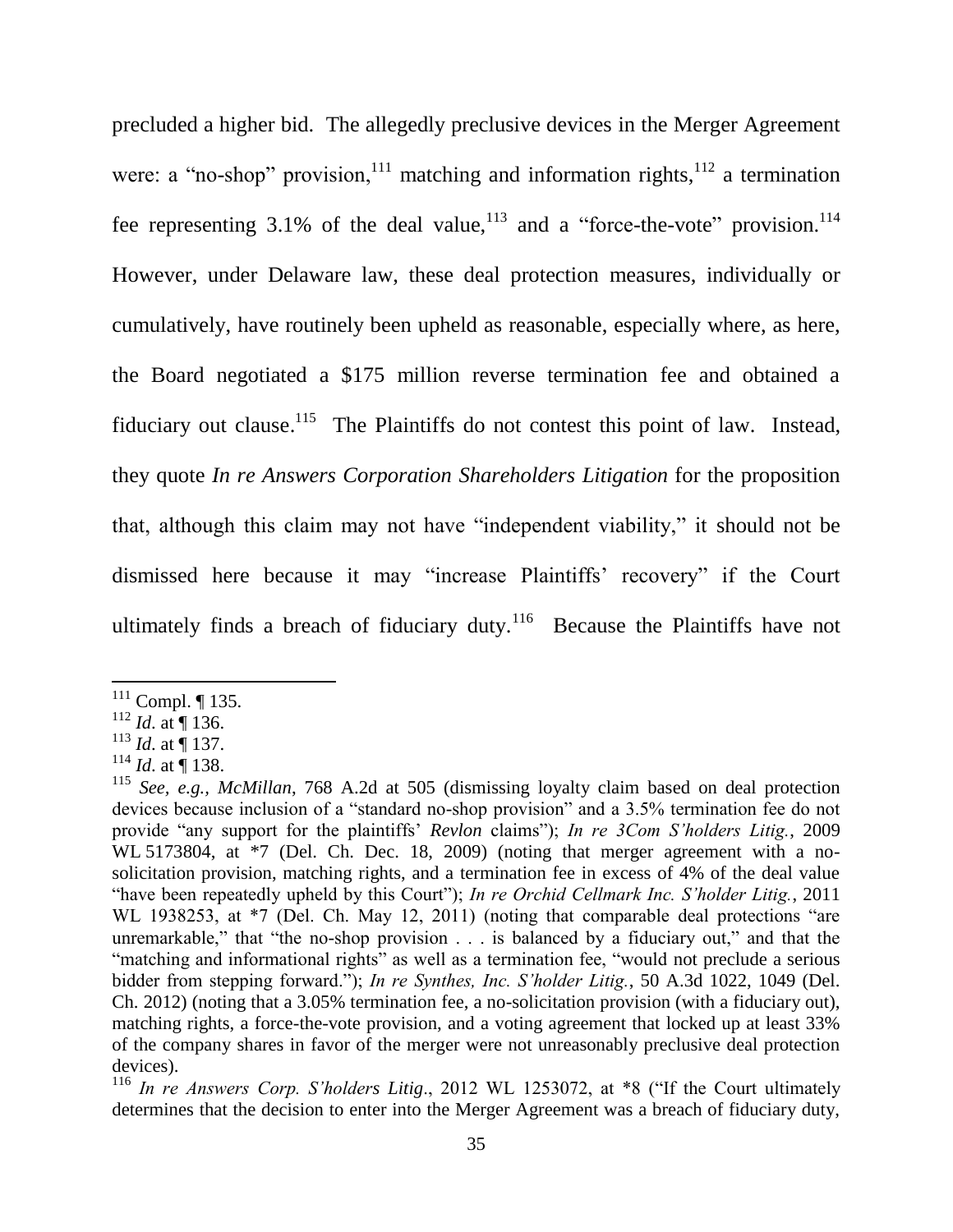precluded a higher bid. The allegedly preclusive devices in the Merger Agreement were: a "no-shop" provision,  $\frac{1}{11}$  matching and information rights,  $\frac{1}{2}$  a termination fee representing 3.1% of the deal value,<sup>113</sup> and a "force-the-vote" provision.<sup>114</sup> However, under Delaware law, these deal protection measures, individually or cumulatively, have routinely been upheld as reasonable, especially where, as here, the Board negotiated a \$175 million reverse termination fee and obtained a fiduciary out clause.<sup>115</sup> The Plaintiffs do not contest this point of law. Instead, they quote In re Answers Corporation Shareholders Litigation for the proposition that, although this claim may not have "independent viability," it should not be dismissed here because it may "increase Plaintiffs" recovery" if the Court ultimately finds a breach of fiduciary duty.<sup>116</sup> Because the Plaintiffs have not

 $111$  Compl. ¶ 135.

 $112$  *Id.* at 136.

 $^{113}$  *Id.* at  $\stackrel{\scriptscriptstyle\bullet}{\P}$  137.

 $114$  *Id.* at  $\stackrel{\text{ii}}{]}$  138.

 $^{115}$  See, e.g., McMillan, 768 A.2d at 505 (dismissing loyalty claim based on deal protection devices because inclusion of a "standard no-shop provision" and a 3.5% termination fee do not provide "any support for the plaintiffs' Revlon claims"); In re 3Com S'holders Litig., 2009 WL 5173804, at \*7 (Del. Ch. Dec. 18, 2009) (noting that merger agreement with a nosolicitation provision, matching rights, and a termination fee in excess of 4% of the deal value "have been repeatedly upheld by this Court"); In re Orchid Cellmark Inc. S'holder Litig., 2011 WL 1938253, at \*7 (Del. Ch. May 12, 2011) (noting that comparable deal protections "are unremarkable," that "the no-shop provision . . . is balanced by a fiduciary out," and that the "matching and informational rights" as well as a termination fee, "would not preclude a serious bidder from stepping forward."); In re Synthes, Inc. S'holder Litig., 50 A.3d 1022, 1049 (Del. Ch. 2012) (noting that a 3.05% termination fee, a no-solicitation provision (with a fiduciary out), matching rights, a force-the-vote provision, and a voting agreement that locked up at least 33% of the company shares in favor of the merger were not unreasonably preclusive deal protection devices).

<sup>&</sup>lt;sup>116</sup> In re Answers Corp. S'holders Litig., 2012 WL 1253072, at \*8 ("If the Court ultimately determines that the decision to enter into the Merger Agreement was a breach of fiduciary duty,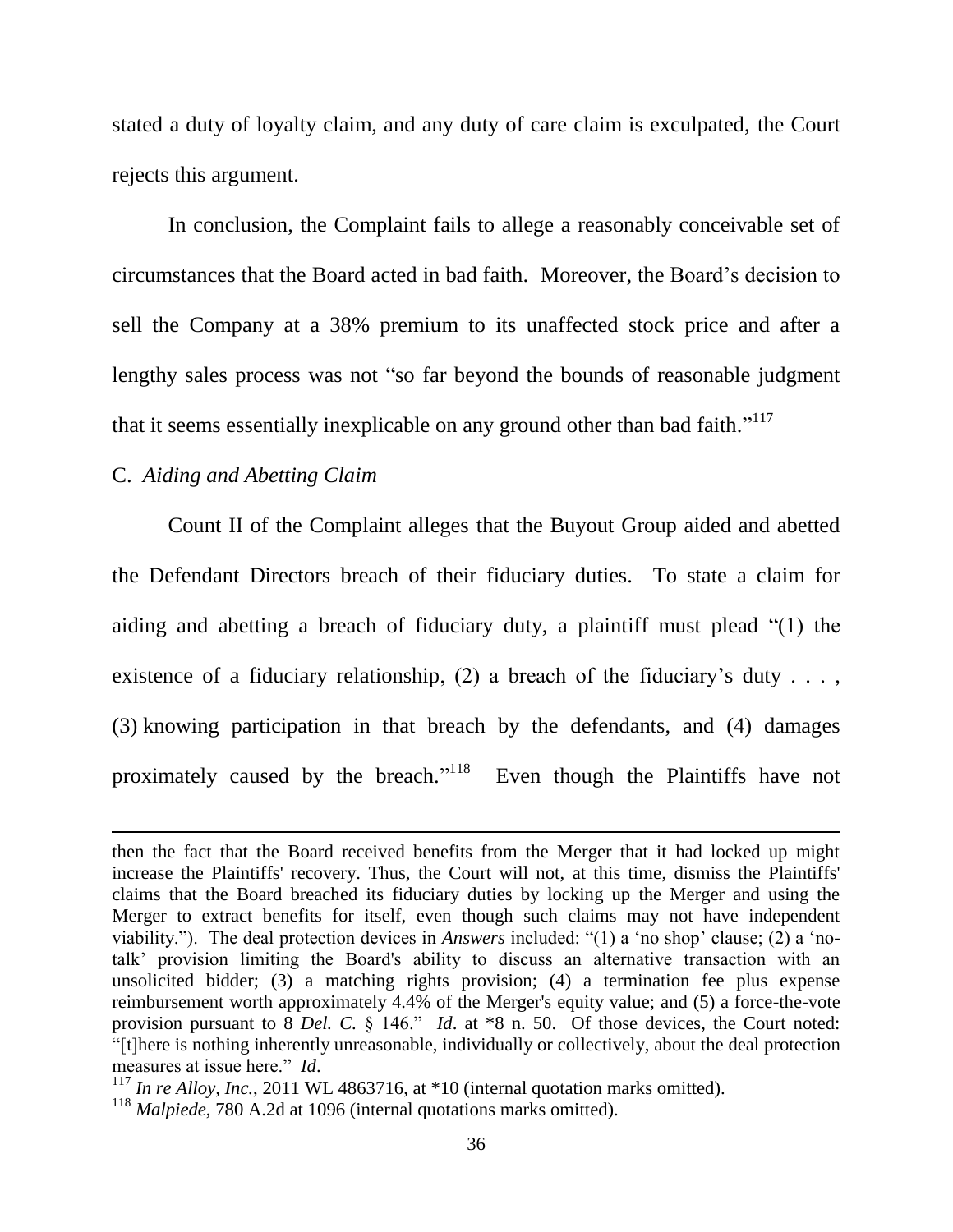stated a duty of loyalty claim, and any duty of care claim is exculpated, the Court rejects this argument.

In conclusion, the Complaint fails to allege a reasonably conceivable set of circumstances that the Board acted in bad faith. Moreover, the Board's decision to sell the Company at a 38% premium to its unaffected stock price and after a lengthy sales process was not "so far beyond the bounds of reasonable judgment that it seems essentially inexplicable on any ground other than bad faith."<sup>117</sup>

## C. Aiding and Abetting Claim

Count II of the Complaint alleges that the Buyout Group aided and abetted the Defendant Directors breach of their fiduciary duties. To state a claim for aiding and abetting a breach of fiduciary duty, a plaintiff must plead "(1) the existence of a fiduciary relationship, (2) a breach of the fiduciary's duty . . . . (3) knowing participation in that breach by the defendants, and (4) damages proximately caused by the breach."<sup>118</sup> Even though the Plaintiffs have not

then the fact that the Board received benefits from the Merger that it had locked up might increase the Plaintiffs' recovery. Thus, the Court will not, at this time, dismiss the Plaintiffs' claims that the Board breached its fiduciary duties by locking up the Merger and using the Merger to extract benefits for itself, even though such claims may not have independent viability."). The deal protection devices in *Answers* included: "(1) a 'no shop' clause; (2) a 'notalk' provision limiting the Board's ability to discuss an alternative transaction with an unsolicited bidder; (3) a matching rights provision; (4) a termination fee plus expense reimbursement worth approximately 4.4% of the Merger's equity value; and (5) a force-the-vote provision pursuant to 8 Del. C.  $\S$  146." *Id.* at \*8 n. 50. Of those devices, the Court noted: "[t] here is nothing inherently unreasonable, individually or collectively, about the deal protection measures at issue here." *Id.* 

 $^{117}$  In re Alloy, Inc., 2011 WL 4863716, at \*10 (internal quotation marks omitted).

 $118$  *Malpiede*, 780 A.2d at 1096 (internal quotations marks omitted).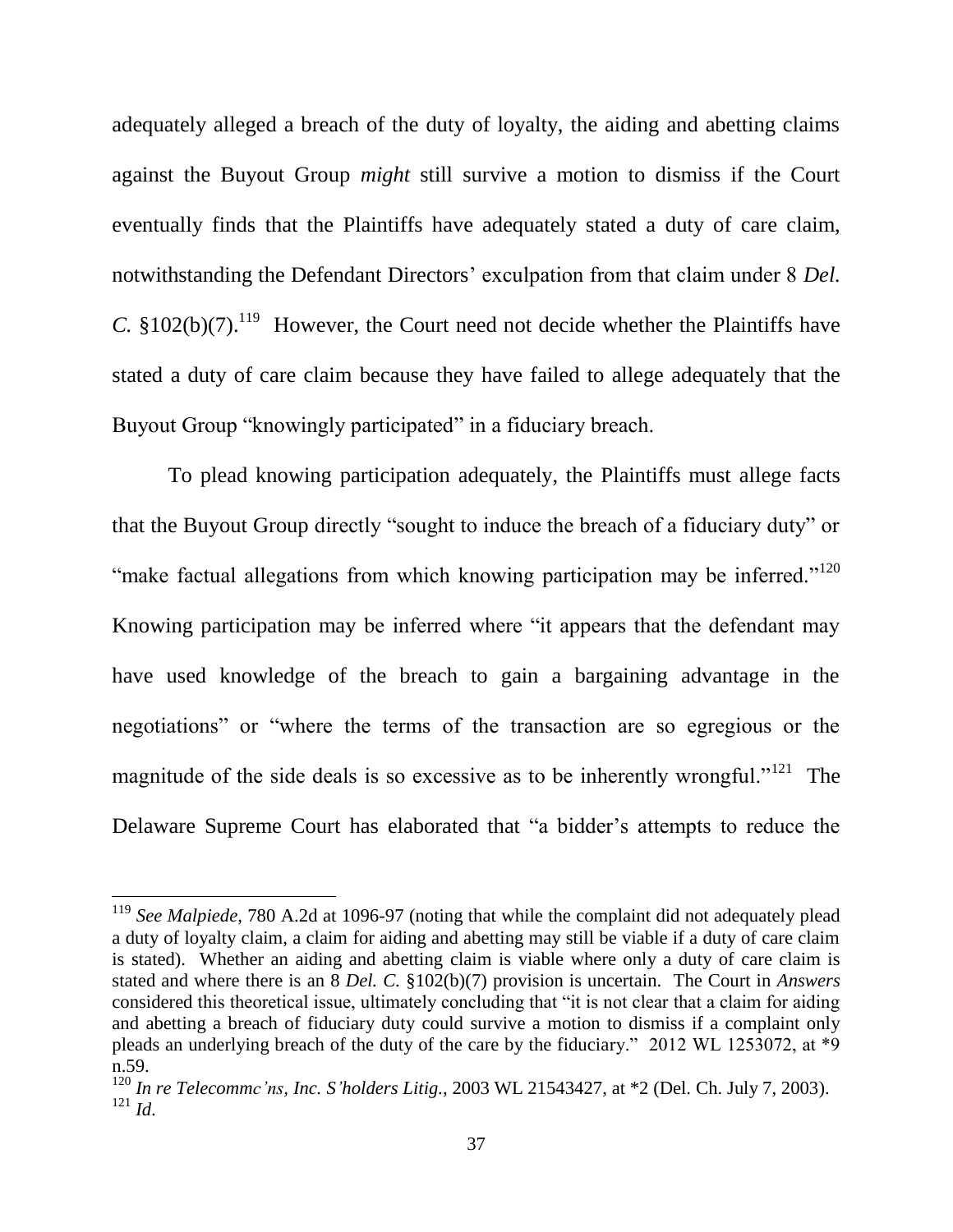adequately alleged a breach of the duty of loyalty, the aiding and abetting claims against the Buyout Group *might* still survive a motion to dismiss if the Court eventually finds that the Plaintiffs have adequately stated a duty of care claim, notwithstanding the Defendant Directors' exculpation from that claim under 8 Del. C.  $$102(b)(7)$ .<sup>119</sup> However, the Court need not decide whether the Plaintiffs have stated a duty of care claim because they have failed to allege adequately that the Buyout Group "knowingly participated" in a fiduciary breach.

To plead knowing participation adequately, the Plaintiffs must allege facts that the Buyout Group directly "sought to induce the breach of a fiduciary duty" or "make factual allegations from which knowing participation may be inferred."<sup>120</sup> Knowing participation may be inferred where "it appears that the defendant may have used knowledge of the breach to gain a bargaining advantage in the negotiations" or "where the terms of the transaction are so egregious or the magnitude of the side deals is so excessive as to be inherently wrongful."<sup>121</sup> The Delaware Supreme Court has elaborated that "a bidder's attempts to reduce the

 $119$  See Malpiede, 780 A.2d at 1096-97 (noting that while the complaint did not adequately plead a duty of loyalty claim, a claim for aiding and abetting may still be viable if a duty of care claim is stated). Whether an aiding and abetting claim is viable where only a duty of care claim is stated and where there is an 8 Del. C.  $$102(b)(7)$  provision is uncertain. The Court in Answers considered this theoretical issue, ultimately concluding that "it is not clear that a claim for aiding and abetting a breach of fiduciary duty could survive a motion to dismiss if a complaint only pleads an underlying breach of the duty of the care by the fiduciary." 2012 WL 1253072, at \*9 n.59.

 $120$  In re Telecommc'ns, Inc. S'holders Litig., 2003 WL 21543427, at \*2 (Del. Ch. July 7, 2003).  $^{121}$  *Id.*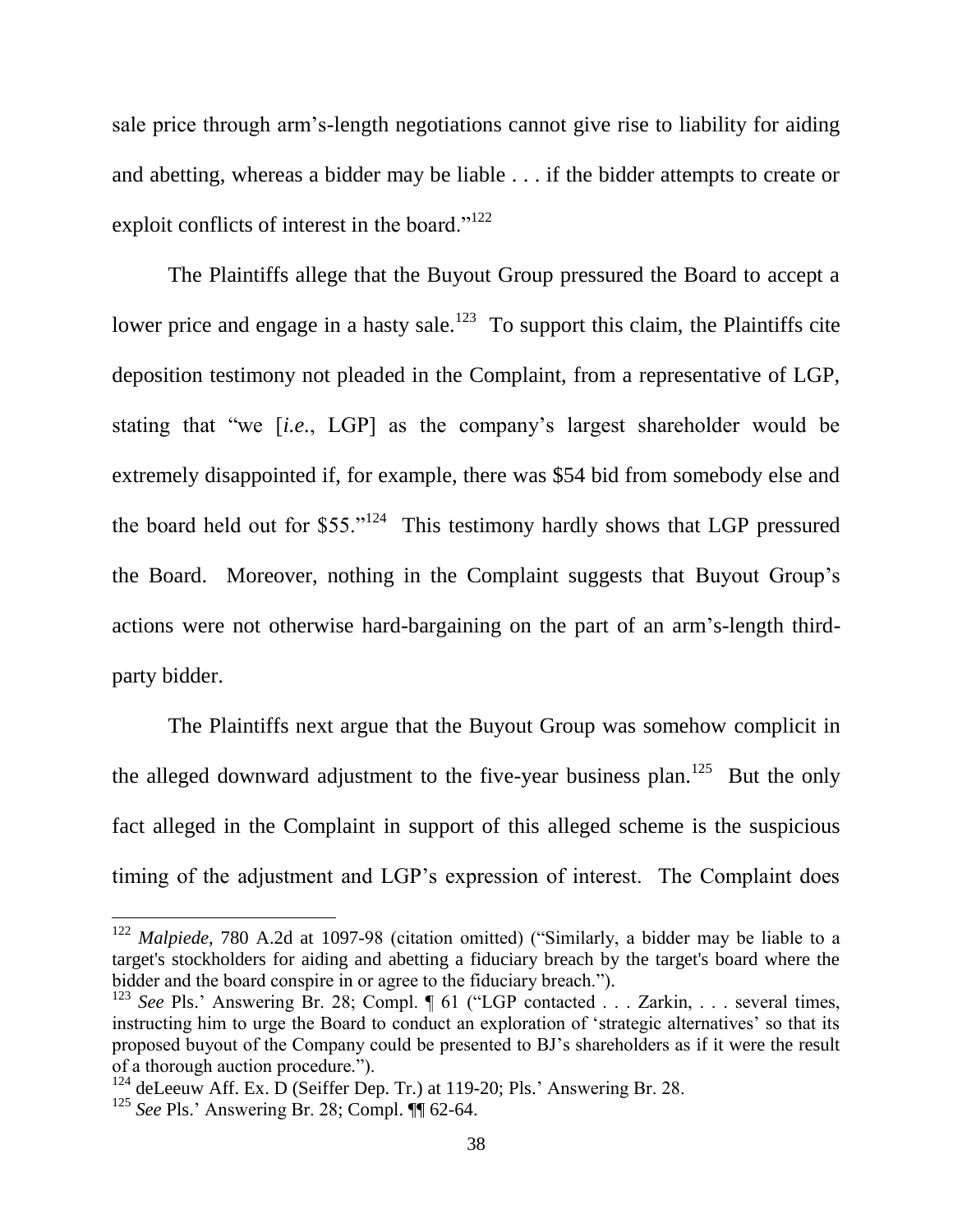sale price through arm's-length negotiations cannot give rise to liability for aiding and abetting, whereas a bidder may be liable . . . if the bidder attempts to create or exploit conflicts of interest in the board."<sup>122</sup>

The Plaintiffs allege that the Buyout Group pressured the Board to accept a lower price and engage in a hasty sale.<sup>123</sup> To support this claim, the Plaintiffs cite deposition testimony not pleaded in the Complaint, from a representative of LGP, stating that "we [i.e., LGP] as the company's largest shareholder would be extremely disappointed if, for example, there was \$54 bid from somebody else and the board held out for  $$55.^{124}$  This testimony hardly shows that LGP pressured the Board. Moreover, nothing in the Complaint suggests that Buyout Group's actions were not otherwise hard-bargaining on the part of an arm's-length thirdparty bidder.

The Plaintiffs next argue that the Buyout Group was somehow complicit in the alleged downward adjustment to the five-year business plan.<sup>125</sup> But the only fact alleged in the Complaint in support of this alleged scheme is the suspicious timing of the adjustment and LGP's expression of interest. The Complaint does

<sup>&</sup>lt;sup>122</sup> Malpiede, 780 A.2d at 1097-98 (citation omitted) ("Similarly, a bidder may be liable to a target's stockholders for aiding and abetting a fiduciary breach by the target's board where the bidder and the board conspire in or agree to the fiduciary breach.").

<sup>&</sup>lt;sup>123</sup> See Pls.' Answering Br. 28; Compl. ¶ 61 ("LGP contacted . . . Zarkin, . . . several times, instructing him to urge the Board to conduct an exploration of 'strategic alternatives' so that its proposed buyout of the Company could be presented to BJ's shareholders as if it were the result of a thorough auction procedure.").

 $124$  deLeeuw Aff. Ex. D (Seiffer Dep. Tr.) at 119-20; Pls.' Answering Br. 28.

<sup>&</sup>lt;sup>125</sup> See Pls.' Answering Br. 28; Compl.  $\P$  62-64.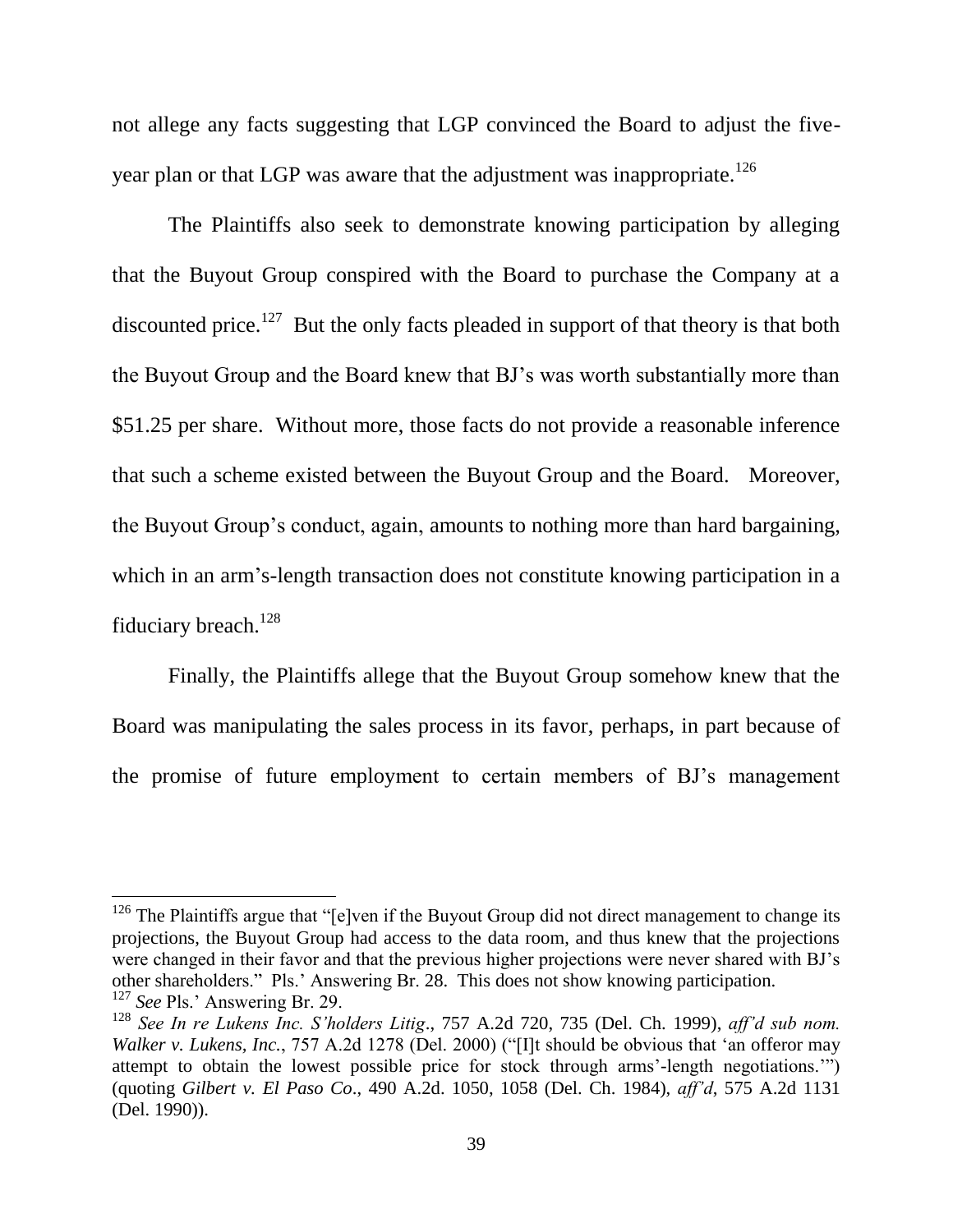not allege any facts suggesting that LGP convinced the Board to adjust the fiveyear plan or that LGP was aware that the adjustment was inappropriate.<sup>126</sup>

The Plaintiffs also seek to demonstrate knowing participation by alleging that the Buyout Group conspired with the Board to purchase the Company at a discounted price.<sup>127</sup> But the only facts pleaded in support of that theory is that both the Buyout Group and the Board knew that BJ's was worth substantially more than \$51.25 per share. Without more, those facts do not provide a reasonable inference that such a scheme existed between the Buyout Group and the Board. Moreover, the Buyout Group's conduct, again, amounts to nothing more than hard bargaining, which in an arm's-length transaction does not constitute knowing participation in a fiduciary breach.<sup>128</sup>

Finally, the Plaintiffs allege that the Buyout Group somehow knew that the Board was manipulating the sales process in its favor, perhaps, in part because of the promise of future employment to certain members of BJ's management

 $126$  The Plaintiffs argue that "[e]ven if the Buyout Group did not direct management to change its projections, the Buyout Group had access to the data room, and thus knew that the projections were changed in their favor and that the previous higher projections were never shared with BJ's other shareholders." Pls.' Answering Br. 28. This does not show knowing participation.

<sup>&</sup>lt;sup>127</sup> See Pls.' Answering Br. 29.

<sup>&</sup>lt;sup>128</sup> See In re Lukens Inc. S'holders Litig., 757 A.2d 720, 735 (Del. Ch. 1999), aff'd sub nom. Walker v. Lukens, Inc., 757 A.2d 1278 (Del. 2000) ("[I]t should be obvious that 'an offeror may attempt to obtain the lowest possible price for stock through arms'-length negotiations." (quoting Gilbert v. El Paso Co., 490 A.2d. 1050, 1058 (Del. Ch. 1984), aff'd, 575 A.2d 1131 (Del. 1990)).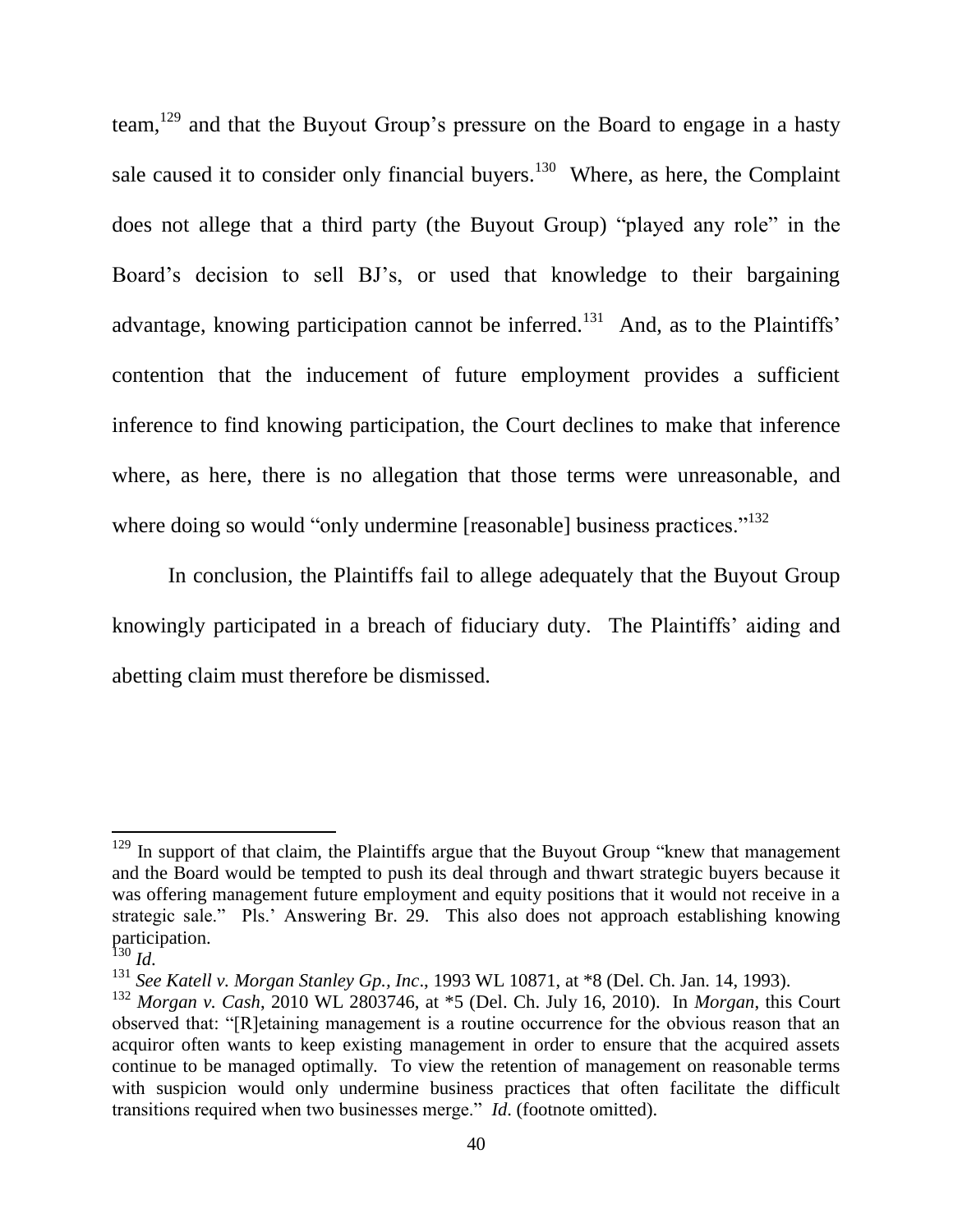team,<sup>129</sup> and that the Buyout Group's pressure on the Board to engage in a hasty sale caused it to consider only financial buyers.<sup>130</sup> Where, as here, the Complaint does not allege that a third party (the Buyout Group) "played any role" in the Board's decision to sell BJ's, or used that knowledge to their bargaining advantage, knowing participation cannot be inferred.<sup>131</sup> And, as to the Plaintiffs' contention that the inducement of future employment provides a sufficient inference to find knowing participation, the Court declines to make that inference where, as here, there is no allegation that those terms were unreasonable, and where doing so would "only undermine [reasonable] business practices."<sup>132</sup>

In conclusion, the Plaintiffs fail to allege adequately that the Buyout Group knowingly participated in a breach of fiduciary duty. The Plaintiffs' aiding and abetting claim must therefore be dismissed.

 $129$  In support of that claim, the Plaintiffs argue that the Buyout Group "knew that management" and the Board would be tempted to push its deal through and thwart strategic buyers because it was offering management future employment and equity positions that it would not receive in a strategic sale." Pls.' Answering Br. 29. This also does not approach establishing knowing participation.<br> $^{130}$  *Id.* 

<sup>&</sup>lt;sup>131</sup> See Katell v. Morgan Stanley Gp., Inc., 1993 WL 10871, at \*8 (Del. Ch. Jan. 14, 1993).

 $132$  Morgan v. Cash, 2010 WL 2803746, at \*5 (Del. Ch. July 16, 2010). In Morgan, this Court observed that: "[R] etaining management is a routine occurrence for the obvious reason that an acquired often wants to keep existing management in order to ensure that the acquired assets continue to be managed optimally. To view the retention of management on reasonable terms with suspicion would only undermine business practices that often facilitate the difficult transitions required when two businesses merge." *Id.* (footnote omitted).